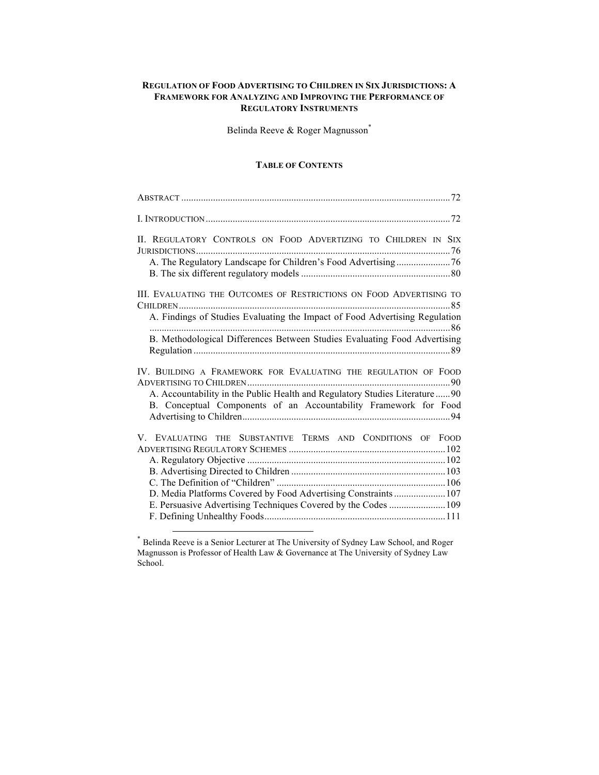## **REGULATION OF FOOD ADVERTISING TO CHILDREN IN SIX JURISDICTIONS: A FRAMEWORK FOR ANALYZING AND IMPROVING THE PERFORMANCE OF REGULATORY INSTRUMENTS**

Belinda Reeve & Roger Magnusson\*

## **TABLE OF CONTENTS**

| II. REGULATORY CONTROLS ON FOOD ADVERTIZING TO CHILDREN IN SIX                                                                                   |  |
|--------------------------------------------------------------------------------------------------------------------------------------------------|--|
|                                                                                                                                                  |  |
| III. EVALUATING THE OUTCOMES OF RESTRICTIONS ON FOOD ADVERTISING TO                                                                              |  |
| A. Findings of Studies Evaluating the Impact of Food Advertising Regulation                                                                      |  |
| B. Methodological Differences Between Studies Evaluating Food Advertising                                                                        |  |
| IV. BUILDING A FRAMEWORK FOR EVALUATING THE REGULATION OF FOOD                                                                                   |  |
| A. Accountability in the Public Health and Regulatory Studies Literature  90<br>B. Conceptual Components of an Accountability Framework for Food |  |
| V. EVALUATING THE SUBSTANTIVE TERMS AND CONDITIONS OF FOOD                                                                                       |  |
|                                                                                                                                                  |  |
|                                                                                                                                                  |  |
|                                                                                                                                                  |  |
| D. Media Platforms Covered by Food Advertising Constraints  107                                                                                  |  |
| E. Persuasive Advertising Techniques Covered by the Codes  109                                                                                   |  |
|                                                                                                                                                  |  |

 \* Belinda Reeve is a Senior Lecturer at The University of Sydney Law School, and Roger Magnusson is Professor of Health Law & Governance at The University of Sydney Law School.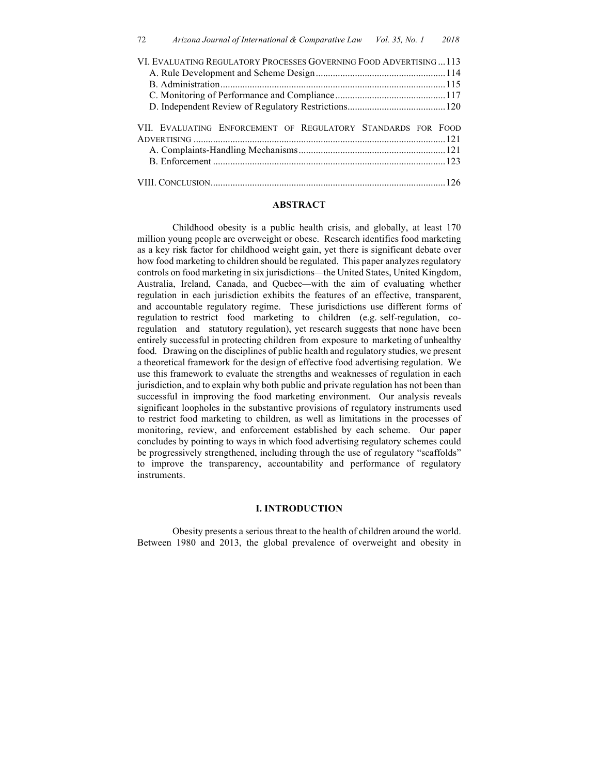| VI. EVALUATING REGULATORY PROCESSES GOVERNING FOOD ADVERTISING113 |  |
|-------------------------------------------------------------------|--|
|                                                                   |  |
|                                                                   |  |
|                                                                   |  |
|                                                                   |  |
| VII. EVALUATING ENFORCEMENT OF REGULATORY STANDARDS FOR FOOD      |  |
|                                                                   |  |

## **ABSTRACT**

Childhood obesity is a public health crisis, and globally, at least 170 million young people are overweight or obese. Research identifies food marketing as a key risk factor for childhood weight gain, yet there is significant debate over how food marketing to children should be regulated. This paper analyzes regulatory controls on food marketing in six jurisdictions*—*the United States, United Kingdom, Australia, Ireland, Canada, and Quebec*—*with the aim of evaluating whether regulation in each jurisdiction exhibits the features of an effective, transparent, and accountable regulatory regime. These jurisdictions use different forms of regulation to restrict food marketing to children (e.g. self-regulation, coregulation and statutory regulation), yet research suggests that none have been entirely successful in protecting children from exposure to marketing of unhealthy food. Drawing on the disciplines of public health and regulatory studies, we present a theoretical framework for the design of effective food advertising regulation. We use this framework to evaluate the strengths and weaknesses of regulation in each jurisdiction, and to explain why both public and private regulation has not been than successful in improving the food marketing environment. Our analysis reveals significant loopholes in the substantive provisions of regulatory instruments used to restrict food marketing to children, as well as limitations in the processes of monitoring, review, and enforcement established by each scheme. Our paper concludes by pointing to ways in which food advertising regulatory schemes could be progressively strengthened, including through the use of regulatory "scaffolds" to improve the transparency, accountability and performance of regulatory instruments.

#### **I. INTRODUCTION**

Obesity presents a serious threat to the health of children around the world. Between 1980 and 2013, the global prevalence of overweight and obesity in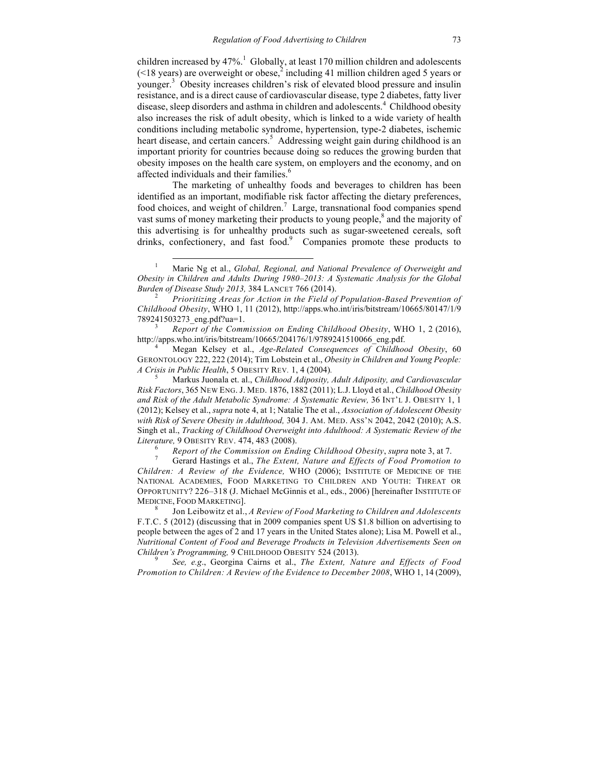children increased by  $47\%$ .<sup>1</sup> Globally, at least 170 million children and adolescents  $($  <18 years) are overweight or obese,<sup>2</sup> including 41 million children aged 5 years or younger. 3 Obesity increases children's risk of elevated blood pressure and insulin resistance, and is a direct cause of cardiovascular disease, type 2 diabetes, fatty liver disease, sleep disorders and asthma in children and adolescents.<sup>4</sup> Childhood obesity also increases the risk of adult obesity, which is linked to a wide variety of health conditions including metabolic syndrome, hypertension, type-2 diabetes, ischemic heart disease, and certain cancers.<sup>5</sup> Addressing weight gain during childhood is an important priority for countries because doing so reduces the growing burden that obesity imposes on the health care system, on employers and the economy, and on affected individuals and their families.<sup>6</sup>

The marketing of unhealthy foods and beverages to children has been identified as an important, modifiable risk factor affecting the dietary preferences, food choices, and weight of children.<sup>7</sup> Large, transnational food companies spend vast sums of money marketing their products to young people,<sup>8</sup> and the majority of this advertising is for unhealthy products such as sugar-sweetened cereals, soft drinks, confectionery, and fast food.<sup>9</sup> Companies promote these products to

<sup>3</sup> *Report of the Commission on Ending Childhood Obesity*, WHO 1, 2 (2016), http://apps.who.int/iris/bitstream/10665/204176/1/9789241510066\_eng.pdf. <sup>4</sup> Megan Kelsey et al., *Age-Related Consequences of Childhood Obesity*, 60

GERONTOLOGY 222, 222 (2014); Tim Lobstein et al., *Obesity in Children and Young People: A Crisis in Public Health*, <sup>5</sup> OBESITY REV*.* 1, 4 (2004)*.* <sup>5</sup> Markus Juonala et. al., *Childhood Adiposity, Adult Adiposity, and Cardiovascular* 

*Risk Factors*, 365 NEW ENG. J. MED. 1876, 1882 (2011); L.J. Lloyd et al., *Childhood Obesity and Risk of the Adult Metabolic Syndrome: A Systematic Review,* 36 INT'L J. OBESITY 1, 1 (2012); Kelsey et al., *supra* note 4, at 1; Natalie The et al., *Association of Adolescent Obesity with Risk of Severe Obesity in Adulthood,* 304 J. AM. MED. ASS'N 2042, 2042 (2010); A.S. Singh et al., *Tracking of Childhood Overweight into Adulthood: A Systematic Review of the*  Literature, 9 OBESITY REV. 474, 483 (2008).<br><sup>6</sup> Report of the Commission on Ending Childhood Obesity, supra note 3, at 7.<br><sup>7</sup> Gerard Hastings et al., *The Extent, Nature and Effects of Food Promotion to* 

*Children: A Review of the Evidence,* WHO (2006); INSTITUTE OF MEDICINE OF THE NATIONAL ACADEMIES, FOOD MARKETING TO CHILDREN AND YOUTH: THREAT OR OPPORTUNITY? 226–318 (J. Michael McGinnis et al., eds., 2006) [hereinafter INSTITUTE OF MEDICINE, FOOD MARKETING]. <sup>8</sup> Jon Leibowitz et al., *A Review of Food Marketing to Children and Adolescents*

F.T.C. 5 (2012) (discussing that in 2009 companies spent US \$1.8 billion on advertising to people between the ages of 2 and 17 years in the United States alone); Lisa M. Powell et al., *Nutritional Content of Food and Beverage Products in Television Advertisements Seen on Children's Programming,* 9 CHILDHOOD OBESITY 524 (2013). <sup>9</sup> *See, e.g*., Georgina Cairns et al., *The Extent, Nature and Effects of Food* 

*Promotion to Children: A Review of the Evidence to December 2008*, WHO 1, 14 (2009),

 <sup>1</sup> Marie Ng et al., *Global, Regional, and National Prevalence of Overweight and Obesity in Children and Adults During 1980–2013: A Systematic Analysis for the Global Burden of Disease Study 2013,* 384 LANCET 766 (2014). <sup>2</sup> *Prioritizing Areas for Action in the Field of Population-Based Prevention of* 

*Childhood Obesity*, WHO 1, 11 (2012), http://apps.who.int/iris/bitstream/10665/80147/1/9 789241503273\_eng.pdf?ua=1.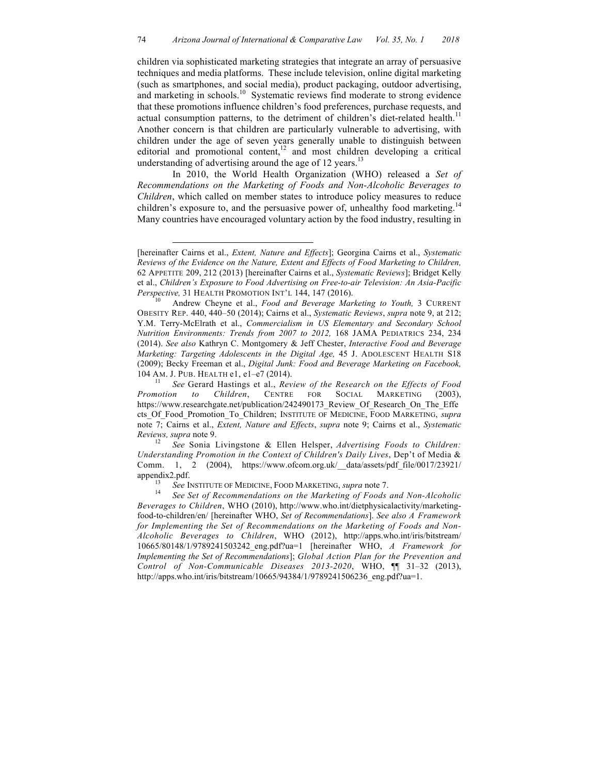children via sophisticated marketing strategies that integrate an array of persuasive techniques and media platforms. These include television, online digital marketing (such as smartphones, and social media), product packaging, outdoor advertising, and marketing in schools.<sup>10</sup> Systematic reviews find moderate to strong evidence that these promotions influence children's food preferences, purchase requests, and actual consumption patterns, to the detriment of children's diet-related health.<sup>11</sup> Another concern is that children are particularly vulnerable to advertising, with children under the age of seven years generally unable to distinguish between editorial and promotional content,<sup>12</sup> and most children developing a critical understanding of advertising around the age of 12 years.<sup>13</sup>

In 2010, the World Health Organization (WHO) released a *Set of Recommendations on the Marketing of Foods and Non-Alcoholic Beverages to Children*, which called on member states to introduce policy measures to reduce children's exposure to, and the persuasive power of, unhealthy food marketing.<sup>14</sup> Many countries have encouraged voluntary action by the food industry, resulting in

 $\overline{a}$ 

*Understanding Promotion in the Context of Children's Daily Lives*, Dep't of Media & Comm. 1, 2 (2004), https://www.ofcom.org.uk/\_\_data/assets/pdf\_file/0017/23921/ appendix2.pdf. 13 *See* INSTITUTE OF MEDICINE, FOOD MARKETING, *supra* note 7.<br><sup>14</sup> *See Set of Recommendations on the Marketing of Foods and Non-Alcoholic* 

*Beverages to Children*, WHO (2010), http://www.who.int/dietphysicalactivity/marketingfood-to-children/en/ [hereinafter WHO, *Set of Recommendations*]. *See also A Framework for Implementing the Set of Recommendations on the Marketing of Foods and Non-Alcoholic Beverages to Children*, WHO (2012), http://apps.who.int/iris/bitstream/ 10665/80148/1/9789241503242\_eng.pdf?ua=1 [hereinafter WHO, *A Framework for Implementing the Set of Recommendations*]; *Global Action Plan for the Prevention and Control of Non-Communicable Diseases 2013-2020*, WHO, ¶¶ 31–32 (2013), http://apps.who.int/iris/bitstream/10665/94384/1/9789241506236\_eng.pdf?ua=1.

<sup>[</sup>hereinafter Cairns et al., *Extent, Nature and Effects*]; Georgina Cairns et al., *Systematic Reviews of the Evidence on the Nature, Extent and Effects of Food Marketing to Children,* 62 APPETITE 209, 212 (2013) [hereinafter Cairns et al., *Systematic Reviews*]; Bridget Kelly et al., *Children's Exposure to Food Advertising on Free-to-air Television: An Asia-Pacific Perspective,* 31 HEALTH PROMOTION INT'L 144, 147 (2016).<br><sup>10</sup> Andrew Cheyne et al., *Food and Beverage Marketing to Youth*, 3 CURRENT

OBESITY REP. 440, 440–50 (2014); Cairns et al., *Systematic Reviews*, *supra* note 9, at 212; Y.M. Terry-McElrath et al., *Commercialism in US Elementary and Secondary School Nutrition Environments: Trends from 2007 to 2012,* 168 JAMA PEDIATRICS 234, 234 (2014). *See also* Kathryn C. Montgomery & Jeff Chester, *Interactive Food and Beverage Marketing: Targeting Adolescents in the Digital Age,* 45 J. ADOLESCENT HEALTH S18 (2009); Becky Freeman et al., *Digital Junk: Food and Beverage Marketing on Facebook,*

<sup>104</sup> AM. J. PUB. HEALTH e1, e1–e7 (2014). <sup>11</sup> *See* Gerard Hastings et al., *Review of the Research on the Effects of Food Promotion to Children*, CENTRE FOR SOCIAL MARKETING (2003), https://www.researchgate.net/publication/242490173\_Review\_Of\_Research\_On\_The\_Effe cts\_Of\_Food\_Promotion\_To\_Children; INSTITUTE OF MEDICINE, FOOD MARKETING, *supra*  note 7; Cairns et al., *Extent, Nature and Effects*, *supra* note 9; Cairns et al., *Systematic Reviews, supra* note 9. 12 *See* Sonia Livingstone & Ellen Helsper, *Advertising Foods to Children:*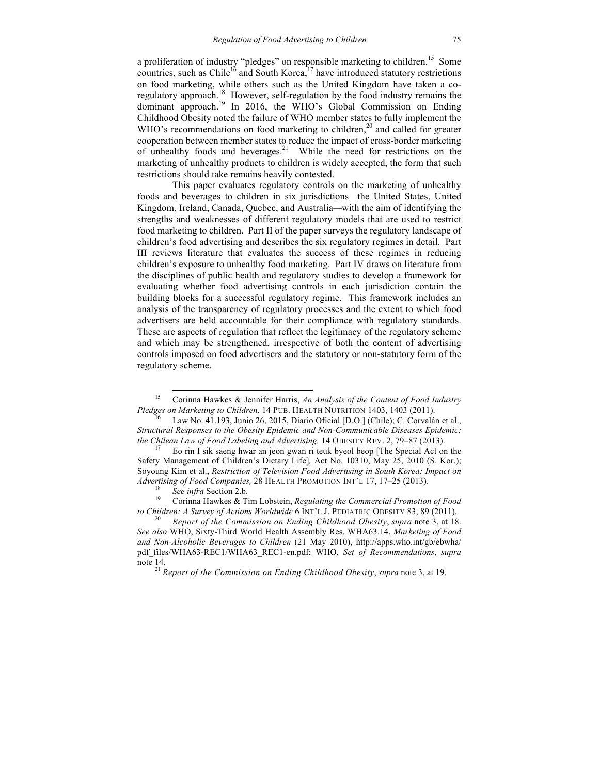a proliferation of industry "pledges" on responsible marketing to children.<sup>15</sup> Some countries, such as Chile<sup>16</sup> and South Korea, $17$  have introduced statutory restrictions on food marketing, while others such as the United Kingdom have taken a coregulatory approach.18 However, self-regulation by the food industry remains the dominant approach. <sup>19</sup> In 2016, the WHO's Global Commission on Ending Childhood Obesity noted the failure of WHO member states to fully implement the WHO's recommendations on food marketing to children,<sup>20</sup> and called for greater cooperation between member states to reduce the impact of cross-border marketing of unhealthy foods and beverages.<sup>21</sup> While the need for restrictions on the marketing of unhealthy products to children is widely accepted, the form that such restrictions should take remains heavily contested.

This paper evaluates regulatory controls on the marketing of unhealthy foods and beverages to children in six jurisdictions*—*the United States, United Kingdom, Ireland, Canada, Quebec, and Australia*—*with the aim of identifying the strengths and weaknesses of different regulatory models that are used to restrict food marketing to children. Part II of the paper surveys the regulatory landscape of children's food advertising and describes the six regulatory regimes in detail. Part III reviews literature that evaluates the success of these regimes in reducing children's exposure to unhealthy food marketing. Part IV draws on literature from the disciplines of public health and regulatory studies to develop a framework for evaluating whether food advertising controls in each jurisdiction contain the building blocks for a successful regulatory regime. This framework includes an analysis of the transparency of regulatory processes and the extent to which food advertisers are held accountable for their compliance with regulatory standards. These are aspects of regulation that reflect the legitimacy of the regulatory scheme and which may be strengthened, irrespective of both the content of advertising controls imposed on food advertisers and the statutory or non-statutory form of the regulatory scheme.

 <sup>15</sup> Corinna Hawkes & Jennifer Harris, *An Analysis of the Content of Food Industry Pledges on Marketing to Children*, 14 PUB. HEALTH NUTRITION 1403, 1403 (2011).<br><sup>16</sup> Law No. 41.193, Junio 26, 2015, Diario Oficial [D.O.] (Chile); C. Corvalán et al.,

*Structural Responses to the Obesity Epidemic and Non-Communicable Diseases Epidemic: the Chilean Law of Food Labeling and Advertising,* 14 OBESITY REV. 2, 79–87 (2013).<br><sup>17</sup> Eo rin I sik saeng hwar an jeon gwan ri teuk byeol beop [The Special Act on the

Safety Management of Children's Dietary Life]*,* Act No. 10310, May 25, 2010 (S. Kor.); Soyoung Kim et al., *Restriction of Television Food Advertising in South Korea: Impact on Advertising of Food Companies,* 28 HEALTH PROMOTION INT'L 17, 17–25 (2013).<br><sup>18</sup> *See infra* Section 2.b. <sup>19</sup> Corinna Hawkes & Tim Lobstein, *Regulating the Commercial Promotion of Food* 

*to Children: A Survey of Actions Worldwide* 6 INT'L J. PEDIATRIC OBESITY 83, 89 (2011). <sup>20</sup> *Report of the Commission on Ending Childhood Obesity*, *supra* note 3, at 18.

*See also* WHO, Sixty-Third World Health Assembly Res. WHA63.14, *Marketing of Food and Non-Alcoholic Beverages to Children* (21 May 2010), http://apps.who.int/gb/ebwha/ pdf\_files/WHA63-REC1/WHA63\_REC1-en.pdf; WHO, *Set of Recommendations*, *supra*  note 14.<br><sup>21</sup> *Report of the Commission on Ending Childhood Obesity*, *supra* note 3, at 19.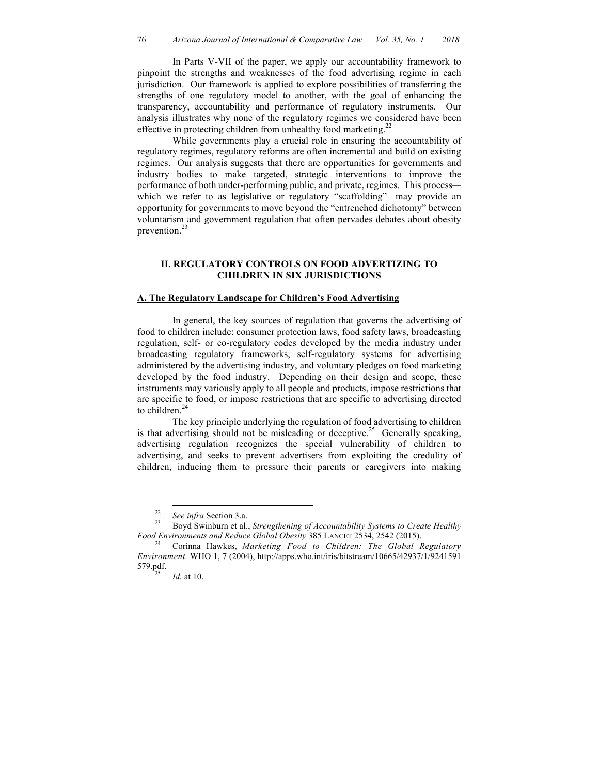In Parts V-VII of the paper, we apply our accountability framework to pinpoint the strengths and weaknesses of the food advertising regime in each jurisdiction. Our framework is applied to explore possibilities of transferring the strengths of one regulatory model to another, with the goal of enhancing the transparency, accountability and performance of regulatory instruments. Our analysis illustrates why none of the regulatory regimes we considered have been effective in protecting children from unhealthy food marketing.<sup>22</sup>

While governments play a crucial role in ensuring the accountability of regulatory regimes, regulatory reforms are often incremental and build on existing regimes. Our analysis suggests that there are opportunities for governments and industry bodies to make targeted, strategic interventions to improve the performance of both under-performing public, and private, regimes. This process which we refer to as legislative or regulatory "scaffolding"*—*may provide an opportunity for governments to move beyond the "entrenched dichotomy" between voluntarism and government regulation that often pervades debates about obesity prevention. $^{23}$ 

## **II. REGULATORY CONTROLS ON FOOD ADVERTIZING TO CHILDREN IN SIX JURISDICTIONS**

#### **A. The Regulatory Landscape for Children's Food Advertising**

In general, the key sources of regulation that governs the advertising of food to children include: consumer protection laws, food safety laws, broadcasting regulation, self- or co-regulatory codes developed by the media industry under broadcasting regulatory frameworks, self-regulatory systems for advertising administered by the advertising industry, and voluntary pledges on food marketing developed by the food industry. Depending on their design and scope, these instruments may variously apply to all people and products, impose restrictions that are specific to food, or impose restrictions that are specific to advertising directed to children. $<sup>2</sup>$ </sup>

The key principle underlying the regulation of food advertising to children is that advertising should not be misleading or deceptive.<sup>25</sup> Generally speaking, advertising regulation recognizes the special vulnerability of children to advertising, and seeks to prevent advertisers from exploiting the credulity of children, inducing them to pressure their parents or caregivers into making

<sup>&</sup>lt;sup>22</sup> *See infra* Section 3.a.<br><sup>23</sup> Boyd Swinburn et al., *Strengthening of Accountability Systems to Create Healthy Food Environments and Reduce Global Obesity 385 LANCET 2534, 2542 (2015).* 

Corinna Hawkes, *Marketing Food to Children: The Global Regulatory Environment,* WHO 1, 7 (2004), http://apps.who.int/iris/bitstream/10665/42937/1/9241591 579.pdf.<br> $^{25}$  *Id.* at 10.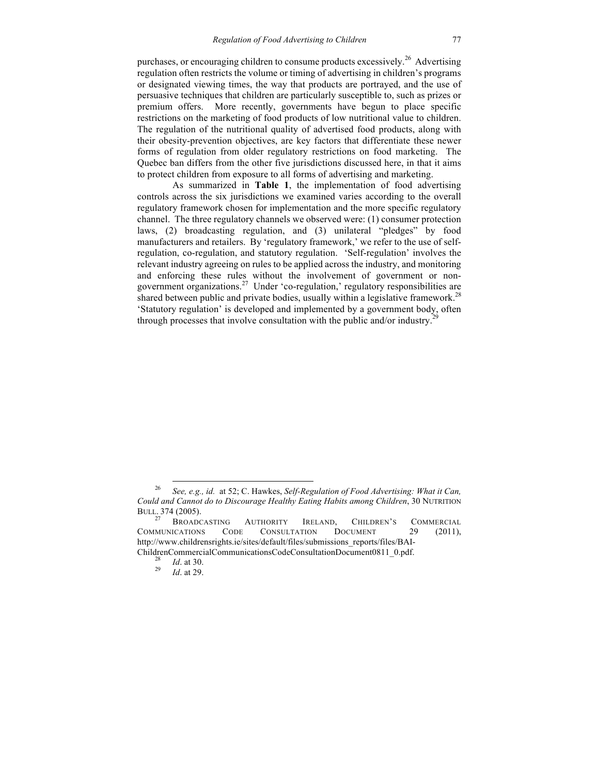purchases, or encouraging children to consume products excessively.<sup>26</sup> Advertising regulation often restricts the volume or timing of advertising in children's programs or designated viewing times, the way that products are portrayed, and the use of persuasive techniques that children are particularly susceptible to, such as prizes or premium offers. More recently, governments have begun to place specific restrictions on the marketing of food products of low nutritional value to children. The regulation of the nutritional quality of advertised food products, along with their obesity-prevention objectives, are key factors that differentiate these newer forms of regulation from older regulatory restrictions on food marketing. The Quebec ban differs from the other five jurisdictions discussed here, in that it aims to protect children from exposure to all forms of advertising and marketing.

As summarized in **Table 1**, the implementation of food advertising controls across the six jurisdictions we examined varies according to the overall regulatory framework chosen for implementation and the more specific regulatory channel. The three regulatory channels we observed were: (1) consumer protection laws, (2) broadcasting regulation, and (3) unilateral "pledges" by food manufacturers and retailers. By 'regulatory framework,' we refer to the use of selfregulation, co-regulation, and statutory regulation. 'Self-regulation' involves the relevant industry agreeing on rules to be applied across the industry, and monitoring and enforcing these rules without the involvement of government or nongovernment organizations.27 Under 'co-regulation,' regulatory responsibilities are shared between public and private bodies, usually within a legislative framework.<sup>28</sup> 'Statutory regulation' is developed and implemented by a government body, often through processes that involve consultation with the public and/or industry.<sup>2</sup>

 <sup>26</sup> *See, e.g., id.* at 52; C. Hawkes, *Self-Regulation of Food Advertising: What it Can, Could and Cannot do to Discourage Healthy Eating Habits among Children*, 30 NUTRITION BULL. 374 (2005).

BROADCASTING AUTHORITY IRELAND, CHILDREN'S COMMERCIAL COMMUNICATIONS CODE CONSULTATION DOCUMENT 29 (2011), http://www.childrensrights.ie/sites/default/files/submissions\_reports/files/BAI-ChildrenCommercialCommunicationsCodeConsultationDocument0811\_0.pdf. <sup>28</sup> *Id*. at 30. <sup>29</sup> *Id*. at 29.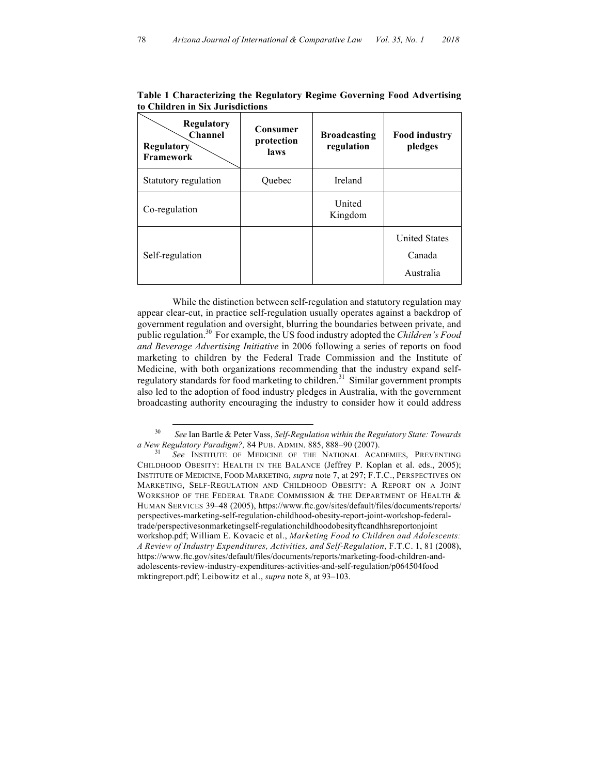| <b>Regulatory</b><br><b>Channel</b><br>Regulatory<br><b>Framework</b> | Consumer<br>protection<br>laws | <b>Broadcasting</b><br>regulation | <b>Food industry</b><br>pledges             |
|-----------------------------------------------------------------------|--------------------------------|-----------------------------------|---------------------------------------------|
| Statutory regulation                                                  | Quebec                         | Ireland                           |                                             |
| Co-regulation                                                         |                                | United<br>Kingdom                 |                                             |
| Self-regulation                                                       |                                |                                   | <b>United States</b><br>Canada<br>Australia |

**Table 1 Characterizing the Regulatory Regime Governing Food Advertising to Children in Six Jurisdictions**

While the distinction between self-regulation and statutory regulation may appear clear-cut, in practice self-regulation usually operates against a backdrop of government regulation and oversight, blurring the boundaries between private, and public regulation.30 For example, the US food industry adopted the *Children's Food and Beverage Advertising Initiative* in 2006 following a series of reports on food marketing to children by the Federal Trade Commission and the Institute of Medicine, with both organizations recommending that the industry expand selfregulatory standards for food marketing to children.<sup>31</sup> Similar government prompts also led to the adoption of food industry pledges in Australia, with the government broadcasting authority encouraging the industry to consider how it could address

 <sup>30</sup> *See* Ian Bartle & Peter Vass, *Self-Regulation within the Regulatory State: Towards a New Regulatory Paradigm?,* 84 PUB. ADMIN. 885, 888–90 (2007). <sup>31</sup> *See* INSTITUTE OF MEDICINE OF THE NATIONAL ACADEMIES, PREVENTING

CHILDHOOD OBESITY: HEALTH IN THE BALANCE (Jeffrey P. Koplan et al. eds., 2005); INSTITUTE OF MEDICINE, FOOD MARKETING, *supra* note 7, at 297; F.T.C., PERSPECTIVES ON MARKETING, SELF-REGULATION AND CHILDHOOD OBESITY: A REPORT ON A JOINT WORKSHOP OF THE FEDERAL TRADE COMMISSION  $\&$  the Department of Health  $\&$ HUMAN SERVICES 39–48 (2005), https://www.ftc.gov/sites/default/files/documents/reports/ perspectives-marketing-self-regulation-childhood-obesity-report-joint-workshop-federaltrade/perspectivesonmarketingself-regulationchildhoodobesityftcandhhsreportonjoint workshop.pdf; William E. Kovacic et al., *Marketing Food to Children and Adolescents: A Review of Industry Expenditures, Activities, and Self-Regulation*, F.T.C. 1, 81 (2008), https://www.ftc.gov/sites/default/files/documents/reports/marketing-food-children-andadolescents-review-industry-expenditures-activities-and-self-regulation/p064504food mktingreport.pdf; Leibowitz et al., *supra* note 8, at 93–103.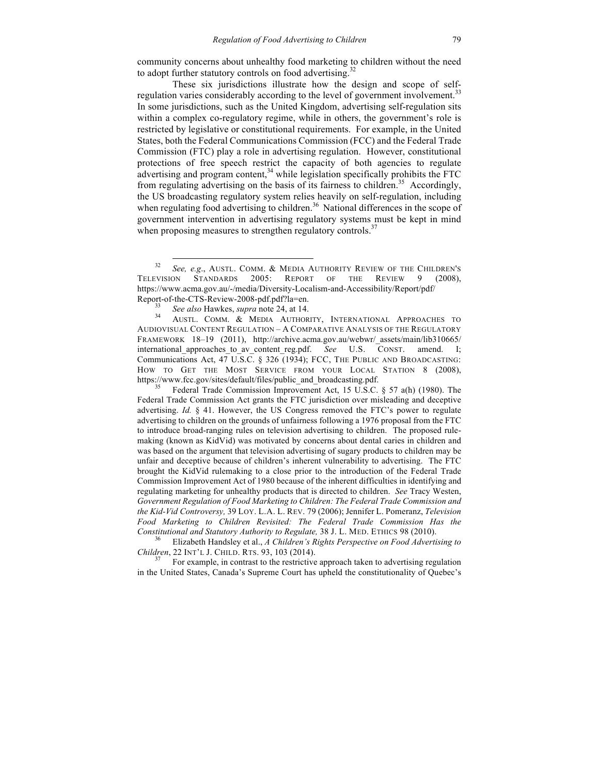community concerns about unhealthy food marketing to children without the need to adopt further statutory controls on food advertising.<sup>32</sup>

These six jurisdictions illustrate how the design and scope of selfregulation varies considerably according to the level of government involvement.<sup>33</sup> In some jurisdictions, such as the United Kingdom, advertising self-regulation sits within a complex co-regulatory regime, while in others, the government's role is restricted by legislative or constitutional requirements. For example, in the United States, both the Federal Communications Commission (FCC) and the Federal Trade Commission (FTC) play a role in advertising regulation. However, constitutional protections of free speech restrict the capacity of both agencies to regulate advertising and program content,<sup>34</sup> while legislation specifically prohibits the FTC from regulating advertising on the basis of its fairness to children.<sup>35</sup> Accordingly, the US broadcasting regulatory system relies heavily on self-regulation, including when regulating food advertising to children.<sup>36</sup> National differences in the scope of government intervention in advertising regulatory systems must be kept in mind when proposing measures to strengthen regulatory controls.<sup>37</sup>

Federal Trade Commission Improvement Act, 15 U.S.C.  $\S$  57 a(h) (1980). The Federal Trade Commission Act grants the FTC jurisdiction over misleading and deceptive advertising. *Id.* § 41. However, the US Congress removed the FTC's power to regulate advertising to children on the grounds of unfairness following a 1976 proposal from the FTC to introduce broad-ranging rules on television advertising to children. The proposed rulemaking (known as KidVid) was motivated by concerns about dental caries in children and was based on the argument that television advertising of sugary products to children may be unfair and deceptive because of children's inherent vulnerability to advertising. The FTC brought the KidVid rulemaking to a close prior to the introduction of the Federal Trade Commission Improvement Act of 1980 because of the inherent difficulties in identifying and regulating marketing for unhealthy products that is directed to children. *See* Tracy Westen, *Government Regulation of Food Marketing to Children: The Federal Trade Commission and the Kid-Vid Controversy,* 39 LOY. L.A. L. REV. 79 (2006); Jennifer L. Pomeranz, *Television Food Marketing to Children Revisited: The Federal Trade Commission Has the Constitutional and Statutory Authority to Regulate,* 38 J. L. MED. ETHICS 98 (2010). <sup>36</sup> Elizabeth Handsley et al., *A Children's Rights Perspective on Food Advertising to* 

*Children*, 22 INT'L J. CHILD. RTS. 93, 103 (2014).<br><sup>37</sup> For example, in contrast to the restrictive approach taken to advertising regulation

in the United States, Canada's Supreme Court has upheld the constitutionality of Quebec's

 <sup>32</sup> *See, e.g*., AUSTL. COMM. & MEDIA AUTHORITY REVIEW OF THE CHILDREN'S TELEVISION STANDARDS 2005: REPORT OF THE REVIEW 9 (2008), https://www.acma.gov.au/-/media/Diversity-Localism-and-Accessibility/Report/pdf/

Report-of-the-CTS-Review-2008-pdf.pdf?la=en.<br><sup>33</sup> *See also* Hawkes, *supra* note 24, at 14.<br><sup>34</sup> AUSTL. COMM. & MEDIA AUTHORITY, INTERNATIONAL APPROACHES TO AUDIOVISUAL CONTENT REGULATION – A COMPARATIVE ANALYSIS OF THE REGULATORY FRAMEWORK 18–19 (2011), http://archive.acma.gov.au/webwr/\_assets/main/lib310665/ international approaches to av content reg.pdf. *See* U.S. CONST. amend. I; Communications Act, 47 U.S.C. § 326 (1934); FCC, THE PUBLIC AND BROADCASTING: HOW TO GET THE MOST SERVICE FROM YOUR LOCAL STATION 8 (2008), https://www.fcc.gov/sites/default/files/public and broadcasting.pdf.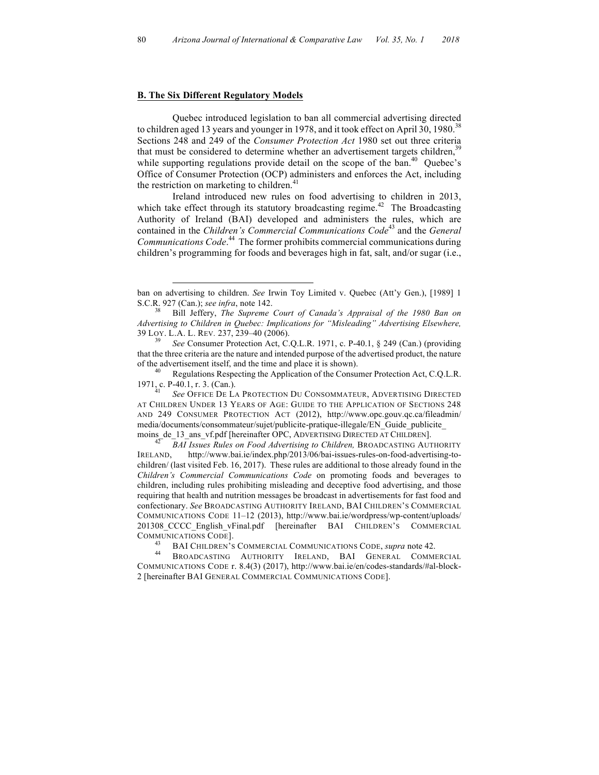#### **B. The Six Different Regulatory Models**

 $\overline{a}$ 

Quebec introduced legislation to ban all commercial advertising directed to children aged 13 years and younger in 1978, and it took effect on April 30, 1980.<sup>38</sup> Sections 248 and 249 of the *Consumer Protection Act* 1980 set out three criteria that must be considered to determine whether an advertisement targets children,  $39$ while supporting regulations provide detail on the scope of the ban.<sup>40</sup> Quebec's Office of Consumer Protection (OCP) administers and enforces the Act, including the restriction on marketing to children. $41$ 

Ireland introduced new rules on food advertising to children in 2013, which take effect through its statutory broadcasting regime.<sup>42</sup> The Broadcasting Authority of Ireland (BAI) developed and administers the rules, which are contained in the *Children's Commercial Communications Code*<sup>43</sup> and the *General Communications Code*. 44 The former prohibits commercial communications during children's programming for foods and beverages high in fat, salt, and/or sugar (i.e.,

moins\_de\_13\_ans\_vf.pdf [hereinafter OPC, ADVERTISING DIRECTED AT CHILDREN]. <sup>42</sup> *BAI Issues Rules on Food Advertising to Children,* BROADCASTING AUTHORITY IRELAND, http://www.bai.ie/index.php/2013/06/bai-issues-rules-on-food-advertising-tochildren/ (last visited Feb. 16, 2017). These rules are additional to those already found in the *Children's Commercial Communications Code* on promoting foods and beverages to children, including rules prohibiting misleading and deceptive food advertising, and those requiring that health and nutrition messages be broadcast in advertisements for fast food and confectionary. *See* BROADCASTING AUTHORITY IRELAND, BAI CHILDREN'S COMMERCIAL COMMUNICATIONS CODE 11–12 (2013), http://www.bai.ie/wordpress/wp-content/uploads/ 201308\_CCCC\_English\_vFinal.pdf [hereinafter BAI CHILDREN'S COMMERCIAL

ban on advertising to children. *See* Irwin Toy Limited v. Quebec (Att'y Gen.), [1989] 1 S.C.R. 927 (Can.); *see infra*, note 142.<br><sup>38</sup> Bill Jeffery, *The Supreme Court of Canada's Appraisal of the 1980 Ban on* 

*Advertising to Children in Quebec: Implications for "Misleading" Advertising Elsewhere,*  39 LOY. L.A. L. REV*.* 237, 239–40 (2006). <sup>39</sup> *See* Consumer Protection Act, C.Q.L.R. 1971, c. P-40.1, § 249 (Can.) (providing

that the three criteria are the nature and intended purpose of the advertised product, the nature of the advertisement itself, and the time and place it is shown).<br><sup>40</sup> Regulations Respecting the Application of the Consumer Protection Act, C.Q.L.R.

<sup>1971,</sup> c. P-40.1, r. 3. (Can.). <sup>41</sup> *See* OFFICE DE LA PROTECTION DU CONSOMMATEUR, ADVERTISING DIRECTED AT CHILDREN UNDER 13 YEARS OF AGE: GUIDE TO THE APPLICATION OF SECTIONS 248 AND 249 CONSUMER PROTECTION ACT (2012), http://www.opc.gouv.qc.ca/fileadmin/ media/documents/consommateur/sujet/publicite-pratique-illegale/EN\_Guide\_publicite\_

<sup>&</sup>lt;sup>43</sup> BAI CHILDREN'S COMMERCIAL COMMUNICATIONS CODE, *supra* note 42.<br><sup>44</sup> BROADCASTING AUTHORITY IRELAND, BAI GENERAL COMMERCIAL

COMMUNICATIONS CODE r. 8.4(3) (2017), http://www.bai.ie/en/codes-standards/#al-block-2 [hereinafter BAI GENERAL COMMERCIAL COMMUNICATIONS CODE].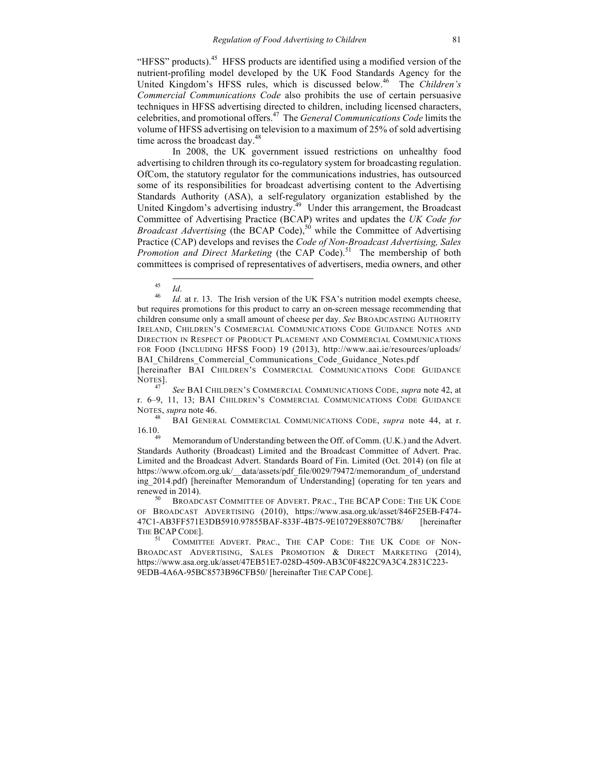"HFSS" products).45 HFSS products are identified using a modified version of the nutrient-profiling model developed by the UK Food Standards Agency for the United Kingdom's HFSS rules, which is discussed below. 46 The *Children's Commercial Communications Code* also prohibits the use of certain persuasive techniques in HFSS advertising directed to children, including licensed characters, celebrities, and promotional offers.47 The *General Communications Code* limits the volume of HFSS advertising on television to a maximum of 25% of sold advertising time across the broadcast day.<sup>48</sup>

In 2008, the UK government issued restrictions on unhealthy food advertising to children through its co-regulatory system for broadcasting regulation. OfCom, the statutory regulator for the communications industries, has outsourced some of its responsibilities for broadcast advertising content to the Advertising Standards Authority (ASA), a self-regulatory organization established by the United Kingdom's advertising industry.<sup>49</sup> Under this arrangement, the Broadcast Committee of Advertising Practice (BCAP) writes and updates the *UK Code for Broadcast Advertising* (the BCAP Code),<sup>50</sup> while the Committee of Advertising Practice (CAP) develops and revises the *Code of Non-Broadcast Advertising, Sales Promotion and Direct Marketing* (the CAP Code).<sup>51</sup> The membership of both committees is comprised of representatives of advertisers, media owners, and other

<sup>45</sup> *Id*. <sup>46</sup> *Id.* at r. 13. The Irish version of the UK FSA's nutrition model exempts cheese, but requires promotions for this product to carry an on-screen message recommending that children consume only a small amount of cheese per day. *See* BROADCASTING AUTHORITY IRELAND, CHILDREN'S COMMERCIAL COMMUNICATIONS CODE GUIDANCE NOTES AND DIRECTION IN RESPECT OF PRODUCT PLACEMENT AND COMMERCIAL COMMUNICATIONS FOR FOOD (INCLUDING HFSS FOOD) 19 (2013), http://www.aai.ie/resources/uploads/ BAI Childrens Commercial Communications Code Guidance Notes.pdf

[hereinafter BAI CHILDREN'S COMMERCIAL COMMUNICATIONS CODE GUIDANCE<br>NOTES].

See BAI CHILDREN'S COMMERCIAL COMMUNICATIONS CODE, *supra* note 42, at r. 6–9, 11, 13; BAI CHILDREN'S COMMERCIAL COMMUNICATIONS CODE GUIDANCE NOTES, *supra* note 46. <sup>48</sup> BAI GENERAL COMMERCIAL COMMUNICATIONS CODE, *supra* note 44, at r.

16.10.<br><sup>49</sup> Memorandum of Understanding between the Off. of Comm. (U.K.) and the Advert.

Standards Authority (Broadcast) Limited and the Broadcast Committee of Advert. Prac. Limited and the Broadcast Advert. Standards Board of Fin. Limited (Oct. 2014) (on file at https://www.ofcom.org.uk/ data/assets/pdf\_file/0029/79472/memorandum\_of\_understand ing\_2014.pdf) [hereinafter Memorandum of Understanding] (operating for ten years and renewed in 2014).

<sup>50</sup> BROADCAST COMMITTEE OF ADVERT. PRAC., THE BCAP CODE: THE UK CODE OF BROADCAST ADVERTISING (2010), https://www.asa.org.uk/asset/846F25EB-F474- 47C1-AB3FF571E3DB5910.97855BAF-833F-4B75-9E10729E8807C7B8/ [hereinafter THE BCAP CODE].<br><sup>51</sup> COMMITTEE ADVERT. PRAC., THE CAP CODE: THE UK CODE OF NON-

BROADCAST ADVERTISING, SALES PROMOTION & DIRECT MARKETING (2014), https://www.asa.org.uk/asset/47EB51E7-028D-4509-AB3C0F4822C9A3C4.2831C223- 9EDB-4A6A-95BC8573B96CFB50/ [hereinafter THE CAP CODE].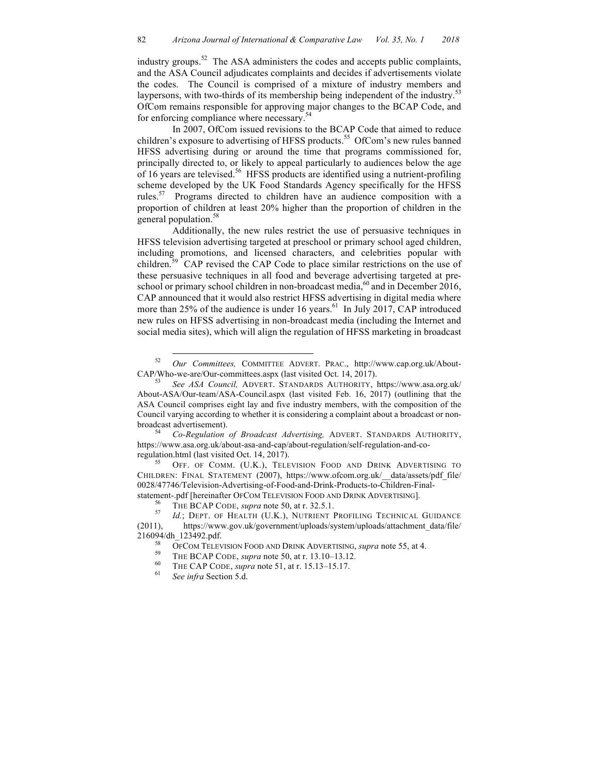industry groups.<sup>52</sup> The ASA administers the codes and accepts public complaints, and the ASA Council adjudicates complaints and decides if advertisements violate the codes. The Council is comprised of a mixture of industry members and laypersons, with two-thirds of its membership being independent of the industry. $53$ OfCom remains responsible for approving major changes to the BCAP Code, and for enforcing compliance where necessary.<sup>54</sup>

In 2007, OfCom issued revisions to the BCAP Code that aimed to reduce children's exposure to advertising of HFSS products.<sup>55</sup> OfCom's new rules banned HFSS advertising during or around the time that programs commissioned for, principally directed to, or likely to appeal particularly to audiences below the age of 16 years are televised.<sup>56</sup> HFSS products are identified using a nutrient-profiling scheme developed by the UK Food Standards Agency specifically for the HFSS rules.57 Programs directed to children have an audience composition with a proportion of children at least 20% higher than the proportion of children in the general population.<sup>58</sup>

Additionally, the new rules restrict the use of persuasive techniques in HFSS television advertising targeted at preschool or primary school aged children, including promotions, and licensed characters, and celebrities popular with children.59 CAP revised the CAP Code to place similar restrictions on the use of these persuasive techniques in all food and beverage advertising targeted at preschool or primary school children in non-broadcast media, $^{60}$  and in December 2016, CAP announced that it would also restrict HFSS advertising in digital media where more than 25% of the audience is under 16 years.<sup>61</sup> In July 2017, CAP introduced new rules on HFSS advertising in non-broadcast media (including the Internet and social media sites), which will align the regulation of HFSS marketing in broadcast

regulation.html (last visited Oct. 14, 2017).<br><sup>55</sup> OFF. OF COMM. (U.K.), TELEVISION FOOD AND DRINK ADVERTISING TO CHILDREN: FINAL STATEMENT (2007), https://www.ofcom.org.uk/\_\_data/assets/pdf\_file/ 0028/47746/Television-Advertising-of-Food-and-Drink-Products-to-Children-Final-

 <sup>52</sup> *Our Committees,* COMMITTEE ADVERT. PRAC., http://www.cap.org.uk/About-CAP/Who-we-are/Our-committees.aspx (last visited Oct. 14, 2017). <sup>53</sup> *See ASA Council,* ADVERT. STANDARDS AUTHORITY, https://www.asa.org.uk/

About-ASA/Our-team/ASA-Council.aspx (last visited Feb. 16, 2017) (outlining that the ASA Council comprises eight lay and five industry members, with the composition of the Council varying according to whether it is considering a complaint about a broadcast or nonbroadcast advertisement). <sup>54</sup> *Co-Regulation of Broadcast Advertising,* ADVERT. STANDARDS AUTHORITY,

https://www.asa.org.uk/about-asa-and-cap/about-regulation/self-regulation-and-co-

statement-.pdf [hereinafter OFCOM TELEVISION FOOD AND DRINK ADVERTISING].<br><sup>56</sup> THE BCAP CODE, *supra* note 50, at r. 32.5.1.<br><sup>57</sup> *Id.*; DEPT. OF HEALTH (U.K.), NUTRIENT PROFILING TECHNICAL GUIDANCE (2011), https://www.gov.uk/government/uploads/system/uploads/attachment\_data/file/ 216094/dh\_123492.pdf.<br>
<sup>58</sup> OFCOM TELEVISION FOOD AND DRINK ADVERTISING, *supra* note 55, at 4.<br>
<sup>59</sup> THE BCAP CODE, *supra* note 50, at r. 13.10–13.12.<br>
<sup>60</sup> THE CAP CODE, *supra* note 51, at r. 15.13–15.17.<br>
<sup>61</sup> *See i*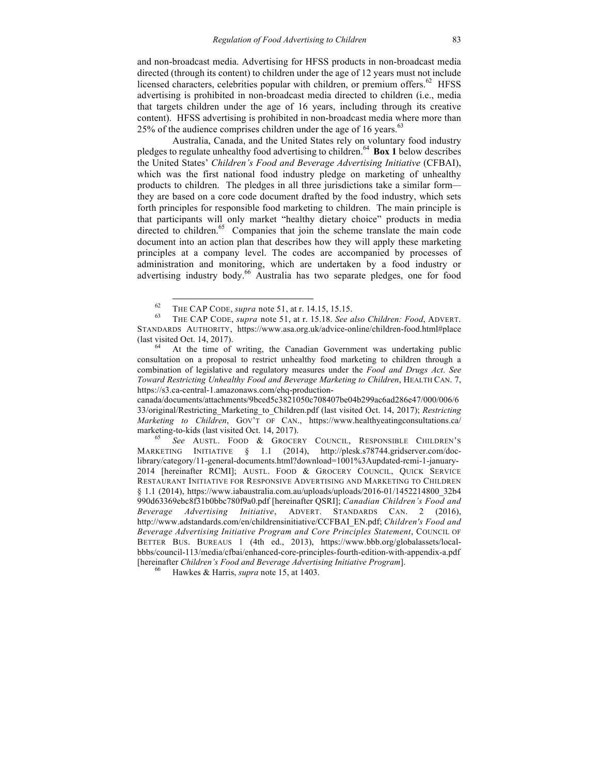and non-broadcast media. Advertising for HFSS products in non-broadcast media directed (through its content) to children under the age of 12 years must not include licensed characters, celebrities popular with children, or premium offers.<sup>62</sup> HFSS advertising is prohibited in non-broadcast media directed to children (i.e., media that targets children under the age of 16 years, including through its creative content). HFSS advertising is prohibited in non-broadcast media where more than 25% of the audience comprises children under the age of 16 years.<sup>63</sup>

Australia, Canada, and the United States rely on voluntary food industry pledges to regulate unhealthy food advertising to children.64 **Box 1** below describes the United States' *Children's Food and Beverage Advertising Initiative* (CFBAI), which was the first national food industry pledge on marketing of unhealthy products to children. The pledges in all three jurisdictions take a similar form they are based on a core code document drafted by the food industry, which sets forth principles for responsible food marketing to children. The main principle is that participants will only market "healthy dietary choice" products in media directed to children.<sup>65</sup> Companies that join the scheme translate the main code document into an action plan that describes how they will apply these marketing principles at a company level. The codes are accompanied by processes of administration and monitoring, which are undertaken by a food industry or advertising industry body.<sup>66</sup> Australia has two separate pledges, one for food

consultation on a proposal to restrict unhealthy food marketing to children through a combination of legislative and regulatory measures under the *Food and Drugs Act*. *See Toward Restricting Unhealthy Food and Beverage Marketing to Children*, HEALTH CAN. 7, https://s3.ca-central-1.amazonaws.com/ehq-production-

canada/documents/attachments/9bced5c3821050c708407be04b299ac6ad286e47/000/006/6 33/original/Restricting\_Marketing\_to\_Children.pdf (last visited Oct. 14, 2017); *Restricting Marketing to Children*, GOV'T OF CAN., https://www.healthyeatingconsultations.ca/ marketing-to-kids (last visited Oct. 14, 2017).<br><sup>65</sup> *See* AUSTL. FOOD & GROCERY COUNCIL, RESPONSIBLE CHILDREN'S

MARKETING INITIATIVE § 1.1 (2014), http://plesk.s78744.gridserver.com/doclibrary/category/11-general-documents.html?download=1001%3Aupdated-rcmi-1-january-2014 [hereinafter RCMI]; AUSTL. FOOD & GROCERY COUNCIL, QUICK SERVICE RESTAURANT INITIATIVE FOR RESPONSIVE ADVERTISING AND MARKETING TO CHILDREN § 1.1 (2014), https://www.iabaustralia.com.au/uploads/uploads/2016-01/1452214800\_32b4 990d63369ebc8f31b0bbc780f9a0.pdf [hereinafter QSRI]; *Canadian Children's Food and Beverage Advertising Initiative*, ADVERT. STANDARDS CAN. 2 (2016), http://www.adstandards.com/en/childrensinitiative/CCFBAI\_EN.pdf; *Children's Food and Beverage Advertising Initiative Program and Core Principles Statement*, COUNCIL OF BETTER BUS. BUREAUS 1 (4th ed., 2013), https://www.bbb.org/globalassets/localbbbs/council-113/media/cfbai/enhanced-core-principles-fourth-edition-with-appendix-a.pdf [hereinafter *Children's Food and Beverage Advertising Initiative Program*]. <sup>66</sup> Hawkes & Harris, *supra* note 15, at 1403.

<sup>62</sup> THE CAP CODE, *supra* note 51, at r. 14.15, 15.15. <sup>63</sup> THE CAP CODE, *supra* note 51, at r. 15.18. *See also Children: Food*, ADVERT. STANDARDS AUTHORITY, https://www.asa.org.uk/advice-online/children-food.html#place (last visited Oct. 14, 2017).<br><sup>64</sup> At the time of writing, the Canadian Government was undertaking public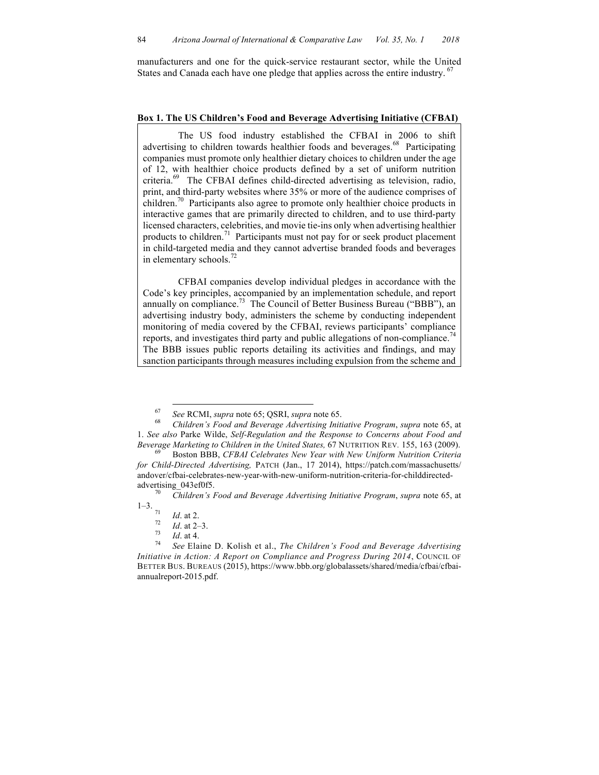manufacturers and one for the quick-service restaurant sector, while the United States and Canada each have one pledge that applies across the entire industry. <sup>67</sup>

#### **Box 1. The US Children's Food and Beverage Advertising Initiative (CFBAI)**

The US food industry established the CFBAI in 2006 to shift advertising to children towards healthier foods and beverages.<sup>68</sup> Participating companies must promote only healthier dietary choices to children under the age of 12, with healthier choice products defined by a set of uniform nutrition criteria.69 The CFBAI defines child-directed advertising as television, radio, print, and third-party websites where 35% or more of the audience comprises of children.<sup>70</sup> Participants also agree to promote only healthier choice products in interactive games that are primarily directed to children, and to use third-party licensed characters, celebrities, and movie tie-ins only when advertising healthier products to children.<sup>71</sup> Participants must not pay for or seek product placement in child-targeted media and they cannot advertise branded foods and beverages in elementary schools.<sup>72</sup>

CFBAI companies develop individual pledges in accordance with the Code's key principles, accompanied by an implementation schedule, and report annually on compliance.<sup>73</sup> The Council of Better Business Bureau ("BBB"), an advertising industry body, administers the scheme by conducting independent monitoring of media covered by the CFBAI, reviews participants' compliance reports, and investigates third party and public allegations of non-compliance.<sup>74</sup> The BBB issues public reports detailing its activities and findings, and may sanction participants through measures including expulsion from the scheme and

<sup>67</sup> *See* RCMI, *supra* note 65; QSRI, *supra* note 65. <sup>68</sup> *Children's Food and Beverage Advertising Initiative Program*, *supra* note 65, at 1. *See also* Parke Wilde, *Self-Regulation and the Response to Concerns about Food and* 

*Beverage Marketing to Children in the United States,* 67 NUTRITION REV. 155, 163 (2009).<br><sup>69</sup> Boston BBB, *CFBAI Celebrates New Year with New Uniform Nutrition Criteria for Child-Directed Advertising,* PATCH (Jan., 17 2014), https://patch.com/massachusetts/ andover/cfbai-celebrates-new-year-with-new-uniform-nutrition-criteria-for-childdirected-

advertising\_043ef0f5. <sup>70</sup> *Children's Food and Beverage Advertising Initiative Program*, *supra* note 65, at 1–3.

<sup>1&</sup>lt;sup>1</sup> *Id.* at 2.<br>
<sup>72</sup> *Id.* at 2–3.<br> *Id.* at 4.<br>
<sup>74</sup> *See* Elaine D. Kolish et al., *The Children's Food and Beverage Advertising Initiative in Action: A Report on Compliance and Progress During 2014*, COUNCIL OF BETTER BUS. BUREAUS (2015), https://www.bbb.org/globalassets/shared/media/cfbai/cfbaiannualreport-2015.pdf.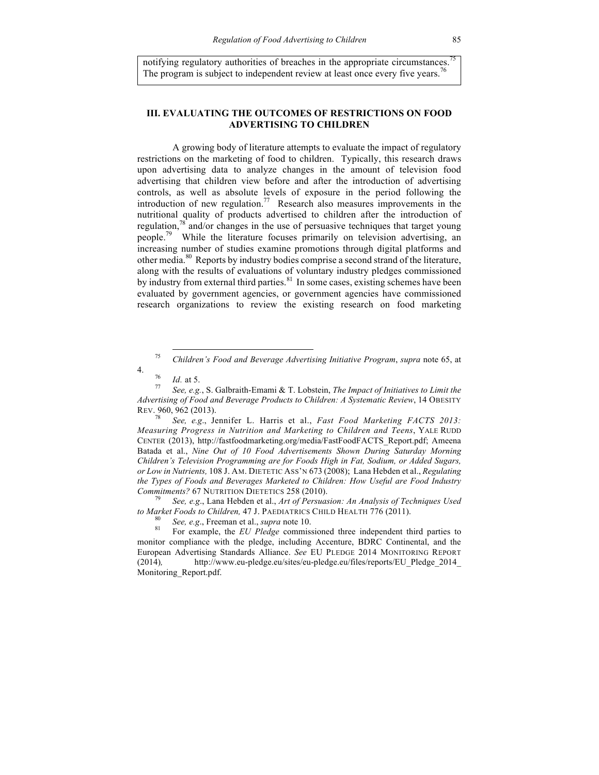notifying regulatory authorities of breaches in the appropriate circumstances. The program is subject to independent review at least once every five years.<sup>76</sup>

## **III. EVALUATING THE OUTCOMES OF RESTRICTIONS ON FOOD ADVERTISING TO CHILDREN**

A growing body of literature attempts to evaluate the impact of regulatory restrictions on the marketing of food to children. Typically, this research draws upon advertising data to analyze changes in the amount of television food advertising that children view before and after the introduction of advertising controls, as well as absolute levels of exposure in the period following the introduction of new regulation.<sup>77</sup> Research also measures improvements in the nutritional quality of products advertised to children after the introduction of regulation,<sup>78</sup> and/or changes in the use of persuasive techniques that target young people.<sup>79</sup> While the literature focuses primarily on television advertising, an increasing number of studies examine promotions through digital platforms and other media.80 Reports by industry bodies comprise a second strand of the literature, along with the results of evaluations of voluntary industry pledges commissioned by industry from external third parties.<sup>81</sup> In some cases, existing schemes have been evaluated by government agencies, or government agencies have commissioned research organizations to review the existing research on food marketing

*to Market Foods to Children,* 47 J. PAEDIATRICS CHILD HEALTH 776 (2011).<br><sup>80</sup> *See, e.g.*, Freeman et al., *supra* note 10.<br><sup>81</sup> For example, the *EU Pledge* commissioned three independent third parties to

 <sup>75</sup> *Children's Food and Beverage Advertising Initiative Program*, *supra* note 65, at

<sup>4.</sup> <sup>76</sup> *Id.* at 5. <sup>77</sup> *See, e.g.*, S. Galbraith-Emami & T. Lobstein, *The Impact of Initiatives to Limit the Advertising of Food and Beverage Products to Children: A Systematic Review*, 14 OBESITY REV. 960, 962 (2013).

<sup>78</sup> *See, e.g*., Jennifer L. Harris et al., *Fast Food Marketing FACTS 2013: Measuring Progress in Nutrition and Marketing to Children and Teens*, YALE RUDD CENTER (2013), http://fastfoodmarketing.org/media/FastFoodFACTS\_Report.pdf; Ameena Batada et al., *Nine Out of 10 Food Advertisements Shown During Saturday Morning Children's Television Programming are for Foods High in Fat, Sodium, or Added Sugars, or Low in Nutrients,* 108 J. AM. DIETETIC ASS'N 673 (2008); Lana Hebden et al., *Regulating the Types of Foods and Beverages Marketed to Children: How Useful are Food Industry Commitments?* 67 NUTRITION DIETETICS 258 (2010). <sup>79</sup> *See, e.g*., Lana Hebden et al., *Art of Persuasion: An Analysis of Techniques Used* 

monitor compliance with the pledge, including Accenture, BDRC Continental, and the European Advertising Standards Alliance. *See* EU PLEDGE 2014 MONITORING REPORT (2014)*,* http://www.eu-pledge.eu/sites/eu-pledge.eu/files/reports/EU\_Pledge\_2014\_ Monitoring\_Report.pdf.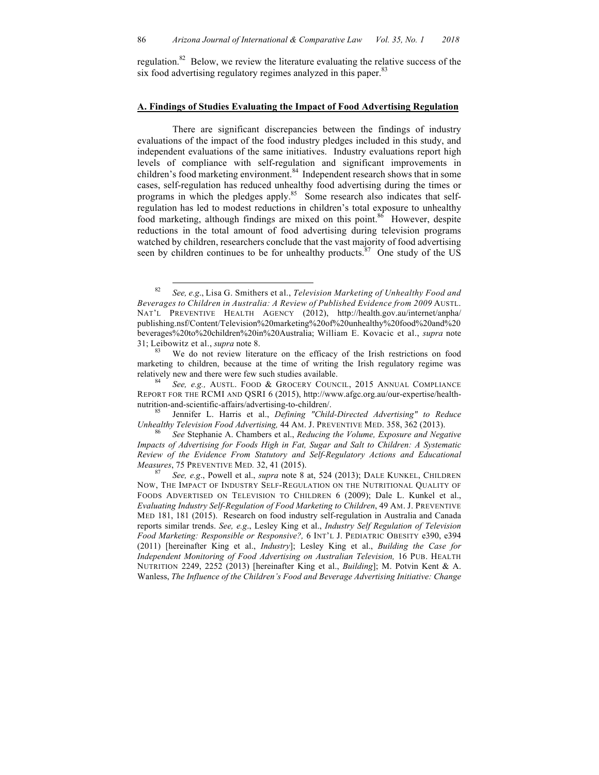regulation.<sup>82</sup> Below, we review the literature evaluating the relative success of the six food advertising regulatory regimes analyzed in this paper.<sup>83</sup>

### **A. Findings of Studies Evaluating the Impact of Food Advertising Regulation**

There are significant discrepancies between the findings of industry evaluations of the impact of the food industry pledges included in this study, and independent evaluations of the same initiatives. Industry evaluations report high levels of compliance with self-regulation and significant improvements in children's food marketing environment.<sup>84</sup> Independent research shows that in some cases, self-regulation has reduced unhealthy food advertising during the times or programs in which the pledges apply.<sup>85</sup> Some research also indicates that selfregulation has led to modest reductions in children's total exposure to unhealthy food marketing, although findings are mixed on this point.<sup>86</sup> However, despite reductions in the total amount of food advertising during television programs watched by children, researchers conclude that the vast majority of food advertising seen by children continues to be for unhealthy products. $87$  One study of the US

*Unhealthy Television Food Advertising,* 44 AM. J. PREVENTIVE MED. 358, 362 (2013). <sup>86</sup> *See* Stephanie A. Chambers et al., *Reducing the Volume, Exposure and Negative* 

 <sup>82</sup> *See, e.g*., Lisa G. Smithers et al., *Television Marketing of Unhealthy Food and Beverages to Children in Australia: A Review of Published Evidence from 2009* AUSTL. NAT'L PREVENTIVE HEALTH AGENCY (2012), http://health.gov.au/internet/anpha/ publishing.nsf/Content/Television%20marketing%20of%20unhealthy%20food%20and%20 beverages%20to%20children%20in%20Australia; William E. Kovacic et al., *supra* note 31; Leibowitz et al., *supra* note 8.<br><sup>83</sup> We do not review literature on the efficacy of the Irish restrictions on food

marketing to children, because at the time of writing the Irish regulatory regime was relatively new and there were few such studies available. <sup>84</sup> *See, e.g.,* AUSTL. FOOD & GROCERY COUNCIL, 2015 ANNUAL COMPLIANCE

REPORT FOR THE RCMI AND QSRI 6 (2015), http://www.afgc.org.au/our-expertise/healthnutrition-and-scientific-affairs/advertising-to-children/. <sup>85</sup> Jennifer L. Harris et al., *Defining "Child-Directed Advertising" to Reduce* 

*Impacts of Advertising for Foods High in Fat, Sugar and Salt to Children: A Systematic Review of the Evidence From Statutory and Self-Regulatory Actions and Educational Measures*, 75 PREVENTIVE MED. 32, 41 (2015).<br><sup>87</sup> *See, e.g.*, Powell et al., *supra* note 8 at, 524 (2013); DALE KUNKEL, CHILDREN

NOW, THE IMPACT OF INDUSTRY SELF-REGULATION ON THE NUTRITIONAL QUALITY OF FOODS ADVERTISED ON TELEVISION TO CHILDREN 6 (2009); Dale L. Kunkel et al., *Evaluating Industry Self-Regulation of Food Marketing to Children*, 49 AM. J. PREVENTIVE MED 181, 181 (2015). Research on food industry self-regulation in Australia and Canada reports similar trends. *See, e.g*., Lesley King et al., *Industry Self Regulation of Television Food Marketing: Responsible or Responsive?,* 6 INT'L J. PEDIATRIC OBESITY e390, e394 (2011) [hereinafter King et al., *Industry*]; Lesley King et al., *Building the Case for Independent Monitoring of Food Advertising on Australian Television,* 16 PUB. HEALTH NUTRITION 2249, 2252 (2013) [hereinafter King et al., *Building*]; M. Potvin Kent & A. Wanless, *The Influence of the Children's Food and Beverage Advertising Initiative: Change*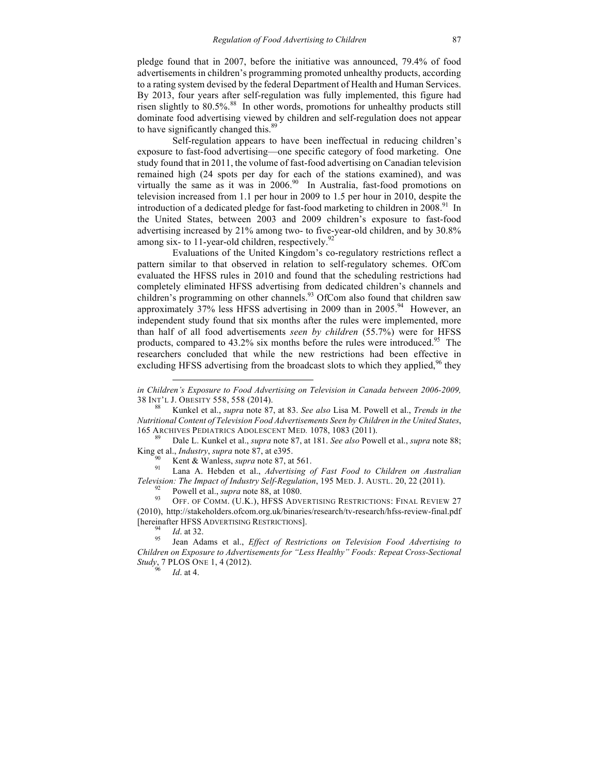pledge found that in 2007, before the initiative was announced, 79.4% of food advertisements in children's programming promoted unhealthy products, according to a rating system devised by the federal Department of Health and Human Services. By 2013, four years after self-regulation was fully implemented, this figure had risen slightly to 80.5%. 88 In other words, promotions for unhealthy products still dominate food advertising viewed by children and self-regulation does not appear to have significantly changed this.<sup>89</sup>

Self-regulation appears to have been ineffectual in reducing children's exposure to fast-food advertising—one specific category of food marketing. One study found that in 2011, the volume of fast-food advertising on Canadian television remained high (24 spots per day for each of the stations examined), and was virtually the same as it was in 2006.<sup>90</sup> In Australia, fast-food promotions on television increased from 1.1 per hour in 2009 to 1.5 per hour in 2010, despite the introduction of a dedicated pledge for fast-food marketing to children in  $2008<sup>91</sup>$  In the United States, between 2003 and 2009 children's exposure to fast-food advertising increased by 21% among two- to five-year-old children, and by 30.8% among six- to 11-year-old children, respectively.<sup>92</sup>

Evaluations of the United Kingdom's co-regulatory restrictions reflect a pattern similar to that observed in relation to self-regulatory schemes. OfCom evaluated the HFSS rules in 2010 and found that the scheduling restrictions had completely eliminated HFSS advertising from dedicated children's channels and children's programming on other channels. <sup>93</sup> OfCom also found that children saw approximately 37% less HFSS advertising in 2009 than in 2005.<sup>94</sup> However, an independent study found that six months after the rules were implemented, more than half of all food advertisements *seen by children* (55.7%) were for HFSS products, compared to  $43.2\%$  six months before the rules were introduced.<sup>95</sup> The researchers concluded that while the new restrictions had been effective in excluding HFSS advertising from the broadcast slots to which they applied,  $96$  they

King et al., *Industry*, *supra* note 87, at e395.<br><sup>90</sup> Kent & Wanless, *supra* note 87, at 561.<br><sup>91</sup> Lana A. Hebden et al., *Advertising of Fast Food to Children on Australian* 

*Television: The Impact of Industry Self-Regulation*, 195 MED. J. AUSTL. 20, 22 (2011).<br><sup>92</sup> Powell et al., *supra* note 88, at 1080.<br><sup>93</sup> OFF. OF COMM. (U.K.), HFSS ADVERTISING RESTRICTIONS: FINAL REVIEW 27

(2010), http://stakeholders.ofcom.org.uk/binaries/research/tv-research/hfss-review-final.pdf [hereinafter HFSS ADVERTISING RESTRICTIONS]. <sup>94</sup> *Id*. at 32. <sup>95</sup> Jean Adams et al., *Effect of Restrictions on Television Food Advertising to* 

 $\overline{a}$ 

*Children on Exposure to Advertisements for "Less Healthy" Foods: Repeat Cross-Sectional Study*, 7 PLOS ONE 1, 4 (2012).<br>*Id.* at 4.

*in Children's Exposure to Food Advertising on Television in Canada between 2006-2009,* <sup>38</sup> INT'L J. OBESITY 558, <sup>558</sup> (2014). <sup>88</sup> Kunkel et al., *supra* note 87, at 83. *See also* Lisa M. Powell et al., *Trends in the* 

*Nutritional Content of Television Food Advertisements Seen by Children in the United States*, 165 ARCHIVES PEDIATRICS ADOLESCENT MED*.* 1078, 1083 (2011). <sup>89</sup> Dale L. Kunkel et al., *supra* note 87, at 181. *See also* Powell et al., *supra* note 88;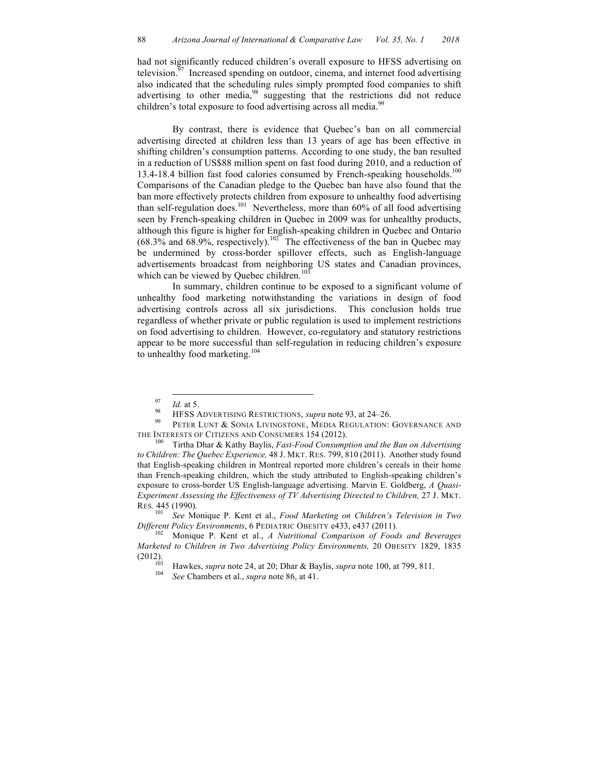had not significantly reduced children's overall exposure to HFSS advertising on television. $97$  Increased spending on outdoor, cinema, and internet food advertising also indicated that the scheduling rules simply prompted food companies to shift advertising to other media,<sup>98</sup> suggesting that the restrictions did not reduce children's total exposure to food advertising across all media.<sup>99</sup>

By contrast, there is evidence that Quebec's ban on all commercial advertising directed at children less than 13 years of age has been effective in shifting children's consumption patterns. According to one study, the ban resulted in a reduction of US\$88 million spent on fast food during 2010, and a reduction of 13.4-18.4 billion fast food calories consumed by French-speaking households.<sup>100</sup> Comparisons of the Canadian pledge to the Quebec ban have also found that the ban more effectively protects children from exposure to unhealthy food advertising than self-regulation does. <sup>101</sup> Nevertheless, more than 60% of all food advertising seen by French-speaking children in Quebec in 2009 was for unhealthy products, although this figure is higher for English-speaking children in Quebec and Ontario  $(68.3\%$  and  $68.9\%$ , respectively).<sup>102</sup> The effectiveness of the ban in Quebec may be undermined by cross-border spillover effects, such as English-language advertisements broadcast from neighboring US states and Canadian provinces, which can be viewed by Quebec children.<sup>103</sup>

In summary, children continue to be exposed to a significant volume of unhealthy food marketing notwithstanding the variations in design of food advertising controls across all six jurisdictions. This conclusion holds true regardless of whether private or public regulation is used to implement restrictions on food advertising to children. However, co-regulatory and statutory restrictions appear to be more successful than self-regulation in reducing children's exposure to unhealthy food marketing.<sup>104</sup>

<sup>&</sup>lt;sup>97</sup> *Id.* at 5.<br><sup>98</sup> HFSS ADVERTISING RESTRICTIONS, *supra* note 93, at 24–26.<br><sup>99</sup> PETER LUNT & SONIA LIVINGSTONE, MEDIA REGULATION: GOVERNANCE AND THE INTERESTS OF CITIZENS AND CONSUMERS 154 (2012). <sup>100</sup> Tirtha Dhar & Kathy Baylis, *Fast-Food Consumption and the Ban on Advertising* 

*to Children: The Quebec Experience,* 48 J. MKT. RES. 799, 810 (2011). Another study found that English-speaking children in Montreal reported more children's cereals in their home than French-speaking children, which the study attributed to English-speaking children's exposure to cross-border US English-language advertising. Marvin E. Goldberg, *A Quasi-Experiment Assessing the Effectiveness of TV Advertising Directed to Children,* 27 J. MKT. RES. 445 (1990).<br><sup>101</sup> See M.

<sup>101</sup> *See* Monique P. Kent et al., *Food Marketing on Children's Television in Two Different Policy Environments*, 6 PEDIATRIC OBESITY e433, e437 (2011). <sup>102</sup> Monique P. Kent et al., *A Nutritional Comparison of Foods and Beverages* 

*Marketed to Children in Two Advertising Policy Environments,* 20 OBESITY 1829, 1835

<sup>(2012).</sup> <sup>103</sup> Hawkes, *supra* note 24, at 20; Dhar & Baylis, *supra* note 100, at 799, 811. <sup>104</sup> *See* Chambers et al., *supra* note 86, at 41.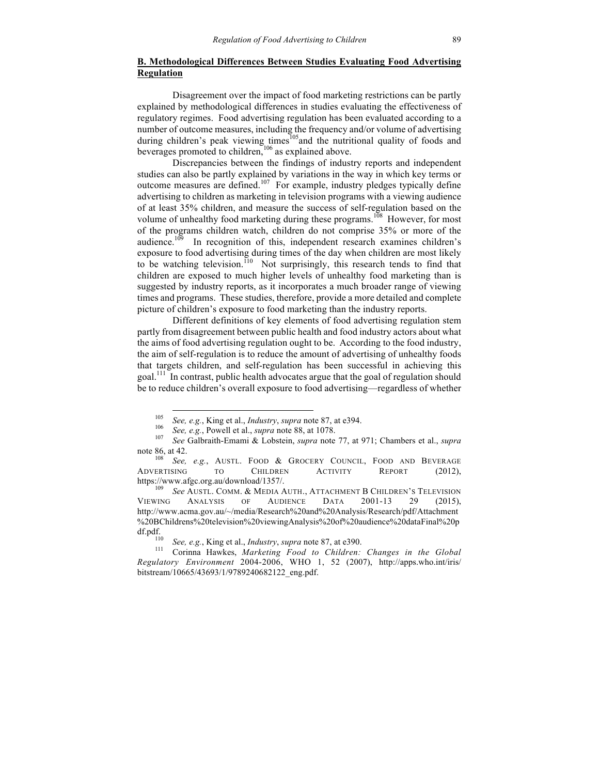## **B. Methodological Differences Between Studies Evaluating Food Advertising Regulation**

Disagreement over the impact of food marketing restrictions can be partly explained by methodological differences in studies evaluating the effectiveness of regulatory regimes. Food advertising regulation has been evaluated according to a number of outcome measures, including the frequency and/or volume of advertising during children's peak viewing times<sup>105</sup> and the nutritional quality of foods and beverages promoted to children, <sup>106</sup> as explained above.

Discrepancies between the findings of industry reports and independent studies can also be partly explained by variations in the way in which key terms or outcome measures are defined.107 For example, industry pledges typically define advertising to children as marketing in television programs with a viewing audience of at least 35% children, and measure the success of self-regulation based on the volume of unhealthy food marketing during these programs.<sup>108</sup> However, for most of the programs children watch, children do not comprise 35% or more of the audience. $109$  In recognition of this, independent research examines children's exposure to food advertising during times of the day when children are most likely to be watching television.<sup>110</sup> Not surprisingly, this research tends to find that children are exposed to much higher levels of unhealthy food marketing than is suggested by industry reports, as it incorporates a much broader range of viewing times and programs. These studies, therefore, provide a more detailed and complete picture of children's exposure to food marketing than the industry reports.

Different definitions of key elements of food advertising regulation stem partly from disagreement between public health and food industry actors about what the aims of food advertising regulation ought to be. According to the food industry, the aim of self-regulation is to reduce the amount of advertising of unhealthy foods that targets children, and self-regulation has been successful in achieving this goal.<sup>111</sup> In contrast, public health advocates argue that the goal of regulation should be to reduce children's overall exposure to food advertising—regardless of whether

<sup>&</sup>lt;sup>105</sup> See, e.g., King et al., *Industry*, *supra* note 87, at e394.<br><sup>106</sup> See, e.g., Powell et al., *supra* note 88, at 1078.<br><sup>107</sup> See Galbraith-Emami & Lobstein, *supra* note 77, at 971; Chambers et al., *supra* note 86, at 42.<br><sup>108</sup> *See, e.g.*, AUSTL. FOOD & GROCERY COUNCIL, FOOD AND BEVERAGE

ADVERTISING TO CHILDREN ACTIVITY REPORT (2012), https://www.afgc.org.au/download/1357/. <sup>109</sup> *See* AUSTL. COMM. & MEDIA AUTH., ATTACHMENT B CHILDREN'S TELEVISION

VIEWING ANALYSIS OF AUDIENCE DATA 2001-13 29 (2015), http://www.acma.gov.au/~/media/Research%20and%20Analysis/Research/pdf/Attachment %20BChildrens%20television%20viewingAnalysis%20of%20audience%20dataFinal%20p

df.pdf. <sup>110</sup> *See, e.g.*, King et al., *Industry*, *supra* note 87, at e390. 111 Corinna Hawkes, *Marketing Food to Children: Changes in the Global Regulatory Environment* 2004-2006, WHO 1, 52 (2007), http://apps.who.int/iris/ bitstream/10665/43693/1/9789240682122\_eng.pdf.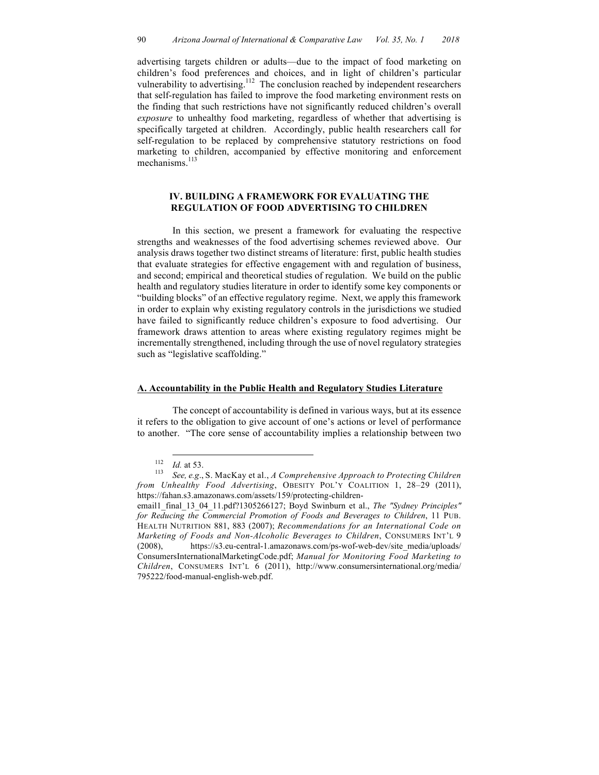advertising targets children or adults—due to the impact of food marketing on children's food preferences and choices, and in light of children's particular vulnerability to advertising.<sup>112</sup> The conclusion reached by independent researchers that self-regulation has failed to improve the food marketing environment rests on the finding that such restrictions have not significantly reduced children's overall *exposure* to unhealthy food marketing, regardless of whether that advertising is specifically targeted at children. Accordingly, public health researchers call for self-regulation to be replaced by comprehensive statutory restrictions on food marketing to children, accompanied by effective monitoring and enforcement mechanisms.<sup>113</sup>

## **IV. BUILDING A FRAMEWORK FOR EVALUATING THE REGULATION OF FOOD ADVERTISING TO CHILDREN**

In this section, we present a framework for evaluating the respective strengths and weaknesses of the food advertising schemes reviewed above. Our analysis draws together two distinct streams of literature: first, public health studies that evaluate strategies for effective engagement with and regulation of business, and second; empirical and theoretical studies of regulation. We build on the public health and regulatory studies literature in order to identify some key components or "building blocks" of an effective regulatory regime. Next, we apply this framework in order to explain why existing regulatory controls in the jurisdictions we studied have failed to significantly reduce children's exposure to food advertising. Our framework draws attention to areas where existing regulatory regimes might be incrementally strengthened, including through the use of novel regulatory strategies such as "legislative scaffolding."

#### **A. Accountability in the Public Health and Regulatory Studies Literature**

The concept of accountability is defined in various ways, but at its essence it refers to the obligation to give account of one's actions or level of performance to another. "The core sense of accountability implies a relationship between two

<sup>&</sup>lt;sup>112</sup> *Id.* at 53.<br><sup>113</sup> *See, e.g.*, S. MacKay et al., *A Comprehensive Approach to Protecting Children from Unhealthy Food Advertising*, OBESITY POL'Y COALITION 1, 28–29 (2011), https://fahan.s3.amazonaws.com/assets/159/protecting-children-

email1\_final\_13\_04\_11.pdf?1305266127; Boyd Swinburn et al., *The "Sydney Principles" for Reducing the Commercial Promotion of Foods and Beverages to Children*, 11 PUB. HEALTH NUTRITION 881, 883 (2007); *Recommendations for an International Code on Marketing of Foods and Non-Alcoholic Beverages to Children*, CONSUMERS INT'L 9 (2008), https://s3.eu-central-1.amazonaws.com/ps-wof-web-dev/site\_media/uploads/ ConsumersInternationalMarketingCode.pdf; *Manual for Monitoring Food Marketing to Children*, CONSUMERS INT'L 6 (2011), http://www.consumersinternational.org/media/ 795222/food-manual-english-web.pdf.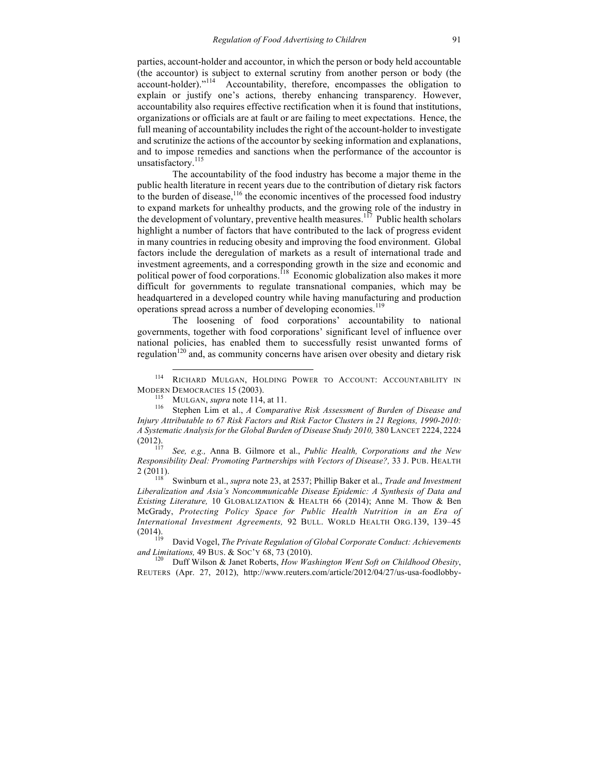parties, account-holder and accountor, in which the person or body held accountable (the accountor) is subject to external scrutiny from another person or body (the account-holder)."<sup>114</sup> Accountability, therefore, encompasses the obligation to explain or justify one's actions, thereby enhancing transparency. However, accountability also requires effective rectification when it is found that institutions, organizations or officials are at fault or are failing to meet expectations. Hence, the full meaning of accountability includes the right of the account-holder to investigate and scrutinize the actions of the accountor by seeking information and explanations, and to impose remedies and sanctions when the performance of the accountor is unsatisfactory.<sup>115</sup>

The accountability of the food industry has become a major theme in the public health literature in recent years due to the contribution of dietary risk factors to the burden of disease,  $116$  the economic incentives of the processed food industry to expand markets for unhealthy products, and the growing role of the industry in the development of voluntary, preventive health measures.<sup>117</sup> Public health scholars highlight a number of factors that have contributed to the lack of progress evident in many countries in reducing obesity and improving the food environment. Global factors include the deregulation of markets as a result of international trade and investment agreements, and a corresponding growth in the size and economic and political power of food corporations.<sup>118</sup> Economic globalization also makes it more difficult for governments to regulate transnational companies, which may be headquartered in a developed country while having manufacturing and production operations spread across a number of developing economies.<sup>119</sup>

The loosening of food corporations' accountability to national governments, together with food corporations' significant level of influence over national policies, has enabled them to successfully resist unwanted forms of regulation<sup>120</sup> and, as community concerns have arisen over obesity and dietary risk

(2012). <sup>117</sup> *See, e.g.,* Anna B. Gilmore et al., *Public Health, Corporations and the New Responsibility Deal: Promoting Partnerships with Vectors of Disease?,* 33 J. PUB. HEALTH 2 (2011). <sup>118</sup> Swinburn et al., *supra* note 23, at 2537; Phillip Baker et al., *Trade and Investment* 

*Liberalization and Asia's Noncommunicable Disease Epidemic: A Synthesis of Data and Existing Literature,* 10 GLOBALIZATION & HEALTH 66 (2014); Anne M. Thow & Ben McGrady, *Protecting Policy Space for Public Health Nutrition in an Era of International Investment Agreements,* 92 BULL. WORLD HEALTH ORG.139, 139–45

(2014). <sup>119</sup> David Vogel, *The Private Regulation of Global Corporate Conduct: Achievements and Limitations,* 49 BUS. & SOC'Y 68, 73 (2010).<br><sup>120</sup> Duff Wilson & Janet Roberts, *How Washington Went Soft on Childhood Obesity*,

REUTERS (Apr. 27, 2012), http://www.reuters.com/article/2012/04/27/us-usa-foodlobby-

 <sup>114</sup> RICHARD MULGAN, HOLDING POWER TO ACCOUNT: ACCOUNTABILITY IN MODERN DEMOCRACIES 15 (2003).<br><sup>115</sup> MULGAN, *supra* note 114, at 11.<br><sup>116</sup> Stephen Lim et al., *A Comparative Risk Assessment of Burden of Disease and* 

*Injury Attributable to 67 Risk Factors and Risk Factor Clusters in 21 Regions, 1990-2010: A Systematic Analysis for the Global Burden of Disease Study 2010,* 380 LANCET 2224, 2224 (2012).<br>
<sup>117</sup> *Service Anna D. Gilmora at al. Public Haalth Corporations and the New*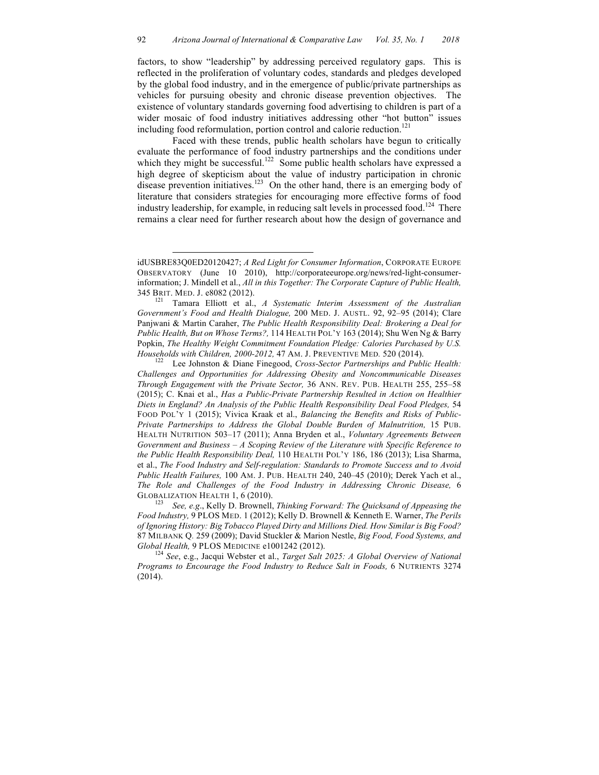factors, to show "leadership" by addressing perceived regulatory gaps. This is reflected in the proliferation of voluntary codes, standards and pledges developed by the global food industry, and in the emergence of public/private partnerships as vehicles for pursuing obesity and chronic disease prevention objectives. The existence of voluntary standards governing food advertising to children is part of a wider mosaic of food industry initiatives addressing other "hot button" issues including food reformulation, portion control and calorie reduction.<sup>121</sup>

Faced with these trends, public health scholars have begun to critically evaluate the performance of food industry partnerships and the conditions under which they might be successful.<sup>122</sup> Some public health scholars have expressed a high degree of skepticism about the value of industry participation in chronic disease prevention initiatives.<sup>123</sup> On the other hand, there is an emerging body of literature that considers strategies for encouraging more effective forms of food industry leadership, for example, in reducing salt levels in processed food.<sup>124</sup> There remains a clear need for further research about how the design of governance and

 $\overline{a}$ 

idUSBRE83Q0ED20120427; *A Red Light for Consumer Information*, CORPORATE EUROPE OBSERVATORY (June 10 2010), http://corporateeurope.org/news/red-light-consumerinformation; J. Mindell et al., *All in this Together: The Corporate Capture of Public Health,*

<sup>345</sup> BRIT. MED. J. e8082 (2012). <sup>121</sup> Tamara Elliott et al., *A Systematic Interim Assessment of the Australian Government's Food and Health Dialogue,* 200 MED. J. AUSTL. 92, 92–95 (2014); Clare Panjwani & Martin Caraher, *The Public Health Responsibility Deal: Brokering a Deal for Public Health, But on Whose Terms?,* 114 HEALTH POL'Y 163 (2014); Shu Wen Ng & Barry Popkin, *The Healthy Weight Commitment Foundation Pledge: Calories Purchased by U.S. Households with Children, 2000-2012, 47 AM. J. PREVENTIVE MED. 520 (2014).*<br><sup>122</sup> Lee Johnston & Diane Finegood, *Cross-Sector Partnerships and Public Health:* 

*Challenges and Opportunities for Addressing Obesity and Noncommunicable Diseases Through Engagement with the Private Sector,* 36 ANN. REV. PUB. HEALTH 255, 255–58 (2015); C. Knai et al., *Has a Public-Private Partnership Resulted in Action on Healthier Diets in England? An Analysis of the Public Health Responsibility Deal Food Pledges,* 54 FOOD POL'Y 1 (2015); Vivica Kraak et al., *Balancing the Benefits and Risks of Public-Private Partnerships to Address the Global Double Burden of Malnutrition,* 15 PUB. HEALTH NUTRITION 503–17 (2011); Anna Bryden et al., *Voluntary Agreements Between Government and Business – A Scoping Review of the Literature with Specific Reference to the Public Health Responsibility Deal,* 110 HEALTH POL'Y 186, 186 (2013); Lisa Sharma, et al., *The Food Industry and Self-regulation: Standards to Promote Success and to Avoid Public Health Failures,* 100 AM. J. PUB. HEALTH 240, 240–45 (2010); Derek Yach et al., *The Role and Challenges of the Food Industry in Addressing Chronic Disease,* 6

GLOBALIZATION HEALTH 1, 6 (2010).<br><sup>123</sup> *See, e.g.*, Kelly D. Brownell, *Thinking Forward: The Quicksand of Appeasing the Food Industry,* 9 PLOS MED. 1 (2012); Kelly D. Brownell & Kenneth E. Warner, *The Perils of Ignoring History: Big Tobacco Played Dirty and Millions Died. How Similar is Big Food?* 87 MILBANK Q*.* 259 (2009); David Stuckler & Marion Nestle, *Big Food, Food Systems, and Global Health,* 9 PLOS MEDICINE e1001242 (2012). <sup>124</sup> *See*, e.g., Jacqui Webster et al., *Target Salt 2025: A Global Overview of National* 

*Programs to Encourage the Food Industry to Reduce Salt in Foods,* 6 NUTRIENTS 3274 (2014).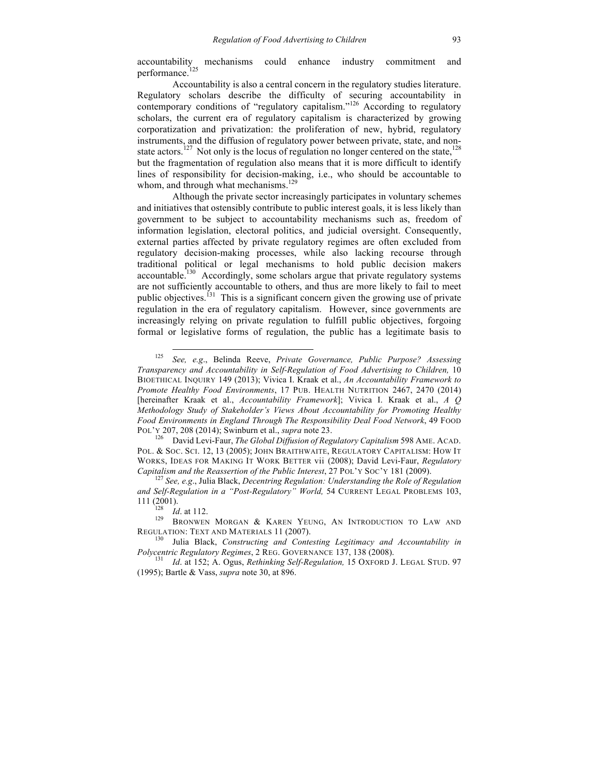accountability mechanisms could enhance industry commitment and performance.<sup>125</sup>

Accountability is also a central concern in the regulatory studies literature. Regulatory scholars describe the difficulty of securing accountability in contemporary conditions of "regulatory capitalism."<sup>126</sup> According to regulatory scholars, the current era of regulatory capitalism is characterized by growing corporatization and privatization: the proliferation of new, hybrid, regulatory instruments, and the diffusion of regulatory power between private, state, and nonstate actors.<sup>127</sup> Not only is the locus of regulation no longer centered on the state,<sup>128</sup> but the fragmentation of regulation also means that it is more difficult to identify lines of responsibility for decision-making, i.e., who should be accountable to whom, and through what mechanisms.<sup>129</sup>

Although the private sector increasingly participates in voluntary schemes and initiatives that ostensibly contribute to public interest goals, it is less likely than government to be subject to accountability mechanisms such as, freedom of information legislation, electoral politics, and judicial oversight. Consequently, external parties affected by private regulatory regimes are often excluded from regulatory decision-making processes, while also lacking recourse through traditional political or legal mechanisms to hold public decision makers accountable.<sup>130</sup> Accordingly, some scholars argue that private regulatory systems are not sufficiently accountable to others, and thus are more likely to fail to meet public objectives.<sup>[31</sup>] This is a significant concern given the growing use of private regulation in the era of regulatory capitalism. However, since governments are increasingly relying on private regulation to fulfill public objectives, forgoing formal or legislative forms of regulation, the public has a legitimate basis to

POL. & SOC. SCI. 12, 13 (2005); JOHN BRAITHWAITE, REGULATORY CAPITALISM: HOW IT WORKS, IDEAS FOR MAKING IT WORK BETTER vii (2008); David Levi-Faur, *Regulatory Capitalism and the Reassertion of the Public Interest*, 27 POL'Y SOC'Y 181 (2009). <sup>127</sup> *See, e.g*., Julia Black, *Decentring Regulation: Understanding the Role of Regulation* 

*and Self-Regulation in a "Post-Regulatory" World,* 54 CURRENT LEGAL PROBLEMS 103,

 <sup>125</sup> *See, e.g*., Belinda Reeve, *Private Governance, Public Purpose? Assessing Transparency and Accountability in Self-Regulation of Food Advertising to Children,* 10 BIOETHICAL INQUIRY 149 (2013); Vivica I. Kraak et al., *An Accountability Framework to Promote Healthy Food Environments*, 17 PUB. HEALTH NUTRITION 2467, 2470 (2014) [hereinafter Kraak et al., *Accountability Framework*]; Vivica I. Kraak et al., *A Q Methodology Study of Stakeholder's Views About Accountability for Promoting Healthy Food Environments in England Through The Responsibility Deal Food Network*, 49 FOOD POL'Y 207, 208 (2014); Swinburn et al., *supra* note 23. <sup>126</sup> David Levi-Faur, *The Global Diffusion of Regulatory Capitalism* 598 AME. ACAD.

<sup>111 (2001).&</sup>lt;br><sup>128</sup> *Id.* at 112.<br><sup>129</sup> Bronwen Morgan & Karen Yeung, An Introduction to Law and REGULATION: TEXT AND MATERIALS 11 (2007).<br><sup>130</sup> Julia Black, *Constructing and Contesting Legitimacy and Accountability in* 

*Polycentric Regulatory Regimes*, 2 REG. GOVERNANCE 137, 138 (2008). <sup>131</sup> *Id*. at 152; A. Ogus, *Rethinking Self-Regulation,* 15 OXFORD J. LEGAL STUD. <sup>97</sup>

<sup>(1995);</sup> Bartle & Vass, *supra* note 30, at 896.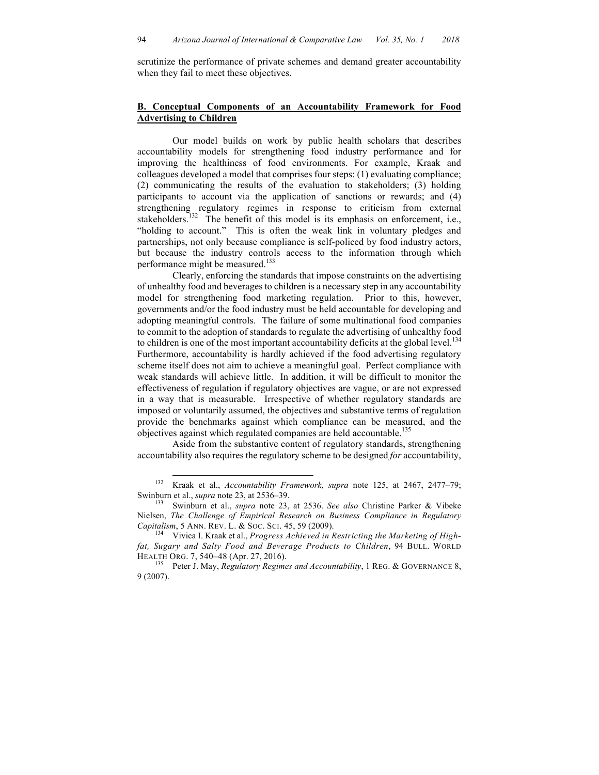scrutinize the performance of private schemes and demand greater accountability when they fail to meet these objectives.

## **B. Conceptual Components of an Accountability Framework for Food Advertising to Children**

Our model builds on work by public health scholars that describes accountability models for strengthening food industry performance and for improving the healthiness of food environments. For example, Kraak and colleagues developed a model that comprises four steps: (1) evaluating compliance; (2) communicating the results of the evaluation to stakeholders; (3) holding participants to account via the application of sanctions or rewards; and (4) strengthening regulatory regimes in response to criticism from external stakeholders.<sup>132</sup> The benefit of this model is its emphasis on enforcement, i.e., "holding to account." This is often the weak link in voluntary pledges and partnerships, not only because compliance is self-policed by food industry actors, but because the industry controls access to the information through which performance might be measured.<sup>133</sup>

Clearly, enforcing the standards that impose constraints on the advertising of unhealthy food and beverages to children is a necessary step in any accountability model for strengthening food marketing regulation. Prior to this, however, governments and/or the food industry must be held accountable for developing and adopting meaningful controls. The failure of some multinational food companies to commit to the adoption of standards to regulate the advertising of unhealthy food to children is one of the most important accountability deficits at the global level.<sup>134</sup> Furthermore, accountability is hardly achieved if the food advertising regulatory scheme itself does not aim to achieve a meaningful goal. Perfect compliance with weak standards will achieve little. In addition, it will be difficult to monitor the effectiveness of regulation if regulatory objectives are vague, or are not expressed in a way that is measurable. Irrespective of whether regulatory standards are imposed or voluntarily assumed, the objectives and substantive terms of regulation provide the benchmarks against which compliance can be measured, and the objectives against which regulated companies are held accountable.<sup>135</sup>

Aside from the substantive content of regulatory standards, strengthening accountability also requires the regulatory scheme to be designed *for* accountability,

 <sup>132</sup> Kraak et al., *Accountability Framework, supra* note 125, at 2467, 2477–79; Swinburn et al., *supra* note 23, at 2536–39.<br><sup>133</sup> Swinburn et al., *supra* note 23, at 2536. *See also* Christine Parker & Vibeke

Nielsen, *The Challenge of Empirical Research on Business Compliance in Regulatory Capitalism*, 5 ANN. REV. L. & Soc. Sci. 45, 59 (2009).<br><sup>134</sup> Vivica I. Kraak et al., *Progress Achieved in Restricting the Marketing of High-*

*fat, Sugary and Salty Food and Beverage Products to Children*, 94 BULL. WORLD

HEALTH ORG. 7, 540–48 (Apr. 27, 2016). <sup>135</sup> Peter J. May, *Regulatory Regimes and Accountability*, 1 REG. & GOVERNANCE 8, 9 (2007).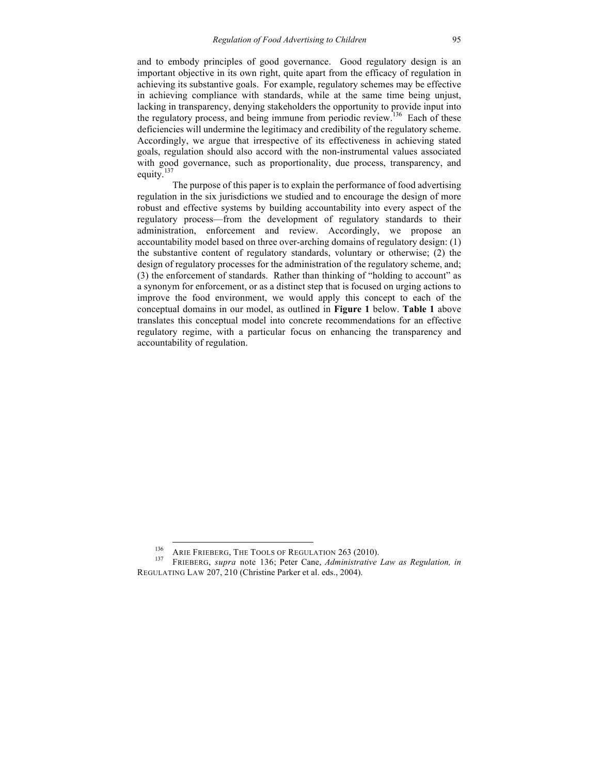and to embody principles of good governance. Good regulatory design is an important objective in its own right, quite apart from the efficacy of regulation in achieving its substantive goals. For example, regulatory schemes may be effective in achieving compliance with standards, while at the same time being unjust, lacking in transparency, denying stakeholders the opportunity to provide input into the regulatory process, and being immune from periodic review.<sup>136</sup> Each of these deficiencies will undermine the legitimacy and credibility of the regulatory scheme. Accordingly, we argue that irrespective of its effectiveness in achieving stated goals, regulation should also accord with the non-instrumental values associated with good governance, such as proportionality, due process, transparency, and equity.<sup>137</sup>

The purpose of this paper is to explain the performance of food advertising regulation in the six jurisdictions we studied and to encourage the design of more robust and effective systems by building accountability into every aspect of the regulatory process—from the development of regulatory standards to their administration, enforcement and review. Accordingly, we propose an accountability model based on three over-arching domains of regulatory design: (1) the substantive content of regulatory standards, voluntary or otherwise; (2) the design of regulatory processes for the administration of the regulatory scheme, and; (3) the enforcement of standards. Rather than thinking of "holding to account" as a synonym for enforcement, or as a distinct step that is focused on urging actions to improve the food environment, we would apply this concept to each of the conceptual domains in our model, as outlined in **Figure 1** below. **Table 1** above translates this conceptual model into concrete recommendations for an effective regulatory regime, with a particular focus on enhancing the transparency and accountability of regulation.

<sup>136</sup> ARIE FRIEBERG, THE TOOLS OF REGULATION 263 (2010). <sup>137</sup> FRIEBERG, *supra* note 136; Peter Cane, *Administrative Law as Regulation, in* REGULATING LAW 207, 210 (Christine Parker et al. eds., 2004).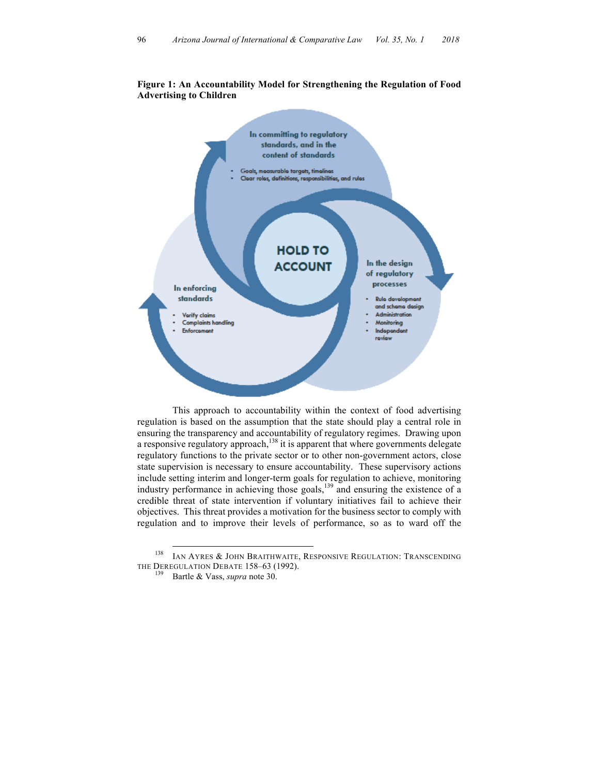

## **Figure 1: An Accountability Model for Strengthening the Regulation of Food Advertising to Children**

This approach to accountability within the context of food advertising regulation is based on the assumption that the state should play a central role in ensuring the transparency and accountability of regulatory regimes. Drawing upon a responsive regulatory approach, $^{138}$  it is apparent that where governments delegate regulatory functions to the private sector or to other non-government actors, close state supervision is necessary to ensure accountability. These supervisory actions include setting interim and longer-term goals for regulation to achieve, monitoring industry performance in achieving those goals, <sup>139</sup> and ensuring the existence of a credible threat of state intervention if voluntary initiatives fail to achieve their objectives. This threat provides a motivation for the business sector to comply with regulation and to improve their levels of performance, so as to ward off the

 <sup>138</sup> IAN AYRES & JOHN BRAITHWAITE, RESPONSIVE REGULATION: TRANSCENDING THE DEREGULATION DEBATE 158–63 (1992).<br><sup>139</sup> Bartle & Vass, *supra* note 30.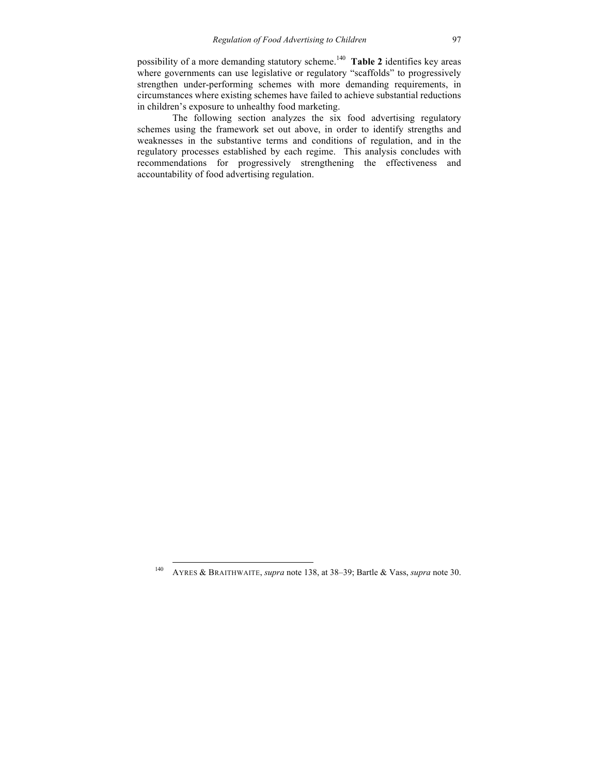possibility of a more demanding statutory scheme.140 **Table 2** identifies key areas where governments can use legislative or regulatory "scaffolds" to progressively strengthen under-performing schemes with more demanding requirements, in circumstances where existing schemes have failed to achieve substantial reductions in children's exposure to unhealthy food marketing.

The following section analyzes the six food advertising regulatory schemes using the framework set out above, in order to identify strengths and weaknesses in the substantive terms and conditions of regulation, and in the regulatory processes established by each regime. This analysis concludes with recommendations for progressively strengthening the effectiveness and accountability of food advertising regulation.

 <sup>140</sup> AYRES & BRAITHWAITE, *supra* note 138, at 38–39; Bartle & Vass, *supra* note 30.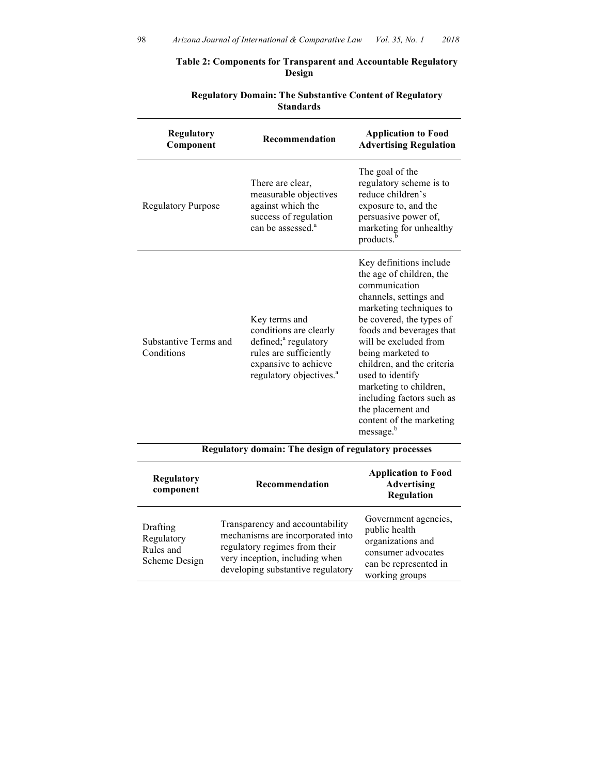## **Table 2: Components for Transparent and Accountable Regulatory Design**

| Regulatory<br>Component                               | Recommendation                                                                                                                                                       | <b>Application to Food</b><br><b>Advertising Regulation</b>                                                                                                                                                                                                                                                                                                                                                        |  |  |
|-------------------------------------------------------|----------------------------------------------------------------------------------------------------------------------------------------------------------------------|--------------------------------------------------------------------------------------------------------------------------------------------------------------------------------------------------------------------------------------------------------------------------------------------------------------------------------------------------------------------------------------------------------------------|--|--|
| <b>Regulatory Purpose</b>                             | There are clear,<br>measurable objectives<br>against which the<br>success of regulation<br>can be assessed. <sup>a</sup>                                             | The goal of the<br>regulatory scheme is to<br>reduce children's<br>exposure to, and the<br>persuasive power of,<br>marketing for unhealthy<br>products. <sup>1</sup>                                                                                                                                                                                                                                               |  |  |
| Substantive Terms and<br>Conditions                   | Key terms and<br>conditions are clearly<br>defined; <sup>a</sup> regulatory<br>rules are sufficiently<br>expansive to achieve<br>regulatory objectives. <sup>a</sup> | Key definitions include<br>the age of children, the<br>communication<br>channels, settings and<br>marketing techniques to<br>be covered, the types of<br>foods and beverages that<br>will be excluded from<br>being marketed to<br>children, and the criteria<br>used to identify<br>marketing to children,<br>including factors such as<br>the placement and<br>content of the marketing<br>message. <sup>b</sup> |  |  |
| Regulatory domain: The design of regulatory processes |                                                                                                                                                                      |                                                                                                                                                                                                                                                                                                                                                                                                                    |  |  |
| <b>Regulatory</b><br>component                        | Recommendation                                                                                                                                                       | <b>Application to Food</b><br><b>Advertising</b><br><b>Regulation</b>                                                                                                                                                                                                                                                                                                                                              |  |  |
| Drafting<br>Regulatory                                | Transparency and accountability<br>mechanisms are incorporated into<br>. The process of the process of the to                                                        | Government agencies,<br>public health<br>organizations and                                                                                                                                                                                                                                                                                                                                                         |  |  |

regulatory regimes from their very inception, including when developing substantive regulatory

consumer advocates can be represented in working groups

Rules and Scheme Design

# **Regulatory Domain: The Substantive Content of Regulatory Standards**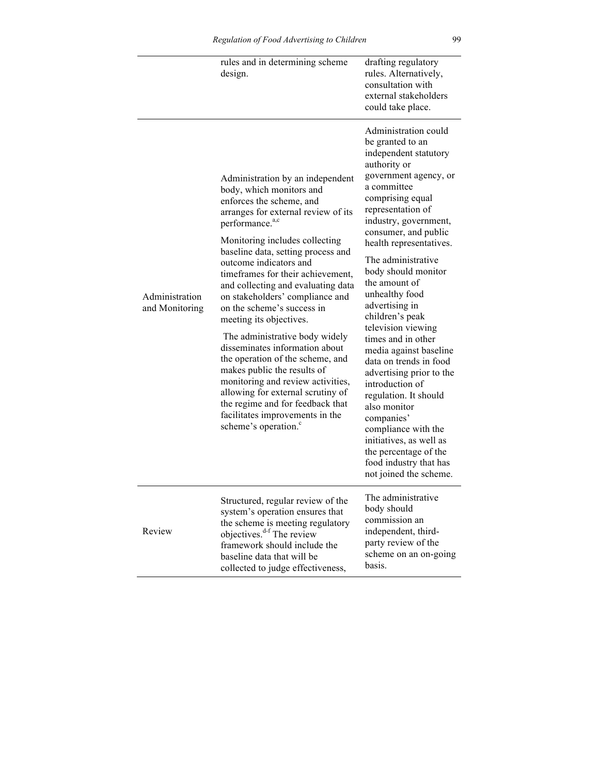|                                  | rules and in determining scheme<br>design.                                                                                                                                                                                                                                                                                                                                                                                                                                                                                                                                                                                                                                                                                                                          | drafting regulatory<br>rules. Alternatively,<br>consultation with<br>external stakeholders<br>could take place.                                                                                                                                                                                                                                                                                                                                                                                                                                                                                                                                                                                          |
|----------------------------------|---------------------------------------------------------------------------------------------------------------------------------------------------------------------------------------------------------------------------------------------------------------------------------------------------------------------------------------------------------------------------------------------------------------------------------------------------------------------------------------------------------------------------------------------------------------------------------------------------------------------------------------------------------------------------------------------------------------------------------------------------------------------|----------------------------------------------------------------------------------------------------------------------------------------------------------------------------------------------------------------------------------------------------------------------------------------------------------------------------------------------------------------------------------------------------------------------------------------------------------------------------------------------------------------------------------------------------------------------------------------------------------------------------------------------------------------------------------------------------------|
| Administration<br>and Monitoring | Administration by an independent<br>body, which monitors and<br>enforces the scheme, and<br>arranges for external review of its<br>performance. <sup>a,c</sup><br>Monitoring includes collecting<br>baseline data, setting process and<br>outcome indicators and<br>timeframes for their achievement,<br>and collecting and evaluating data<br>on stakeholders' compliance and<br>on the scheme's success in<br>meeting its objectives.<br>The administrative body widely<br>disseminates information about<br>the operation of the scheme, and<br>makes public the results of<br>monitoring and review activities,<br>allowing for external scrutiny of<br>the regime and for feedback that<br>facilitates improvements in the<br>scheme's operation. <sup>c</sup> | Administration could<br>be granted to an<br>independent statutory<br>authority or<br>government agency, or<br>a committee<br>comprising equal<br>representation of<br>industry, government,<br>consumer, and public<br>health representatives.<br>The administrative<br>body should monitor<br>the amount of<br>unhealthy food<br>advertising in<br>children's peak<br>television viewing<br>times and in other<br>media against baseline<br>data on trends in food<br>advertising prior to the<br>introduction of<br>regulation. It should<br>also monitor<br>companies'<br>compliance with the<br>initiatives, as well as<br>the percentage of the<br>food industry that has<br>not joined the scheme. |
| Review                           | Structured, regular review of the<br>system's operation ensures that<br>the scheme is meeting regulatory<br>objectives. <sup>d-f</sup> The review<br>framework should include the<br>baseline data that will be                                                                                                                                                                                                                                                                                                                                                                                                                                                                                                                                                     | The administrative<br>body should<br>commission an<br>independent, third-<br>party review of the<br>scheme on an on-going<br>basis.                                                                                                                                                                                                                                                                                                                                                                                                                                                                                                                                                                      |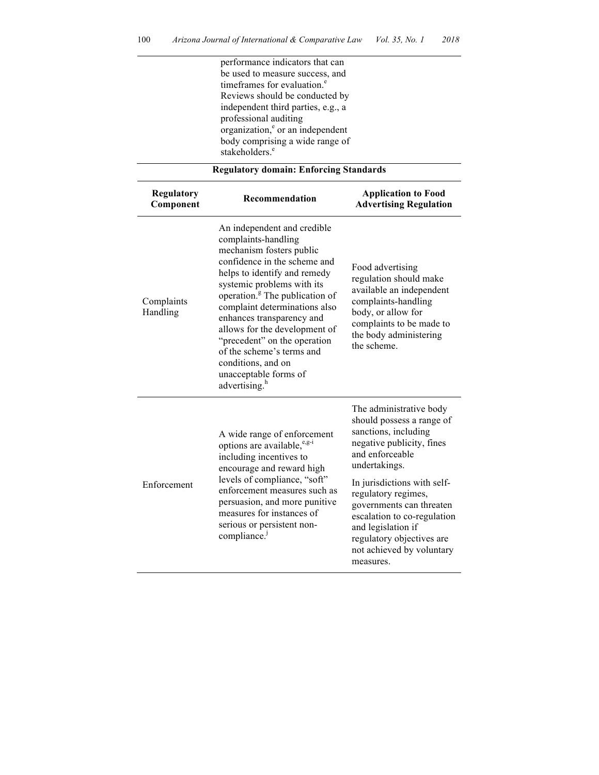performance indicators that can be used to measure success, and timeframes for evaluation.<sup>e</sup> Reviews should be conducted by independent third parties, e.g., a professional auditing  $organization<sub>e</sub><sup>e</sup>$  or an independent body comprising a wide range of stakeholders.<sup>e</sup>

| <b>Regulatory</b><br>Component | Recommendation                                                                                                                                                                                                                                                                                                                                                                                                                                                     | <b>Application to Food</b><br><b>Advertising Regulation</b>                                                                                                                                                                                                                                                                                                 |
|--------------------------------|--------------------------------------------------------------------------------------------------------------------------------------------------------------------------------------------------------------------------------------------------------------------------------------------------------------------------------------------------------------------------------------------------------------------------------------------------------------------|-------------------------------------------------------------------------------------------------------------------------------------------------------------------------------------------------------------------------------------------------------------------------------------------------------------------------------------------------------------|
| Complaints<br>Handling         | An independent and credible<br>complaints-handling<br>mechanism fosters public<br>confidence in the scheme and<br>helps to identify and remedy<br>systemic problems with its<br>operation. <sup>8</sup> The publication of<br>complaint determinations also<br>enhances transparency and<br>allows for the development of<br>"precedent" on the operation<br>of the scheme's terms and<br>conditions, and on<br>unacceptable forms of<br>advertising. <sup>h</sup> | Food advertising<br>regulation should make<br>available an independent<br>complaints-handling<br>body, or allow for<br>complaints to be made to<br>the body administering<br>the scheme                                                                                                                                                                     |
| Enforcement                    | A wide range of enforcement<br>options are available, $e^{e.g-i}$<br>including incentives to<br>encourage and reward high<br>levels of compliance, "soft"<br>enforcement measures such as<br>persuasion, and more punitive<br>measures for instances of<br>serious or persistent non-<br>compliance. <sup>j</sup>                                                                                                                                                  | The administrative body<br>should possess a range of<br>sanctions, including<br>negative publicity, fines<br>and enforceable<br>undertakings.<br>In jurisdictions with self-<br>regulatory regimes,<br>governments can threaten<br>escalation to co-regulation<br>and legislation if<br>regulatory objectives are<br>not achieved by voluntary<br>measures. |

## **Regulatory domain: Enforcing Standards**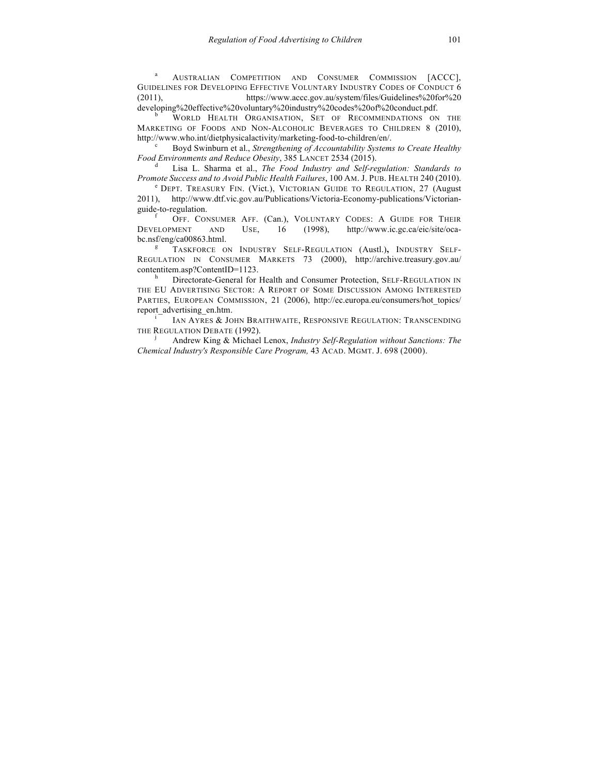<sup>a</sup> AUSTRALIAN COMPETITION AND CONSUMER COMMISSION [ACCC], GUIDELINES FOR DEVELOPING EFFECTIVE VOLUNTARY INDUSTRY CODES OF CONDUCT 6 (2011), https://www.accc.gov.au/system/files/Guidelines%20for%20

developing%20effective%20voluntary%20industry%20codes%20of%20conduct.pdf.<br>b WORLD HEALTH ORGANISATION, SET OF RECOMMENDATIONS ON THE MARKETING OF FOODS AND NON-ALCOHOLIC BEVERAGES TO CHILDREN 8 (2010), http://www.who.int/dietphysicalactivity/marketing-food-to-children/en/. c Boyd Swinburn et al., *Strengthening of Accountability Systems to Create Healthy* 

*Food Environments and Reduce Obesity*, 385 LANCET <sup>2534</sup> (2015). <sup>d</sup> Lisa L. Sharma et al., *The Food Industry and Self-regulation: Standards to* 

*Promote Success and to Avoid Public Health Failures*, 100 AM. J. PUB. HEALTH 240 (2010).<br>
<sup>e</sup> DEPT. TREASURY FIN. (Vict.), VICTORIAN GUIDE TO REGULATION, 27 (August

2011), http://www.dtf.vic.gov.au/Publications/Victoria-Economy-publications/Victorianguide-to-regulation.<br>
<sup>f</sup> OFF. CONSUMER AFF. (Can.), VOLUNTARY CODES: A GUIDE FOR THEIR

DEVELOPMENT AND USE, 16 (1998), http://www.ic.gc.ca/eic/site/ocabc.nsf/eng/ca00863.html.<br><sup>g</sup> TASKFORCE ON INDUSTRY SELF-REGULATION (Austl.), INDUSTRY SELF-

REGULATION IN CONSUMER MARKETS 73 (2000), http://archive.treasury.gov.au/ contentitem.asp?ContentID=1123.<br>h Directorate-General for Health and Consumer Protection, SELF-REGULATION IN

THE EU ADVERTISING SECTOR: A REPORT OF SOME DISCUSSION AMONG INTERESTED PARTIES, EUROPEAN COMMISSION, 21 (2006), http://ec.europa.eu/consumers/hot\_topics/ report\_advertising\_en.htm. i IAN AYRES & JOHN BRAITHWAITE, RESPONSIVE REGULATION: TRANSCENDING

THE REGULATION DEBATE (1992).<br><sup>j</sup> Andrew King & Michael Lenox, *Industry Self-Regulation without Sanctions: The* 

*Chemical Industry's Responsible Care Program,* 43 ACAD. MGMT. J. 698 (2000).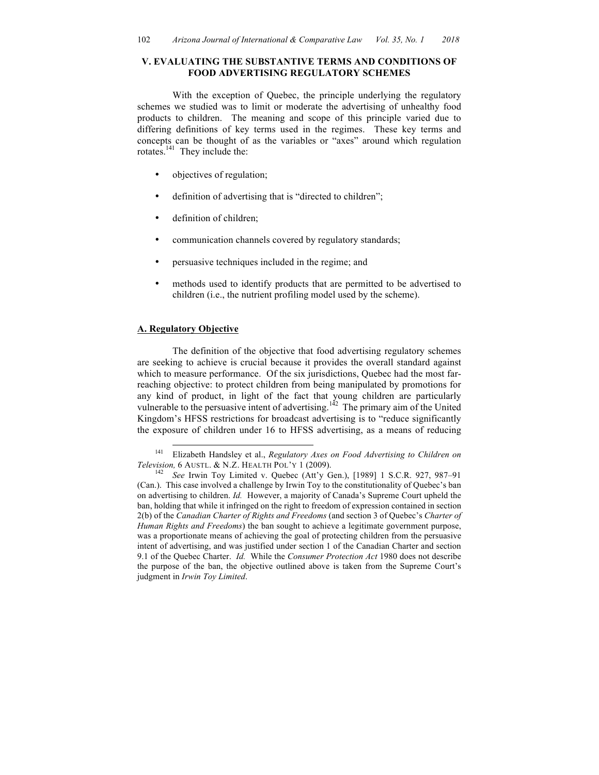#### **V. EVALUATING THE SUBSTANTIVE TERMS AND CONDITIONS OF FOOD ADVERTISING REGULATORY SCHEMES**

With the exception of Quebec, the principle underlying the regulatory schemes we studied was to limit or moderate the advertising of unhealthy food products to children. The meaning and scope of this principle varied due to differing definitions of key terms used in the regimes. These key terms and concepts can be thought of as the variables or "axes" around which regulation rotates.<sup>141</sup> They include the:

- objectives of regulation;
- definition of advertising that is "directed to children";
- definition of children;
- communication channels covered by regulatory standards;
- persuasive techniques included in the regime; and
- methods used to identify products that are permitted to be advertised to children (i.e., the nutrient profiling model used by the scheme).

### **A. Regulatory Objective**

The definition of the objective that food advertising regulatory schemes are seeking to achieve is crucial because it provides the overall standard against which to measure performance. Of the six jurisdictions, Quebec had the most farreaching objective: to protect children from being manipulated by promotions for any kind of product, in light of the fact that young children are particularly vulnerable to the persuasive intent of advertising.<sup>142</sup> The primary aim of the United Kingdom's HFSS restrictions for broadcast advertising is to "reduce significantly the exposure of children under 16 to HFSS advertising, as a means of reducing

 <sup>141</sup> Elizabeth Handsley et al., *Regulatory Axes on Food Advertising to Children on Television,* 6 AUSTL. & N.Z. HEALTH POL'Y 1 (2009).<br><sup>142</sup> *See* Irwin Toy Limited v. Quebec (Att'y Gen.), [1989] 1 S.C.R. 927, 987–91

<sup>(</sup>Can.). This case involved a challenge by Irwin Toy to the constitutionality of Quebec's ban on advertising to children. *Id.* However, a majority of Canada's Supreme Court upheld the ban, holding that while it infringed on the right to freedom of expression contained in section 2(b) of the *Canadian Charter of Rights and Freedoms* (and section 3 of Quebec's *Charter of Human Rights and Freedoms*) the ban sought to achieve a legitimate government purpose, was a proportionate means of achieving the goal of protecting children from the persuasive intent of advertising, and was justified under section 1 of the Canadian Charter and section 9.1 of the Quebec Charter. *Id.* While the *Consumer Protection Act* 1980 does not describe the purpose of the ban, the objective outlined above is taken from the Supreme Court's judgment in *Irwin Toy Limited*.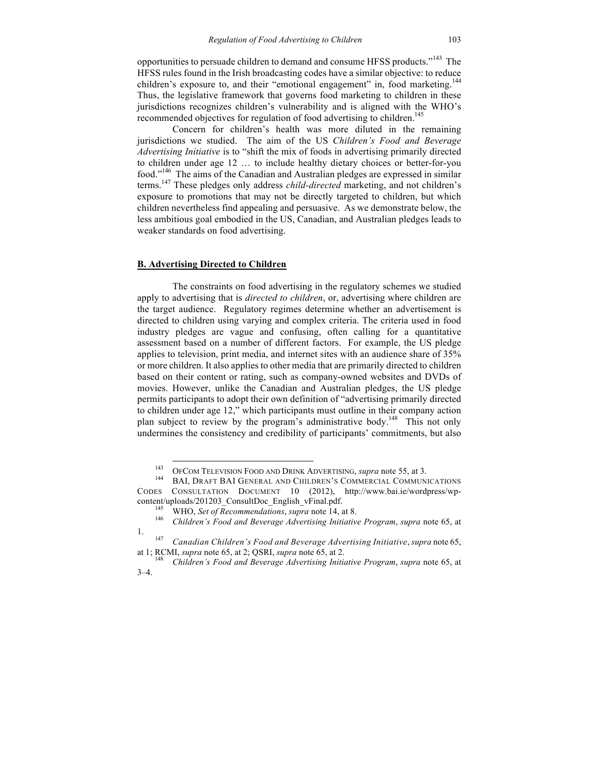opportunities to persuade children to demand and consume HFSS products."<sup>143</sup> The HFSS rules found in the Irish broadcasting codes have a similar objective: to reduce children's exposure to, and their "emotional engagement" in, food marketing.<sup>144</sup> Thus, the legislative framework that governs food marketing to children in these jurisdictions recognizes children's vulnerability and is aligned with the WHO's recommended objectives for regulation of food advertising to children.<sup>145</sup>

Concern for children's health was more diluted in the remaining jurisdictions we studied. The aim of the US *Children's Food and Beverage Advertising Initiative* is to "shift the mix of foods in advertising primarily directed to children under age 12 … to include healthy dietary choices or better-for-you food."<sup>146</sup> The aims of the Canadian and Australian pledges are expressed in similar terms. <sup>147</sup> These pledges only address *child-directed* marketing, and not children's exposure to promotions that may not be directly targeted to children, but which children nevertheless find appealing and persuasive. As we demonstrate below, the less ambitious goal embodied in the US, Canadian, and Australian pledges leads to weaker standards on food advertising.

## **B. Advertising Directed to Children**

The constraints on food advertising in the regulatory schemes we studied apply to advertising that is *directed to children*, or, advertising where children are the target audience. Regulatory regimes determine whether an advertisement is directed to children using varying and complex criteria. The criteria used in food industry pledges are vague and confusing, often calling for a quantitative assessment based on a number of different factors. For example, the US pledge applies to television, print media, and internet sites with an audience share of 35% or more children. It also applies to other media that are primarily directed to children based on their content or rating, such as company-owned websites and DVDs of movies. However, unlike the Canadian and Australian pledges, the US pledge permits participants to adopt their own definition of "advertising primarily directed to children under age 12," which participants must outline in their company action plan subject to review by the program's administrative body.<sup>148</sup> This not only undermines the consistency and credibility of participants' commitments, but also

<sup>&</sup>lt;sup>143</sup> OFCOM TELEVISION FOOD AND DRINK ADVERTISING, *supra* note 55, at 3.<br><sup>144</sup> BAI, DRAFT BAI GENERAL AND CHILDREN'S COMMERCIAL COMMUNICATIONS

CODES CONSULTATION DOCUMENT 10 (2012), http://www.bai.ie/wordpress/wpcontent/uploads/201203\_ConsultDoc\_English\_vFinal.pdf. <sup>145</sup> WHO, *Set of Recommendations*, *supra* note 14, at 8. <sup>146</sup> *Children's Food and Beverage Advertising Initiative Program*, *supra* note 65, at

<sup>1.</sup> <sup>147</sup> *Canadian Children's Food and Beverage Advertising Initiative*, *supra* note 65,

at 1; RCMI, *supra* note 65, at 2; QSRI, *supra* note 65, at 2. <sup>148</sup> *Children's Food and Beverage Advertising Initiative Program*, *supra* note 65, at

<sup>3–4.</sup>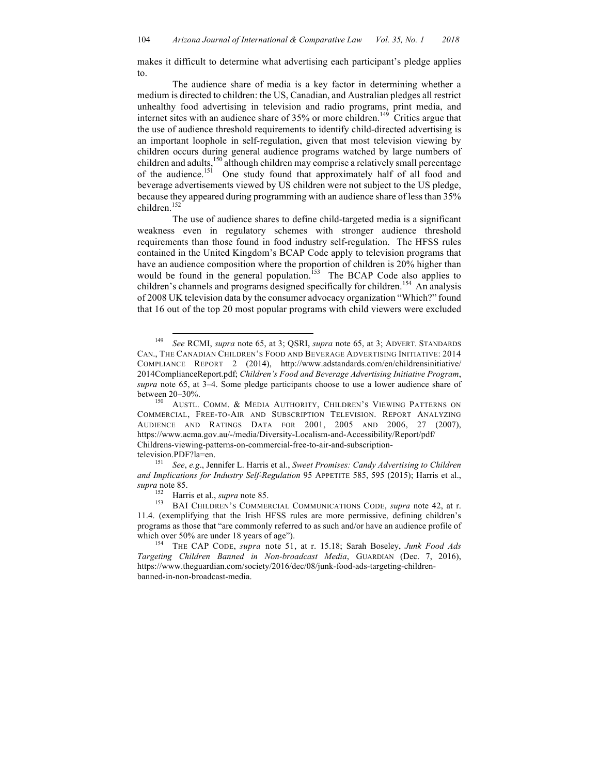makes it difficult to determine what advertising each participant's pledge applies to.

The audience share of media is a key factor in determining whether a medium is directed to children: the US, Canadian, and Australian pledges all restrict unhealthy food advertising in television and radio programs, print media, and internet sites with an audience share of  $35%$  or more children.<sup>149</sup> Critics argue that the use of audience threshold requirements to identify child-directed advertising is an important loophole in self-regulation, given that most television viewing by children occurs during general audience programs watched by large numbers of children and adults,<sup>150</sup> although children may comprise a relatively small percentage of the audience.<sup>151</sup> One study found that approximately half of all food and beverage advertisements viewed by US children were not subject to the US pledge, because they appeared during programming with an audience share of less than 35% children.<sup>152</sup>

The use of audience shares to define child-targeted media is a significant weakness even in regulatory schemes with stronger audience threshold requirements than those found in food industry self-regulation. The HFSS rules contained in the United Kingdom's BCAP Code apply to television programs that have an audience composition where the proportion of children is 20% higher than would be found in the general population.<sup>153</sup> The BCAP Code also applies to children's channels and programs designed specifically for children.<sup>154</sup> An analysis of 2008 UK television data by the consumer advocacy organization "Which?" found that 16 out of the top 20 most popular programs with child viewers were excluded

 <sup>149</sup> *See* RCMI, *supra* note 65, at 3; QSRI, *supra* note 65, at 3; ADVERT. STANDARDS CAN., THE CANADIAN CHILDREN'S FOOD AND BEVERAGE ADVERTISING INITIATIVE: 2014 COMPLIANCE REPORT 2 (2014), http://www.adstandards.com/en/childrensinitiative/ 2014ComplianceReport.pdf; *Children's Food and Beverage Advertising Initiative Program*, *supra* note 65, at 3–4. Some pledge participants choose to use a lower audience share of

between 20–30%.<br><sup>150</sup> AUSTL. COMM. & MEDIA AUTHORITY, CHILDREN'S VIEWING PATTERNS ON COMMERCIAL, FREE-TO-AIR AND SUBSCRIPTION TELEVISION. REPORT ANALYZING AUDIENCE AND RATINGS DATA FOR 2001, 2005 AND 2006, 27 (2007), https://www.acma.gov.au/-/media/Diversity-Localism-and-Accessibility/Report/pdf/ Childrens-viewing-patterns-on-commercial-free-to-air-and-subscription-

television.PDF?la=en. <sup>151</sup> *See*, *e.g*., Jennifer L. Harris et al., *Sweet Promises: Candy Advertising to Children and Implications for Industry Self-Regulation* 95 APPETITE 585, 595 (2015); Harris et al., *supra* note 85.

<sup>&</sup>lt;sup>152</sup> Harris et al., *supra* note 85.<br><sup>153</sup> BAI CHILDREN'S COMMERCIAL COMMUNICATIONS CODE, *supra* note 42, at r. 11.4. (exemplifying that the Irish HFSS rules are more permissive, defining children's programs as those that "are commonly referred to as such and/or have an audience profile of which over 50% are under 18 years of age").<br><sup>154</sup> THE CAP CODE, *supra* note 51, at r. 15.18; Sarah Boseley, *Junk Food Ads* 

*Targeting Children Banned in Non-broadcast Media*, GUARDIAN (Dec. 7, 2016), https://www.theguardian.com/society/2016/dec/08/junk-food-ads-targeting-childrenbanned-in-non-broadcast-media.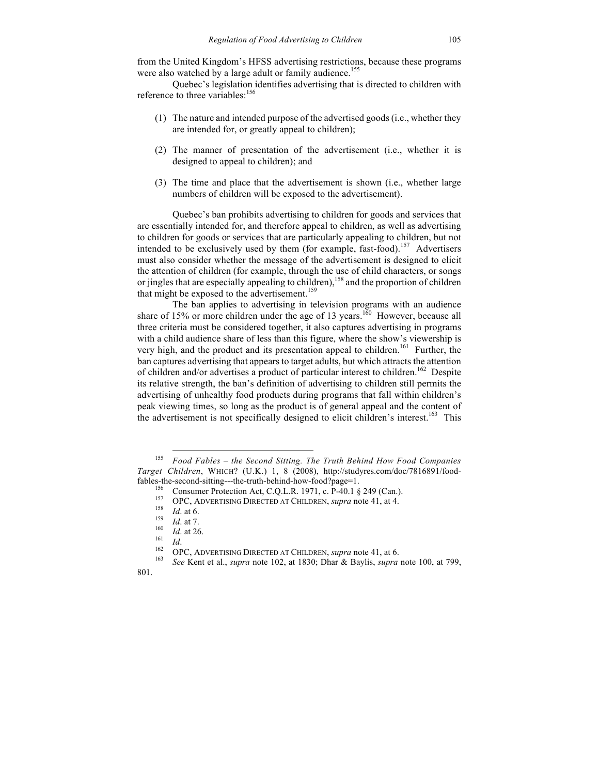from the United Kingdom's HFSS advertising restrictions, because these programs were also watched by a large adult or family audience.<sup>155</sup>

Quebec's legislation identifies advertising that is directed to children with reference to three variables:<sup>156</sup>

- (1) The nature and intended purpose of the advertised goods (i.e., whether they are intended for, or greatly appeal to children);
- (2) The manner of presentation of the advertisement (i.e., whether it is designed to appeal to children); and
- (3) The time and place that the advertisement is shown (i.e., whether large numbers of children will be exposed to the advertisement).

Quebec's ban prohibits advertising to children for goods and services that are essentially intended for, and therefore appeal to children, as well as advertising to children for goods or services that are particularly appealing to children, but not intended to be exclusively used by them (for example, fast-food).<sup>157</sup> Advertisers must also consider whether the message of the advertisement is designed to elicit the attention of children (for example, through the use of child characters, or songs or jingles that are especially appealing to children),<sup>158</sup> and the proportion of children that might be exposed to the advertisement.<sup>159</sup>

The ban applies to advertising in television programs with an audience share of 15% or more children under the age of 13 years.<sup>160</sup> However, because all three criteria must be considered together, it also captures advertising in programs with a child audience share of less than this figure, where the show's viewership is very high, and the product and its presentation appeal to children.<sup>161</sup> Further, the ban captures advertising that appears to target adults, but which attracts the attention of children and/or advertises a product of particular interest to children.<sup>162</sup> Despite its relative strength, the ban's definition of advertising to children still permits the advertising of unhealthy food products during programs that fall within children's peak viewing times, so long as the product is of general appeal and the content of the advertisement is not specifically designed to elicit children's interest.<sup>163</sup> This

 <sup>155</sup> *Food Fables – the Second Sitting. The Truth Behind How Food Companies Target Children*, WHICH? (U.K.) 1, 8 (2008), http://studyres.com/doc/7816891/foodfables-the-second-sitting---the-truth-behind-how-food?page=1.<br>
<sup>156</sup> Consumer Protection Act, C.Q.L.R. 1971, c. P-40.1 § 249 (Can.).<br>
<sup>157</sup> OPC, ADVERTISING DIRECTED AT CHILDREN, *supra* note 41, at 4.<br>
<sup>158</sup> *Id.* at 6.<br>

<sup>801.</sup>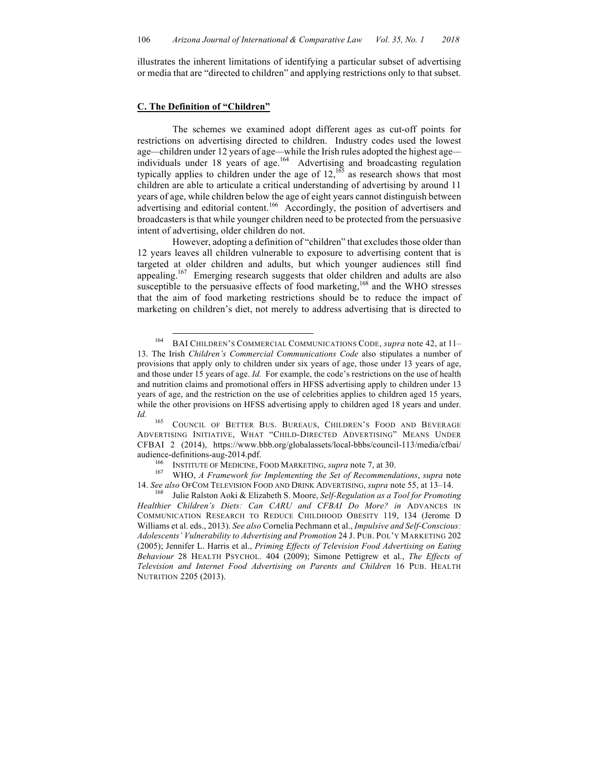illustrates the inherent limitations of identifying a particular subset of advertising or media that are "directed to children" and applying restrictions only to that subset.

#### **C. The Definition of "Children"**

The schemes we examined adopt different ages as cut-off points for restrictions on advertising directed to children. Industry codes used the lowest age*—*children under 12 years of age*—*while the Irish rules adopted the highest age individuals under 18 years of age. 164 Advertising and broadcasting regulation typically applies to children under the age of  $12$ ,  $165$  as research shows that most children are able to articulate a critical understanding of advertising by around 11 years of age, while children below the age of eight years cannot distinguish between advertising and editorial content.<sup>166</sup> Accordingly, the position of advertisers and broadcasters is that while younger children need to be protected from the persuasive intent of advertising, older children do not.

However, adopting a definition of "children" that excludes those older than 12 years leaves all children vulnerable to exposure to advertising content that is targeted at older children and adults, but which younger audiences still find appealing.<sup>167</sup> Emerging research suggests that older children and adults are also susceptible to the persuasive effects of food marketing,<sup>168</sup> and the WHO stresses that the aim of food marketing restrictions should be to reduce the impact of marketing on children's diet, not merely to address advertising that is directed to

 <sup>164</sup> BAI CHILDREN'S COMMERCIAL COMMUNICATIONS CODE, *supra* note 42, at 11– 13. The Irish *Children's Commercial Communications Code* also stipulates a number of provisions that apply only to children under six years of age, those under 13 years of age, and those under 15 years of age. *Id.* For example, the code's restrictions on the use of health and nutrition claims and promotional offers in HFSS advertising apply to children under 13 years of age, and the restriction on the use of celebrities applies to children aged 15 years, while the other provisions on HFSS advertising apply to children aged 18 years and under. Id. <sup>165</sup> COUNCIL OF BETTER BUS. BUREAUS, CHILDREN'S FOOD AND BEVERAGE

ADVERTISING INITIATIVE, WHAT "CHILD-DIRECTED ADVERTISING" MEANS UNDER CFBAI 2 (2014), https://www.bbb.org/globalassets/local-bbbs/council-113/media/cfbai/ audience-definitions-aug-2014.pdf.<br><sup>166</sup> INSTITUTE OF MEDICINE, FOOD MARKETING, *supra* note 7, at 30.<br><sup>167</sup> WHO, *A Framework for Implementing the Set of Recommendations*, *supra* note

<sup>14.</sup> *See also* OFCOM TELEVISION FOOD AND DRINK ADVERTISING, *supra* note 55, at 13–14. 168 Julie Ralston Aoki & Elizabeth S. Moore, *Self-Regulation as a Tool for Promoting* 

*Healthier Children's Diets: Can CARU and CFBAI Do More? in* ADVANCES IN COMMUNICATION RESEARCH TO REDUCE CHILDHOOD OBESITY 119, 134 (Jerome D Williams et al. eds., 2013). *See also* Cornelia Pechmann et al., *Impulsive and Self-Conscious: Adolescents' Vulnerability to Advertising and Promotion* 24 J. PUB. POL'Y MARKETING 202 (2005); Jennifer L. Harris et al., *Priming Effects of Television Food Advertising on Eating Behaviour* 28 HEALTH PSYCHOL. 404 (2009); Simone Pettigrew et al., *The Effects of Television and Internet Food Advertising on Parents and Children* 16 PUB. HEALTH NUTRITION 2205 (2013).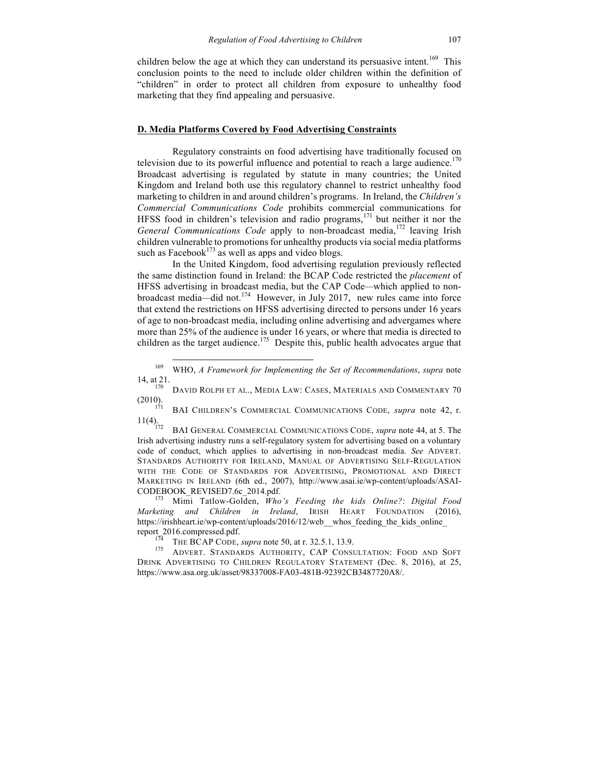children below the age at which they can understand its persuasive intent.<sup>169</sup> This conclusion points to the need to include older children within the definition of "children" in order to protect all children from exposure to unhealthy food marketing that they find appealing and persuasive.

## **D. Media Platforms Covered by Food Advertising Constraints**

Regulatory constraints on food advertising have traditionally focused on television due to its powerful influence and potential to reach a large audience.<sup>170</sup> Broadcast advertising is regulated by statute in many countries; the United Kingdom and Ireland both use this regulatory channel to restrict unhealthy food marketing to children in and around children's programs. In Ireland, the *Children's Commercial Communications Code* prohibits commercial communications for HFSS food in children's television and radio programs, $171$  but neither it nor the General Communications Code apply to non-broadcast media,<sup>172</sup> leaving Irish children vulnerable to promotions for unhealthy products via social media platforms such as Facebook<sup>173</sup> as well as apps and video blogs.

In the United Kingdom, food advertising regulation previously reflected the same distinction found in Ireland: the BCAP Code restricted the *placement* of HFSS advertising in broadcast media, but the CAP Code*—*which applied to nonbroadcast media*—*did not. 174 However, in July 2017, new rules came into force that extend the restrictions on HFSS advertising directed to persons under 16 years of age to non-broadcast media, including online advertising and advergames where more than 25% of the audience is under 16 years, or where that media is directed to children as the target audience.<sup>175</sup> Despite this, public health advocates argue that

14, at 21. 170 DAVID ROLPH ET AL., MEDIA LAW: CASES, MATERIALS AND COMMENTARY 70 (2010).

<sup>171</sup> BAI CHILDREN'S COMMERCIAL COMMUNICATIONS CODE, *supra* note 42, r.<br>11(4).

BAI GENERAL COMMERCIAL COMMUNICATIONS CODE, *supra* note 44, at 5. The Irish advertising industry runs a self-regulatory system for advertising based on a voluntary code of conduct, which applies to advertising in non-broadcast media. *See* ADVERT. STANDARDS AUTHORITY FOR IRELAND, MANUAL OF ADVERTISING SELF-REGULATION WITH THE CODE OF STANDARDS FOR ADVERTISING, PROMOTIONAL AND DIRECT MARKETING IN IRELAND (6th ed., 2007), http://www.asai.ie/wp-content/uploads/ASAI-CODEBOOK\_REVISED7.6c\_2014.pdf. <sup>173</sup> Mimi Tatlow-Golden, *Who's Feeding the kids Online?*: *Digital Food* 

*Marketing and Children in Ireland*, IRISH HEART FOUNDATION (2016), https://irishheart.ie/wp-content/uploads/2016/12/web\_\_whos\_feeding\_the\_kids\_online

report\_2016.compressed.pdf. 174 THE BCAP CODE, *supra* note 50, at r. 32.5.1, 13.9. 175 ADVERT. STANDARDS AUTHORITY, CAP CONSULTATION: FOOD AND SOFT DRINK ADVERTISING TO CHILDREN REGULATORY STATEMENT (Dec. 8, 2016), at 25, https://www.asa.org.uk/asset/98337008-FA03-481B-92392CB3487720A8/.

 <sup>169</sup> WHO, *A Framework for Implementing the Set of Recommendations*, *supra* note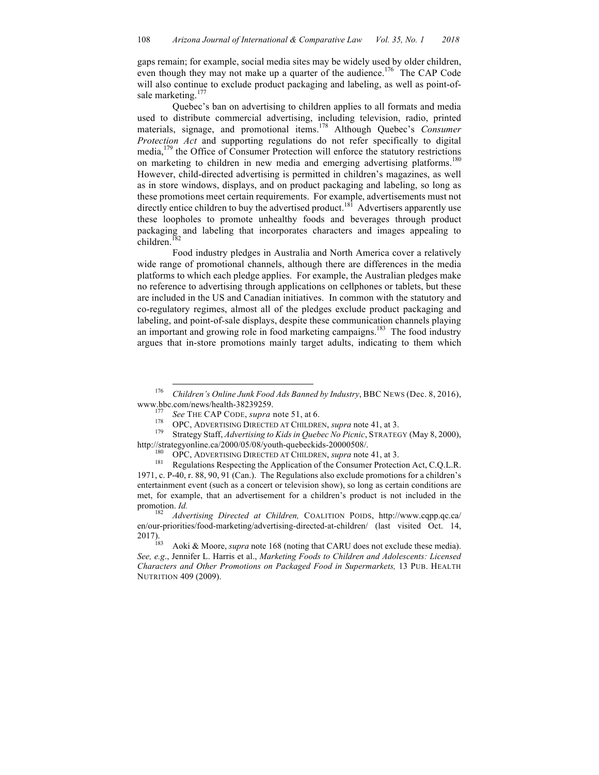gaps remain; for example, social media sites may be widely used by older children, even though they may not make up a quarter of the audience.<sup>176</sup> The CAP Code will also continue to exclude product packaging and labeling, as well as point-ofsale marketing.<sup>177</sup>

Quebec's ban on advertising to children applies to all formats and media used to distribute commercial advertising, including television, radio, printed materials, signage, and promotional items.<sup>178</sup> Although Quebec's *Consumer Protection Act* and supporting regulations do not refer specifically to digital media,<sup>179</sup> the Office of Consumer Protection will enforce the statutory restrictions on marketing to children in new media and emerging advertising platforms.<sup>180</sup> However, child-directed advertising is permitted in children's magazines, as well as in store windows, displays, and on product packaging and labeling, so long as these promotions meet certain requirements. For example, advertisements must not directly entice children to buy the advertised product.<sup>181</sup> Advertisers apparently use these loopholes to promote unhealthy foods and beverages through product packaging and labeling that incorporates characters and images appealing to children.<sup>182</sup>

Food industry pledges in Australia and North America cover a relatively wide range of promotional channels, although there are differences in the media platforms to which each pledge applies. For example, the Australian pledges make no reference to advertising through applications on cellphones or tablets, but these are included in the US and Canadian initiatives. In common with the statutory and co-regulatory regimes, almost all of the pledges exclude product packaging and labeling, and point-of-sale displays, despite these communication channels playing an important and growing role in food marketing campaigns.<sup>183</sup> The food industry argues that in-store promotions mainly target adults, indicating to them which

 <sup>176</sup> *Children's Online Junk Food Ads Banned by Industry*, BBC NEWS (Dec. 8, 2016), www.bbc.com/news/health-38239259.<br>
<sup>177</sup> See THE CAP CODE, *supra* note 51, at 6.<br>
<sup>178</sup> OPC, ADVERTISING DIRECTED AT CHILDREN, *supra* note 41, at 3.<br>
<sup>179</sup> Strategy Staff, *Advertising to Kids in Quebec No Picnic*, STRAT

http://strategyonline.ca/2000/05/08/youth-quebeckids-20000508/.<br><sup>180</sup> OPC, ADVERTISING DIRECTED AT CHILDREN, *supra* note 41, at 3.<br><sup>181</sup> Regulations Respecting the Application of the Consumer Protection Act, C.Q.L.R.

<sup>1971,</sup> c. P-40, r. 88, 90, 91 (Can.). The Regulations also exclude promotions for a children's entertainment event (such as a concert or television show), so long as certain conditions are met, for example, that an advertisement for a children's product is not included in the promotion. *Id.* <sup>182</sup> *Advertising Directed at Children,* COALITION POIDS, http://www.cqpp.qc.ca/

en/our-priorities/food-marketing/advertising-directed-at-children/ (last visited Oct. 14, 2017).<br>
2017).

Aoki & Moore, *supra* note 168 (noting that CARU does not exclude these media). *See, e.g*., Jennifer L. Harris et al., *Marketing Foods to Children and Adolescents: Licensed Characters and Other Promotions on Packaged Food in Supermarkets,* 13 PUB. HEALTH NUTRITION 409 (2009).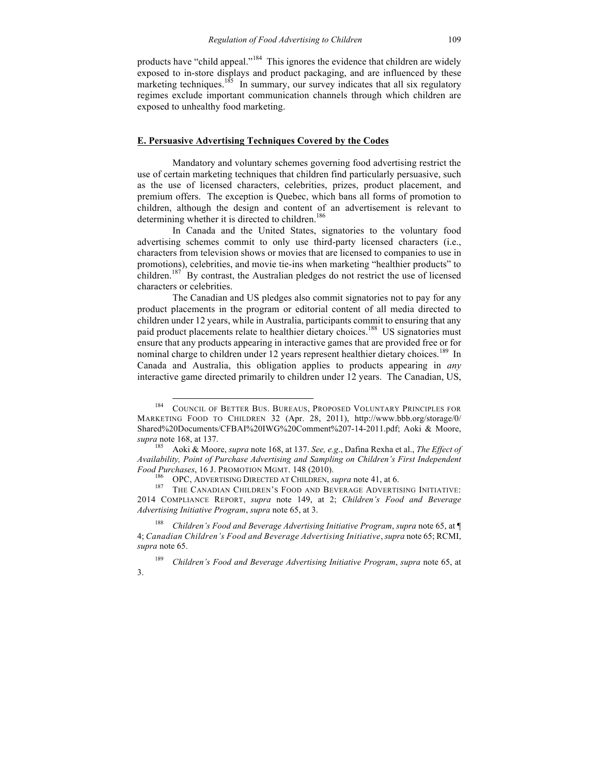products have "child appeal."<sup>184</sup> This ignores the evidence that children are widely exposed to in-store displays and product packaging, and are influenced by these marketing techniques.<sup>185</sup> In summary, our survey indicates that all six regulatory regimes exclude important communication channels through which children are exposed to unhealthy food marketing.

## **E. Persuasive Advertising Techniques Covered by the Codes**

Mandatory and voluntary schemes governing food advertising restrict the use of certain marketing techniques that children find particularly persuasive, such as the use of licensed characters, celebrities, prizes, product placement, and premium offers. The exception is Quebec, which bans all forms of promotion to children, although the design and content of an advertisement is relevant to determining whether it is directed to children.<sup>186</sup>

In Canada and the United States, signatories to the voluntary food advertising schemes commit to only use third-party licensed characters (i.e., characters from television shows or movies that are licensed to companies to use in promotions), celebrities, and movie tie-ins when marketing "healthier products" to children.<sup>187</sup> By contrast, the Australian pledges do not restrict the use of licensed characters or celebrities.

The Canadian and US pledges also commit signatories not to pay for any product placements in the program or editorial content of all media directed to children under 12 years, while in Australia, participants commit to ensuring that any paid product placements relate to healthier dietary choices.<sup>188</sup> US signatories must ensure that any products appearing in interactive games that are provided free or for nominal charge to children under 12 years represent healthier dietary choices.<sup>189</sup> In Canada and Australia, this obligation applies to products appearing in *any* interactive game directed primarily to children under 12 years. The Canadian, US,

<sup>&</sup>lt;sup>184</sup> COUNCIL OF BETTER BUS. BUREAUS, PROPOSED VOLUNTARY PRINCIPLES FOR MARKETING FOOD TO CHILDREN 32 (Apr. 28, 2011), http://www.bbb.org/storage/0/ Shared%20Documents/CFBAI%20IWG%20Comment%207-14-2011.pdf; Aoki & Moore, *supra* note 168, at 137.

<sup>185</sup> Aoki & Moore, *supra* note 168, at 137. *See, e.g*., Dafina Rexha et al., *The Effect of Availability, Point of Purchase Advertising and Sampling on Children's First Independent* 

<sup>&</sup>lt;sup>186</sup> OPC, ADVERTISING DIRECTED AT CHILDREN, *supra* note 41, at 6. 187 THE CANADIAN CHILDREN'S FOOD AND BEVERAGE ADVERTISING INITIATIVE: 2014 COMPLIANCE REPORT, *supra* note 149, at 2; *Children's Food and Beverage Advertising Initiative Program*, *supra* note 65, at 3.

<sup>188</sup> *Children's Food and Beverage Advertising Initiative Program*, *supra* note 65, at ¶ 4; *Canadian Children's Food and Beverage Advertising Initiative*, *supra* note 65; RCMI, *supra* note 65.

<sup>189</sup> *Children's Food and Beverage Advertising Initiative Program*, *supra* note 65, at 3.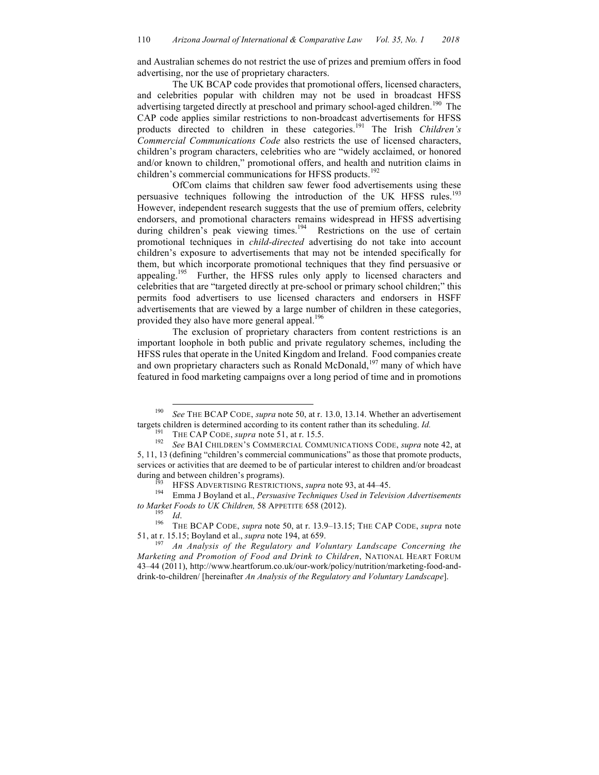and Australian schemes do not restrict the use of prizes and premium offers in food advertising, nor the use of proprietary characters.

The UK BCAP code provides that promotional offers, licensed characters, and celebrities popular with children may not be used in broadcast HFSS advertising targeted directly at preschool and primary school-aged children.<sup>190</sup> The CAP code applies similar restrictions to non-broadcast advertisements for HFSS products directed to children in these categories. <sup>191</sup> The Irish *Children's Commercial Communications Code* also restricts the use of licensed characters, children's program characters, celebrities who are "widely acclaimed, or honored and/or known to children," promotional offers, and health and nutrition claims in children's commercial communications for HFSS products.<sup>192</sup>

OfCom claims that children saw fewer food advertisements using these persuasive techniques following the introduction of the UK HFSS rules.<sup>193</sup> However, independent research suggests that the use of premium offers, celebrity endorsers, and promotional characters remains widespread in HFSS advertising during children's peak viewing times.<sup>194</sup> Restrictions on the use of certain promotional techniques in *child-directed* advertising do not take into account children's exposure to advertisements that may not be intended specifically for them, but which incorporate promotional techniques that they find persuasive or appealing.<sup>195</sup> Further, the HFSS rules only apply to licensed characters and celebrities that are "targeted directly at pre-school or primary school children;" this permits food advertisers to use licensed characters and endorsers in HSFF advertisements that are viewed by a large number of children in these categories, provided they also have more general appeal.<sup>196</sup>

The exclusion of proprietary characters from content restrictions is an important loophole in both public and private regulatory schemes, including the HFSS rules that operate in the United Kingdom and Ireland. Food companies create and own proprietary characters such as Ronald McDonald,<sup>197</sup> many of which have featured in food marketing campaigns over a long period of time and in promotions

<sup>&</sup>lt;sup>190</sup> *See* THE BCAP CODE, *supra* note 50, at r. 13.0, 13.14. Whether an advertisement targets children is determined according to its content rather than its scheduling. *Id*.

<sup>&</sup>lt;sup>191</sup> THE CAP CODE, *supra* note 51, at r. 15.5.<br><sup>192</sup> See BAI CHILDREN'S COMMERCIAL COMMUNICATIONS CODE, *supra* note 42, at 5, 11, 13 (defining "children's commercial communications" as those that promote products, services or activities that are deemed to be of particular interest to children and/or broadcast

during and between children's programs).<br><sup>193</sup> HFSS ADVERTISING RESTRICTIONS, *supra* note 93, at 44–45.<br><sup>194</sup> Emma J Boyland et al., *Persuasive Techniques Used in Television Advertisements* 

*to Market Foods to UK Children,* 58 APPETITE 658 (2012). <sup>195</sup> *Id*. <sup>196</sup> THE BCAP CODE, *supra* note 50, at r. 13.9–13.15; THE CAP CODE, *supra* note 51, at r. 15.15; Boyland et al., *supra* note 194, at 659.<br><sup>197</sup> *An Analysis of the Regulatory and Voluntary Landscape Concerning the* 

*Marketing and Promotion of Food and Drink to Children*, NATIONAL HEART FORUM 43–44 (2011), http://www.heartforum.co.uk/our-work/policy/nutrition/marketing-food-anddrink-to-children/ [hereinafter *An Analysis of the Regulatory and Voluntary Landscape*].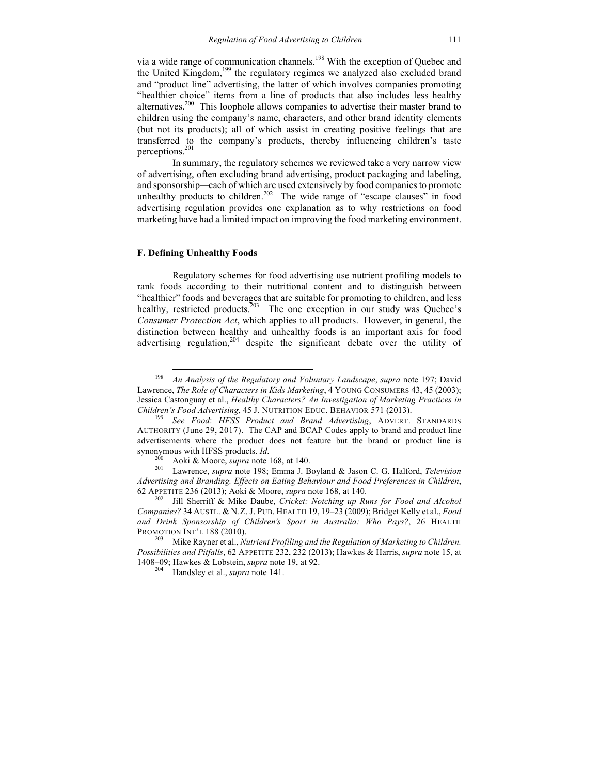via a wide range of communication channels.<sup>198</sup> With the exception of Ouebec and the United Kingdom,<sup>199</sup> the regulatory regimes we analyzed also excluded brand and "product line" advertising, the latter of which involves companies promoting "healthier choice" items from a line of products that also includes less healthy alternatives.<sup>200</sup> This loophole allows companies to advertise their master brand to children using the company's name, characters, and other brand identity elements (but not its products); all of which assist in creating positive feelings that are transferred to the company's products, thereby influencing children's taste perceptions. 201

In summary, the regulatory schemes we reviewed take a very narrow view of advertising, often excluding brand advertising, product packaging and labeling, and sponsorship*—*each of which are used extensively by food companies to promote unhealthy products to children.<sup>202</sup> The wide range of "escape clauses" in food advertising regulation provides one explanation as to why restrictions on food marketing have had a limited impact on improving the food marketing environment.

#### **F. Defining Unhealthy Foods**

Regulatory schemes for food advertising use nutrient profiling models to rank foods according to their nutritional content and to distinguish between "healthier" foods and beverages that are suitable for promoting to children, and less healthy, restricted products.<sup>203</sup> The one exception in our study was Quebec's *Consumer Protection Act*, which applies to all products. However, in general, the distinction between healthy and unhealthy foods is an important axis for food advertising regulation,<sup>204</sup> despite the significant debate over the utility of

 <sup>198</sup> *An Analysis of the Regulatory and Voluntary Landscape*, *supra* note 197; David Lawrence, *The Role of Characters in Kids Marketing*, 4 YOUNG CONSUMERS 43, 45 (2003); Jessica Castonguay et al., *Healthy Characters? An Investigation of Marketing Practices in Children's Food Advertising*, 45 J. NUTRITION EDUC. BEHAVIOR 571 (2013). <sup>199</sup> *See Food*: *HFSS Product and Brand Advertising*, ADVERT. STANDARDS

AUTHORITY (June 29, 2017). The CAP and BCAP Codes apply to brand and product line advertisements where the product does not feature but the brand or product line is synonymous with HFSS products. *Id*. 200 Aoki & Moore, *supra* note 168, at 140. <sup>201</sup> Lawrence, *supra* note 198; Emma J. Boyland & Jason C. G. Halford, *Television* 

*Advertising and Branding. Effects on Eating Behaviour and Food Preferences in Children*, 62 APPETITE 236 (2013); Aoki & Moore, *supra* note 168, at 140. <sup>202</sup> Jill Sherriff & Mike Daube, *Cricket: Notching up Runs for Food and Alcohol* 

*Companies?* 34 AUSTL. & N.Z. J. PUB. HEALTH 19, 19–23 (2009); Bridget Kelly et al., *Food and Drink Sponsorship of Children's Sport in Australia: Who Pays?*, 26 HEALTH PROMOTION INT'L 188 (2010).<br><sup>203</sup> Mike Rayner et al., *Nutrient Profiling and the Regulation of Marketing to Children.* 

*Possibilities and Pitfalls*, 62 APPETITE 232, 232 (2013); Hawkes & Harris, *supra* note 15, at 1408–09; Hawkes & Lobstein, *supra* note 19, at 92. 204 Handsley et al., *supra* note 141.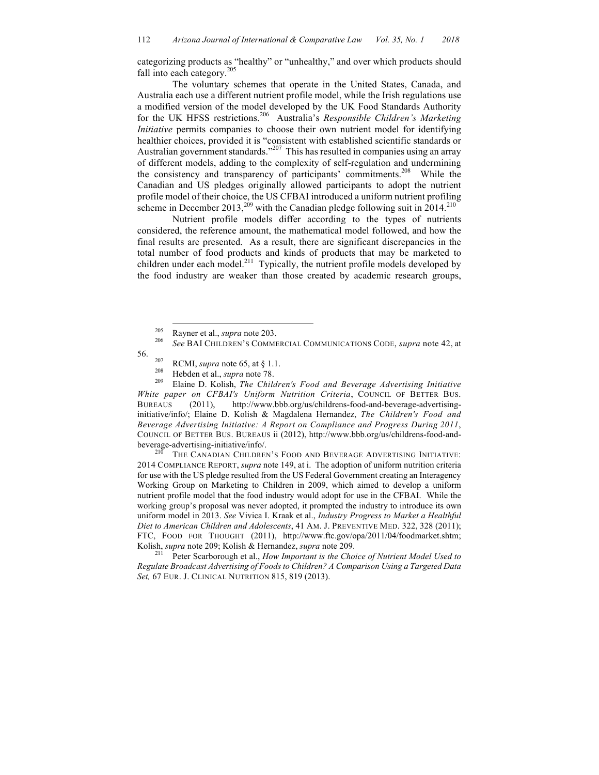categorizing products as "healthy" or "unhealthy," and over which products should fall into each category. $205$ 

The voluntary schemes that operate in the United States, Canada, and Australia each use a different nutrient profile model, while the Irish regulations use a modified version of the model developed by the UK Food Standards Authority for the UK HFSS restrictions.206 Australia's *Responsible Children's Marketing Initiative* permits companies to choose their own nutrient model for identifying healthier choices, provided it is "consistent with established scientific standards or Australian government standards."<sup>207</sup> This has resulted in companies using an array of different models, adding to the complexity of self-regulation and undermining the consistency and transparency of participants' commitments.<sup>208</sup> While the Canadian and US pledges originally allowed participants to adopt the nutrient profile model of their choice, the US CFBAI introduced a uniform nutrient profiling scheme in December 2013,<sup>209</sup> with the Canadian pledge following suit in  $2014$ <sup>210</sup>

Nutrient profile models differ according to the types of nutrients considered, the reference amount, the mathematical model followed, and how the final results are presented. As a result, there are significant discrepancies in the total number of food products and kinds of products that may be marketed to court number of food products and three or products that may be interneted to children under each model.<sup>211</sup> Typically, the nutrient profile models developed by the food industry are weaker than those created by academic research groups,

56. <sup>207</sup> RCMI, *supra* note 65, at § 1.1. <sup>208</sup> Hebden et al., *supra* note 78. <sup>209</sup> Elaine D. Kolish, *The Children's Food and Beverage Advertising Initiative White paper on CFBAI's Uniform Nutrition Criteria*, COUNCIL OF BETTER BUS. BUREAUS (2011), http://www.bbb.org/us/childrens-food-and-beverage-advertisinginitiative/info/; Elaine D. Kolish & Magdalena Hernandez, *The Children's Food and Beverage Advertising Initiative: A Report on Compliance and Progress During 2011*, COUNCIL OF BETTER BUS. BUREAUS ii (2012), http://www.bbb.org/us/childrens-food-andbeverage-advertising-initiative/info/.<br><sup>210</sup> THE CANADIAN CHILDREN'S FOOD AND BEVERAGE ADVERTISING INITIATIVE:

2014 COMPLIANCE REPORT, *supra* note 149, at i. The adoption of uniform nutrition criteria for use with the US pledge resulted from the US Federal Government creating an Interagency Working Group on Marketing to Children in 2009, which aimed to develop a uniform nutrient profile model that the food industry would adopt for use in the CFBAI. While the working group's proposal was never adopted, it prompted the industry to introduce its own uniform model in 2013. *See* Vivica I. Kraak et al., *Industry Progress to Market a Healthful Diet to American Children and Adolescents*, 41 AM. J. PREVENTIVE MED. 322, 328 (2011); FTC, FOOD FOR THOUGHT (2011), http://www.ftc.gov/opa/2011/04/foodmarket.shtm; Kolish, *supra* note 209; Kolish & Hernandez, *supra* note 209.<br><sup>211</sup> Peter Scarborough et al., *How Important is the Choice of Nutrient Model Used to* 

*Regulate Broadcast Advertising of Foods to Children? A Comparison Using a Targeted Data Set,* 67 EUR. J. CLINICAL NUTRITION 815, 819 (2013).

<sup>205</sup> Rayner et al., *supra* note 203. <sup>206</sup> *See* BAI CHILDREN'S COMMERCIAL COMMUNICATIONS CODE, *supra* note 42, at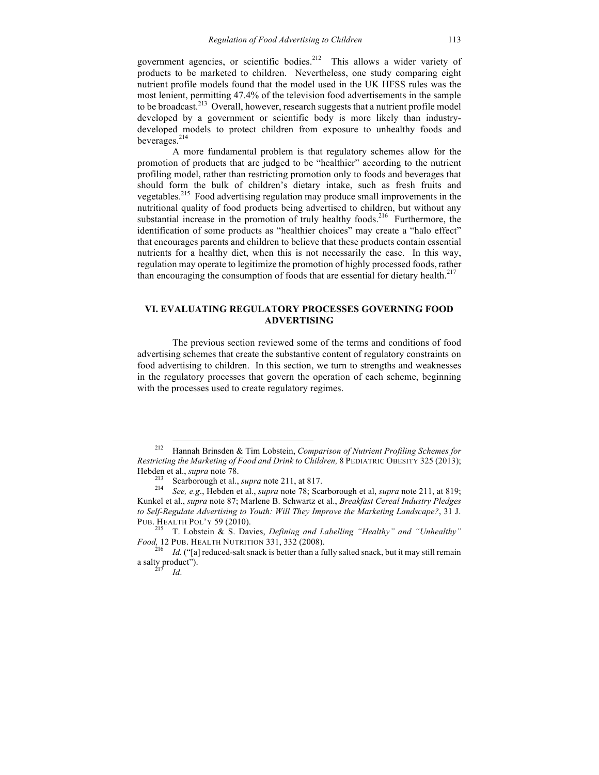government agencies, or scientific bodies. $2^{12}$  This allows a wider variety of products to be marketed to children. Nevertheless, one study comparing eight nutrient profile models found that the model used in the UK HFSS rules was the most lenient, permitting 47.4% of the television food advertisements in the sample to be broadcast.<sup>213</sup> Overall, however, research suggests that a nutrient profile model developed by a government or scientific body is more likely than industrydeveloped models to protect children from exposure to unhealthy foods and beverages.<sup>214</sup>

A more fundamental problem is that regulatory schemes allow for the promotion of products that are judged to be "healthier" according to the nutrient profiling model, rather than restricting promotion only to foods and beverages that should form the bulk of children's dietary intake, such as fresh fruits and vegetables.<sup>215</sup> Food advertising regulation may produce small improvements in the nutritional quality of food products being advertised to children, but without any substantial increase in the promotion of truly healthy foods.<sup>216</sup> Furthermore, the identification of some products as "healthier choices" may create a "halo effect" that encourages parents and children to believe that these products contain essential nutrients for a healthy diet, when this is not necessarily the case. In this way, regulation may operate to legitimize the promotion of highly processed foods, rather than encouraging the consumption of foods that are essential for dietary health.<sup>217</sup>

## **VI. EVALUATING REGULATORY PROCESSES GOVERNING FOOD ADVERTISING**

The previous section reviewed some of the terms and conditions of food advertising schemes that create the substantive content of regulatory constraints on food advertising to children. In this section, we turn to strengths and weaknesses in the regulatory processes that govern the operation of each scheme, beginning with the processes used to create regulatory regimes.

 <sup>212</sup> Hannah Brinsden & Tim Lobstein, *Comparison of Nutrient Profiling Schemes for Restricting the Marketing of Food and Drink to Children,* 8 PEDIATRIC OBESITY 325 (2013); Hebden et al., *supra* note 78.<br><sup>213</sup> Scarborough et al., *supra* note 211, at 817.<br><sup>214</sup> *See, e.g.*, Hebden et al., *supra* note 78; Scarborough et al, *supra* note 211, at 819;

Kunkel et al., *supra* note 87; Marlene B. Schwartz et al., *Breakfast Cereal Industry Pledges to Self-Regulate Advertising to Youth: Will They Improve the Marketing Landscape?*, 31 J.

<sup>&</sup>lt;sup>215</sup> T. Lobstein & S. Davies, *Defining and Labelling "Healthy" and "Unhealthy" <i>Food*, 12 PUB. HEALTH NUTRITION 331, 332 (2008).

<sup>&</sup>lt;sup>216</sup> *Id.* ("[a] reduced-salt snack is better than a fully salted snack, but it may still remain a salty product").<br> $\frac{217}{10}$  *Id.*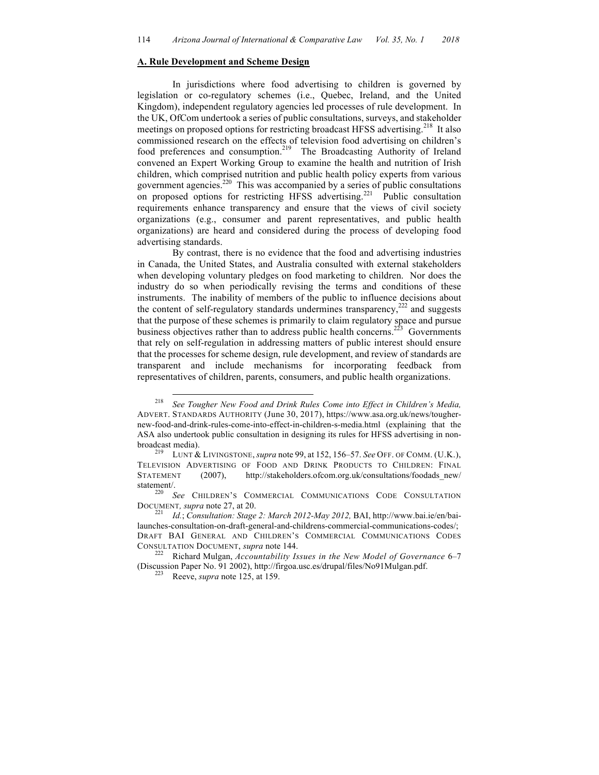#### **A. Rule Development and Scheme Design**

In jurisdictions where food advertising to children is governed by legislation or co-regulatory schemes (i.e., Quebec, Ireland, and the United Kingdom), independent regulatory agencies led processes of rule development. In the UK, OfCom undertook a series of public consultations, surveys, and stakeholder meetings on proposed options for restricting broadcast HFSS advertising.<sup>218</sup> It also commissioned research on the effects of television food advertising on children's food preferences and consumption.<sup>219</sup> The Broadcasting Authority of Ireland convened an Expert Working Group to examine the health and nutrition of Irish children, which comprised nutrition and public health policy experts from various government agencies.220 This was accompanied by a series of public consultations on proposed options for restricting HFSS advertising.<sup>221</sup> Public consultation requirements enhance transparency and ensure that the views of civil society organizations (e.g., consumer and parent representatives, and public health organizations) are heard and considered during the process of developing food advertising standards.

By contrast, there is no evidence that the food and advertising industries in Canada, the United States, and Australia consulted with external stakeholders when developing voluntary pledges on food marketing to children. Nor does the industry do so when periodically revising the terms and conditions of these instruments. The inability of members of the public to influence decisions about the content of self-regulatory standards undermines transparency, $^{222}$  and suggests that the purpose of these schemes is primarily to claim regulatory space and pursue business objectives rather than to address public health concerns.<sup>223</sup> Governments that rely on self-regulation in addressing matters of public interest should ensure that the processes for scheme design, rule development, and review of standards are transparent and include mechanisms for incorporating feedback from representatives of children, parents, consumers, and public health organizations.

 <sup>218</sup> *See Tougher New Food and Drink Rules Come into Effect in Children's Media,*  ADVERT. STANDARDS AUTHORITY (June 30, 2017), https://www.asa.org.uk/news/toughernew-food-and-drink-rules-come-into-effect-in-children-s-media.html (explaining that the ASA also undertook public consultation in designing its rules for HFSS advertising in non-

broadcast media). 219 LUNT & LIVINGSTONE, *supra* note 99, at 152, 156–57. *See* OFF. OF COMM. (U.K.), TELEVISION ADVERTISING OF FOOD AND DRINK PRODUCTS TO CHILDREN: FINAL STATEMENT (2007), http://stakeholders.ofcom.org.uk/consultations/foodads new/

statement/.<br><sup>220</sup> *See* CHILDREN'S COMMERCIAL COMMUNICATIONS CODE CONSULTATION

DOCUMENT, *supra* note 27, at 20.<br><sup>221</sup> *Id.*; *Consultation: Stage 2: March 2012-May 2012*, BAI, http://www.bai.ie/en/bailaunches-consultation-on-draft-general-and-childrens-commercial-communications-codes/; DRAFT BAI GENERAL AND CHILDREN'S COMMERCIAL COMMUNICATIONS CODES CONSULTATION DOCUMENT, *supra* note 144. <sup>222</sup> Richard Mulgan, *Accountability Issues in the New Model of Governance* 6–7

<sup>(</sup>Discussion Paper No. 91 2002), http://firgoa.usc.es/drupal/files/No91Mulgan.pdf. 223 Reeve, *supra* note 125, at 159.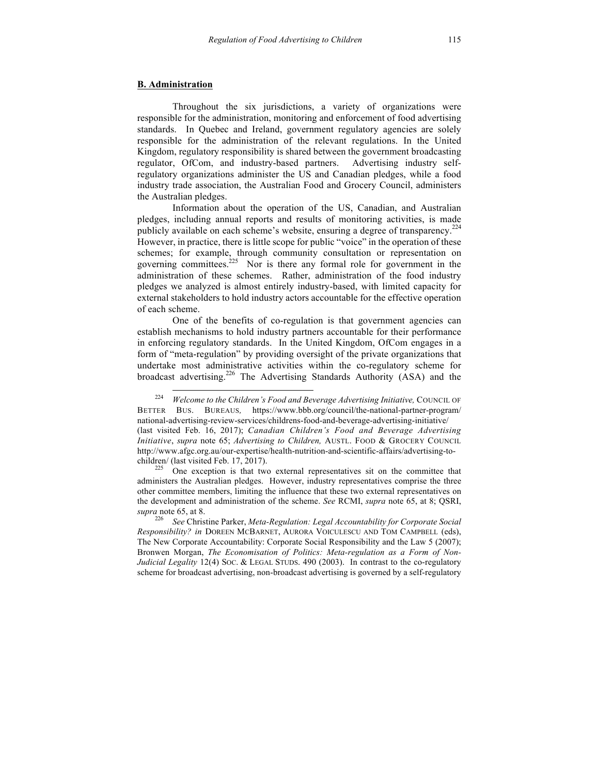#### **B. Administration**

Throughout the six jurisdictions, a variety of organizations were responsible for the administration, monitoring and enforcement of food advertising standards. In Quebec and Ireland, government regulatory agencies are solely responsible for the administration of the relevant regulations. In the United Kingdom, regulatory responsibility is shared between the government broadcasting regulator, OfCom, and industry-based partners. Advertising industry selfregulatory organizations administer the US and Canadian pledges, while a food industry trade association, the Australian Food and Grocery Council, administers the Australian pledges.

Information about the operation of the US, Canadian, and Australian pledges, including annual reports and results of monitoring activities, is made publicly available on each scheme's website, ensuring a degree of transparency.<sup>224</sup> However, in practice, there is little scope for public "voice" in the operation of these schemes; for example, through community consultation or representation on governing committees.<sup>225</sup> Nor is there any formal role for government in the administration of these schemes. Rather, administration of the food industry pledges we analyzed is almost entirely industry-based, with limited capacity for external stakeholders to hold industry actors accountable for the effective operation of each scheme.

One of the benefits of co-regulation is that government agencies can establish mechanisms to hold industry partners accountable for their performance in enforcing regulatory standards. In the United Kingdom, OfCom engages in a form of "meta-regulation" by providing oversight of the private organizations that undertake most administrative activities within the co-regulatory scheme for broadcast advertising.<sup>226</sup> The Advertising Standards Authority (ASA) and the

One exception is that two external representatives sit on the committee that administers the Australian pledges. However, industry representatives comprise the three other committee members, limiting the influence that these two external representatives on the development and administration of the scheme. *See* RCMI, *supra* note 65, at 8; QSRI, *supra* note 65, at 8.

<sup>226</sup> *See* Christine Parker, *Meta-Regulation: Legal Accountability for Corporate Social Responsibility? in* DOREEN MCBARNET, AURORA VOICULESCU AND TOM CAMPBELL (eds), The New Corporate Accountability: Corporate Social Responsibility and the Law 5 (2007); Bronwen Morgan, *The Economisation of Politics: Meta-regulation as a Form of Non-Judicial Legality* 12(4) SOC. & LEGAL STUDS. 490 (2003). In contrast to the co-regulatory scheme for broadcast advertising, non-broadcast advertising is governed by a self-regulatory

<sup>&</sup>lt;sup>224</sup> *Welcome to the Children's Food and Beverage Advertising Initiative, COUNCIL OF* BETTER BUS. BUREAUS*,* https://www.bbb.org/council/the-national-partner-program/ national-advertising-review-services/childrens-food-and-beverage-advertising-initiative/ (last visited Feb. 16, 2017); *Canadian Children's Food and Beverage Advertising Initiative*, *supra* note 65; *Advertising to Children,* AUSTL. FOOD & GROCERY COUNCIL http://www.afgc.org.au/our-expertise/health-nutrition-and-scientific-affairs/advertising-to-<br>children/ (last visited Feb. 17, 2017).<br><sup>225</sup> One expertise is that two external conceantatives sit on the committee the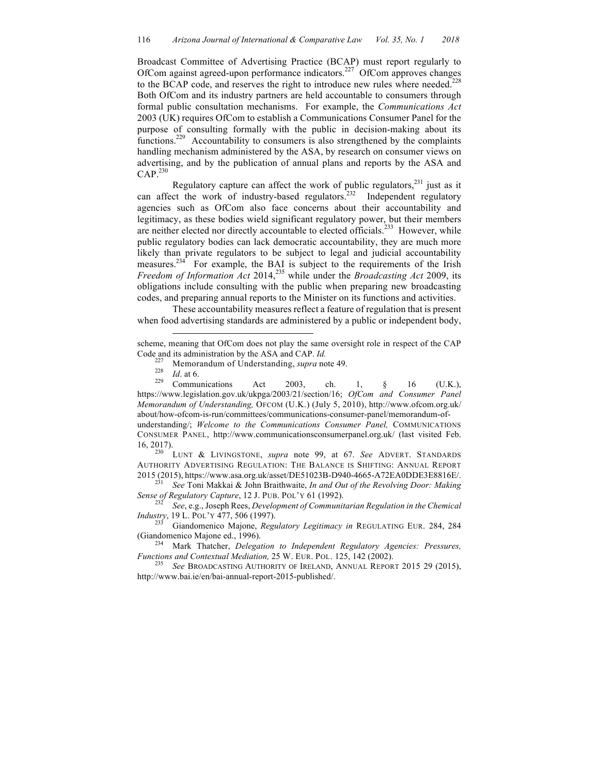Broadcast Committee of Advertising Practice (BCAP) must report regularly to OfCom against agreed-upon performance indicators.227 OfCom approves changes to the BCAP code, and reserves the right to introduce new rules where needed.<sup>228</sup> Both OfCom and its industry partners are held accountable to consumers through formal public consultation mechanisms. For example, the *Communications Act*  2003 (UK) requires OfCom to establish a Communications Consumer Panel for the purpose of consulting formally with the public in decision-making about its functions.229 Accountability to consumers is also strengthened by the complaints handling mechanism administered by the ASA, by research on consumer views on advertising, and by the publication of annual plans and reports by the ASA and  $CAP<sup>230</sup>$ 

Regulatory capture can affect the work of public regulators, $231$  just as it can affect the work of industry-based regulators.<sup>232</sup> Independent regulatory agencies such as OfCom also face concerns about their accountability and legitimacy, as these bodies wield significant regulatory power, but their members are neither elected nor directly accountable to elected officials.<sup>233</sup> However, while public regulatory bodies can lack democratic accountability, they are much more likely than private regulators to be subject to legal and judicial accountability measures. $234$  For example, the BAI is subject to the requirements of the Irish *Freedom of Information Act* 2014,<sup>235</sup> while under the *Broadcasting Act* 2009, its obligations include consulting with the public when preparing new broadcasting codes, and preparing annual reports to the Minister on its functions and activities.

These accountability measures reflect a feature of regulation that is present when food advertising standards are administered by a public or independent body,

 $\overline{a}$ 

16, 2017). <sup>230</sup> LUNT & LIVINGSTONE, *supra* note 99, at 67. *See* ADVERT. STANDARDS AUTHORITY ADVERTISING REGULATION: THE BALANCE IS SHIFTING: ANNUAL REPORT <sup>2015</sup> (2015), https://www.asa.org.uk/asset/DE51023B-D940-4665-A72EA0DDE3E8816E/. <sup>231</sup> *See* Toni Makkai & John Braithwaite, *In and Out of the Revolving Door: Making* 

*Sense of Regulatory Capture*, 12 J. PUB. POL'Y 61 (1992). <sup>232</sup> *See*, e.g., Joseph Rees, *Development of Communitarian Regulation in the Chemical* 

*Industry*, 19 L. POL'Y 477, 506 (1997). <sup>233</sup> Giandomenico Majone, *Regulatory Legitimacy in* REGULATING EUR. 284, 284

(Giandomenico Majone ed., 1996). <sup>234</sup> Mark Thatcher, *Delegation to Independent Regulatory Agencies: Pressures,* 

scheme, meaning that OfCom does not play the same oversight role in respect of the CAP Code and its administration by the ASA and CAP. *Id.*<br><sup>227</sup> Memorandum of Understanding, *supra* note 49.<br><sup>228</sup> *Id.* at 6. <sup>229</sup> Communications Act 2003, ch. 1, § 16 (U.K.),

https://www.legislation.gov.uk/ukpga/2003/21/section/16; *OfCom and Consumer Panel Memorandum of Understanding,* OFCOM (U.K.) (July 5, 2010), http://www.ofcom.org.uk/ about/how-ofcom-is-run/committees/communications-consumer-panel/memorandum-ofunderstanding/; *Welcome to the Communications Consumer Panel,* COMMUNICATIONS CONSUMER PANEL, http://www.communicationsconsumerpanel.org.uk/ (last visited Feb.

*Functions and Contextual Mediation, 25 W. EUR. POL. 125, 142 (2002).*<br><sup>235</sup> *See BROADCASTING AUTHORITY OF IRELAND, ANNUAL REPORT 2015 29 (2015),* 

http://www.bai.ie/en/bai-annual-report-2015-published/.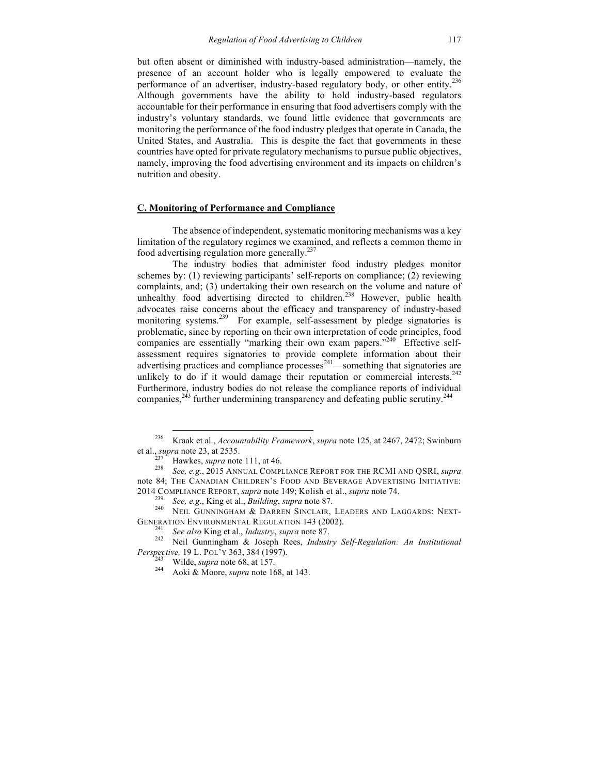but often absent or diminished with industry-based administration—namely, the presence of an account holder who is legally empowered to evaluate the performance of an advertiser, industry-based regulatory body, or other entity.<sup>236</sup> Although governments have the ability to hold industry-based regulators accountable for their performance in ensuring that food advertisers comply with the industry's voluntary standards, we found little evidence that governments are monitoring the performance of the food industry pledges that operate in Canada, the United States, and Australia. This is despite the fact that governments in these countries have opted for private regulatory mechanisms to pursue public objectives, namely, improving the food advertising environment and its impacts on children's nutrition and obesity.

### **C. Monitoring of Performance and Compliance**

The absence of independent, systematic monitoring mechanisms was a key limitation of the regulatory regimes we examined, and reflects a common theme in food advertising regulation more generally.237

The industry bodies that administer food industry pledges monitor schemes by: (1) reviewing participants' self-reports on compliance; (2) reviewing complaints, and; (3) undertaking their own research on the volume and nature of unhealthy food advertising directed to children.<sup>238</sup> However, public health advocates raise concerns about the efficacy and transparency of industry-based monitoring systems.<sup>239</sup> For example, self-assessment by pledge signatories is problematic, since by reporting on their own interpretation of code principles, food companies are essentially "marking their own exam papers."<sup>240</sup> Effective selfassessment requires signatories to provide complete information about their advertising practices and compliance processes $^{241}$ —something that signatories are unlikely to do if it would damage their reputation or commercial interests.<sup>242</sup> Furthermore, industry bodies do not release the compliance reports of individual companies, $^{243}$  further undermining transparency and defeating public scrutiny.<sup>244</sup>

<sup>&</sup>lt;sup>236</sup> Kraak et al., *Accountability Framework*, *supra* note 125, at 2467, 2472; Swinburn et al., *supra* note 23, at 2535.

<sup>&</sup>lt;sup>237</sup> Hawkes, *supra* note 111, at 46. <sup>237</sup> *See, e.g.*, 2015 ANNUAL COMPLIANCE REPORT FOR THE RCMI AND QSRI, *supra* note 84; THE CANADIAN CHILDREN'S FOOD AND BEVERAGE ADVERTISING INITIATIVE:

<sup>2014</sup> COMPLIANCE REPORT, *supra* note 149; Kolish et al., *supra* note 74.<br><sup>239</sup> *See, e.g.*, King et al., *Building*, *supra* note 87.<br><sup>240</sup> NEIL GUNNINGHAM & DARREN SINCLAIR, LEADERS AND LAGGARDS: NEXT-

GENERATION ENVIRONMENTAL REGULATION 143 (2002).<br><sup>241</sup> *See also* King et al., *Industry*, *supra* note 87.<br><sup>242</sup> Neil Gunningham & Joseph Rees, *Industry Self-Regulation: An Institutional Perspective,* 19 L. POL<sup>'</sup>Y 363, 384 (1997).<br><sup>243</sup> Wilde, *supra* note 68, at 157.<br><sup>244</sup> Aoki & Moore, *supra* note 168, at 143.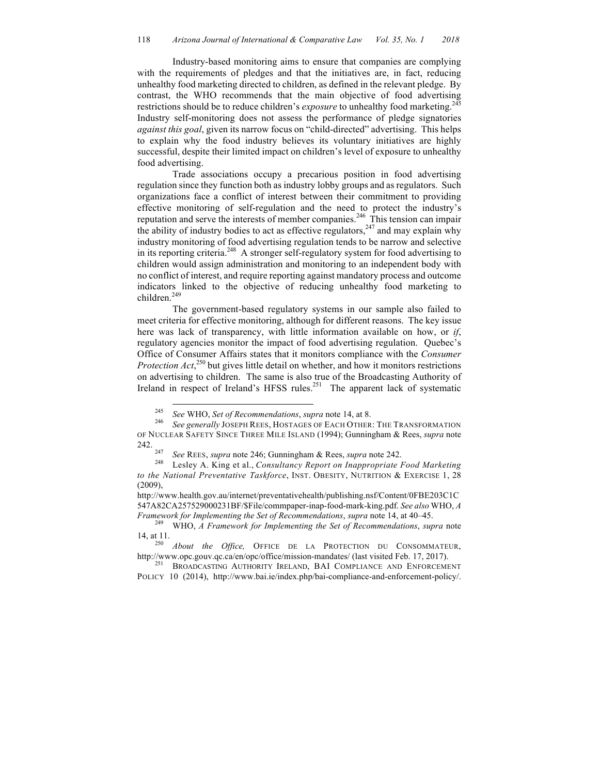Industry-based monitoring aims to ensure that companies are complying with the requirements of pledges and that the initiatives are, in fact, reducing unhealthy food marketing directed to children, as defined in the relevant pledge. By contrast, the WHO recommends that the main objective of food advertising restrictions should be to reduce children's *exposure* to unhealthy food marketing.<sup>245</sup> Industry self-monitoring does not assess the performance of pledge signatories *against this goal*, given its narrow focus on "child-directed" advertising. This helps to explain why the food industry believes its voluntary initiatives are highly successful, despite their limited impact on children's level of exposure to unhealthy food advertising.

Trade associations occupy a precarious position in food advertising regulation since they function both as industry lobby groups and as regulators. Such organizations face a conflict of interest between their commitment to providing effective monitoring of self-regulation and the need to protect the industry's reputation and serve the interests of member companies.<sup>246</sup> This tension can impair the ability of industry bodies to act as effective regulators,  $247$  and may explain why industry monitoring of food advertising regulation tends to be narrow and selective in its reporting criteria.<sup>248</sup> A stronger self-regulatory system for food advertising to children would assign administration and monitoring to an independent body with no conflict of interest, and require reporting against mandatory process and outcome indicators linked to the objective of reducing unhealthy food marketing to children.<sup>249</sup>

The government-based regulatory systems in our sample also failed to meet criteria for effective monitoring, although for different reasons. The key issue here was lack of transparency, with little information available on how, or *if*, regulatory agencies monitor the impact of food advertising regulation. Quebec's Office of Consumer Affairs states that it monitors compliance with the *Consumer Protection Act*,<sup>250</sup> but gives little detail on whether, and how it monitors restrictions on advertising to children. The same is also true of the Broadcasting Authority of Ireland in respect of Ireland's HFSS rules.<sup>251</sup> The apparent lack of systematic

<sup>&</sup>lt;sup>245</sup> *See* WHO, *Set of Recommendations*, *supra* note 14, at 8.<br><sup>246</sup> *See generally JOSEPH REES*, HOSTAGES OF EACH OTHER: THE TRANSFORMATION OF NUCLEAR SAFETY SINCE THREE MILE ISLAND (1994); Gunningham & Rees, *supra* note

<sup>242.</sup> <sup>247</sup> *See* REES, *supra* note 246; Gunningham & Rees, *supra* note 242. <sup>248</sup> Lesley A. King et al., *Consultancy Report on Inappropriate Food Marketing* 

*to the National Preventative Taskforce*, INST. OBESITY, NUTRITION & EXERCISE 1, 28  $(2009)$ .

http://www.health.gov.au/internet/preventativehealth/publishing.nsf/Content/0FBE203C1C 547A82CA257529000231BF/\$File/commpaper-inap-food-mark-king.pdf. *See also* WHO, *A* 

*Framework for Implementing the Set of Recommendations*, *supra* note 14, at 40–45. <sup>249</sup> WHO, *A Framework for Implementing the Set of Recommendations*, *supra* note 14, at 11. <sup>250</sup> *About the Office,* OFFICE DE LA PROTECTION DU CONSOMMATEUR,

http://www.opc.gouv.qc.ca/en/opc/office/mission-mandates/ (last visited Feb. 17, 2017). <sup>251</sup> BROADCASTING AUTHORITY IRELAND, BAI COMPLIANCE AND ENFORCEMENT

POLICY 10 (2014), http://www.bai.ie/index.php/bai-compliance-and-enforcement-policy/.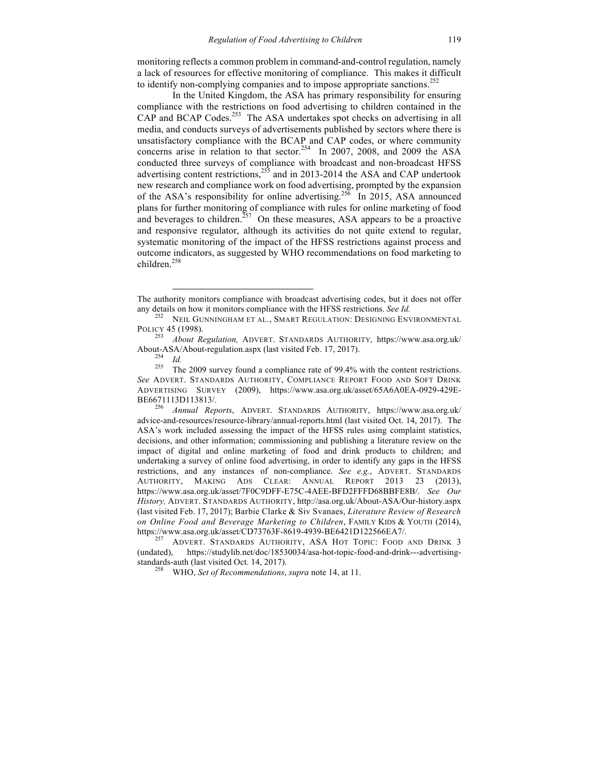monitoring reflects a common problem in command-and-control regulation, namely a lack of resources for effective monitoring of compliance. This makes it difficult to identify non-complying companies and to impose appropriate sanctions.<sup>252</sup>

In the United Kingdom, the ASA has primary responsibility for ensuring compliance with the restrictions on food advertising to children contained in the CAP and BCAP Codes.<sup>253</sup> The ASA undertakes spot checks on advertising in all media, and conducts surveys of advertisements published by sectors where there is unsatisfactory compliance with the BCAP and CAP codes, or where community concerns arise in relation to that sector.<sup>254</sup> In 2007, 2008, and 2009 the ASA conducted three surveys of compliance with broadcast and non-broadcast HFSS advertising content restrictions,<sup>255</sup> and in 2013-2014 the ASA and CAP undertook new research and compliance work on food advertising, prompted by the expansion of the ASA's responsibility for online advertising.<sup>256</sup> In 2015, ASA announced plans for further monitoring of compliance with rules for online marketing of food and beverages to children.<sup>257</sup> On these measures, ASA appears to be a proactive and responsive regulator, although its activities do not quite extend to regular, systematic monitoring of the impact of the HFSS restrictions against process and outcome indicators, as suggested by WHO recommendations on food marketing to children.<sup>258</sup>

 $\overline{a}$ 

The authority monitors compliance with broadcast advertising codes, but it does not offer any details on how it monitors compliance with the HFSS restrictions. *See Id.* <sup>252</sup> NEIL GUNNINGHAM ET AL., SMART REGULATION: DESIGNING ENVIRONMENTAL

POLICY 45 (1998). <sup>253</sup> *About Regulation,* ADVERT. STANDARDS AUTHORITY*,* https://www.asa.org.uk/ About-ASA/About-regulation.aspx (last visited Feb. 17, 2017).<br>
<sup>254</sup> *Id.*<br>
<sup>255</sup> The 2009 survey found a compliance rate of 99.4% with the content restrictions.

*See* ADVERT. STANDARDS AUTHORITY, COMPLIANCE REPORT FOOD AND SOFT DRINK ADVERTISING SURVEY (2009), https://www.asa.org.uk/asset/65A6A0EA-0929-429E-BE6671113D113813/. <sup>256</sup> *Annual Reports*, ADVERT. STANDARDS AUTHORITY, https://www.asa.org.uk/

advice-and-resources/resource-library/annual-reports.html (last visited Oct. 14, 2017). The ASA's work included assessing the impact of the HFSS rules using complaint statistics, decisions, and other information; commissioning and publishing a literature review on the impact of digital and online marketing of food and drink products to children; and undertaking a survey of online food advertising, in order to identify any gaps in the HFSS restrictions, and any instances of non-compliance. *See e.g.*, ADVERT. STANDARDS AUTHORITY, MAKING ADS CLEAR: ANNUAL REPORT 2013 23 (2013), https://www.asa.org.uk/asset/7F0C9DFF-E75C-4AEE-BFD2FFFD68BBFE8B/. *See Our History,* ADVERT. STANDARDS AUTHORITY, http://asa.org.uk/About-ASA/Our-history.aspx (last visited Feb. 17, 2017); Barbie Clarke & Siv Svanaes, *Literature Review of Research on Online Food and Beverage Marketing to Children*, FAMILY KIDS & YOUTH (2014), https://www.asa.org.uk/asset/CD73763F-8619-4939-BE6421D122566EA7/. <sup>257</sup> ADVERT. STANDARDS AUTHORITY, ASA HOT TOPIC: FOOD AND DRINK <sup>3</sup>

<sup>(</sup>undated), https://studylib.net/doc/18530034/asa-hot-topic-food-and-drink---advertisingstandards-auth (last visited Oct. 14, 2017). <sup>258</sup> WHO, *Set of Recommendations*, *supra* note 14, at 11.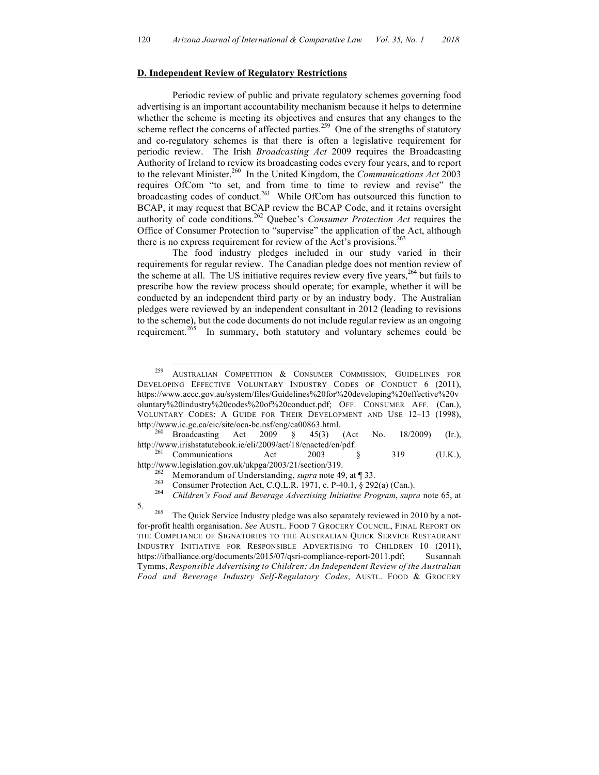#### **D. Independent Review of Regulatory Restrictions**

Periodic review of public and private regulatory schemes governing food advertising is an important accountability mechanism because it helps to determine whether the scheme is meeting its objectives and ensures that any changes to the scheme reflect the concerns of affected parties.<sup>259</sup> One of the strengths of statutory and co-regulatory schemes is that there is often a legislative requirement for periodic review. The Irish *Broadcasting Act* 2009 requires the Broadcasting Authority of Ireland to review its broadcasting codes every four years, and to report to the relevant Minister.260 In the United Kingdom, the *Communications Act* 2003 requires OfCom "to set, and from time to time to review and revise" the broadcasting codes of conduct.<sup>261</sup> While OfCom has outsourced this function to BCAP, it may request that BCAP review the BCAP Code, and it retains oversight authority of code conditions.<sup>262</sup> Quebec's *Consumer Protection Act* requires the Office of Consumer Protection to "supervise" the application of the Act, although there is no express requirement for review of the Act's provisions.<sup>263</sup>

The food industry pledges included in our study varied in their requirements for regular review. The Canadian pledge does not mention review of the scheme at all. The US initiative requires review every five years,<sup>264</sup> but fails to prescribe how the review process should operate; for example, whether it will be conducted by an independent third party or by an industry body. The Australian pledges were reviewed by an independent consultant in 2012 (leading to revisions to the scheme), but the code documents do not include regular review as an ongoing requirement.<sup>265</sup> In summary, both statutory and voluntary schemes could be

 <sup>259</sup> AUSTRALIAN COMPETITION & CONSUMER COMMISSION*,* GUIDELINES FOR DEVELOPING EFFECTIVE VOLUNTARY INDUSTRY CODES OF CONDUCT 6 (2011), https://www.accc.gov.au/system/files/Guidelines%20for%20developing%20effective%20v oluntary%20industry%20codes%20of%20conduct.pdf; OFF. CONSUMER AFF. (Can.), VOLUNTARY CODES: A GUIDE FOR THEIR DEVELOPMENT AND USE 12–13 (1998), http://www.ic.gc.ca/eic/site/oca-bc.nsf/eng/ca00863.html. <sup>260</sup> Broadcasting Act 2009 § 45(3) (Act No. 18/2009) (Ir.),

http://www.irishstatutebook.ie/eli/2009/act/18/enacted/en/pdf.<br><sup>261</sup> Communications Act 2003 § 319 (U.K.),

http://www.legislation.gov.uk/ukpga/2003/21/section/319.<br>
<sup>262</sup> Memorandum of Understanding, *supra* note 49, at ¶ 33.<br>
<sup>263</sup> Consumer Protection Act, C.Q.L.R. 1971, c. P-40.1, § 292(a) (Can.).<br>
<sup>264</sup> Children's Food and 5. <sup>265</sup> The Quick Service Industry pledge was also separately reviewed in 2010 by a not-

for-profit health organisation. *See* AUSTL. FOOD 7 GROCERY COUNCIL, FINAL REPORT ON THE COMPLIANCE OF SIGNATORIES TO THE AUSTRALIAN QUICK SERVICE RESTAURANT INDUSTRY INITIATIVE FOR RESPONSIBLE ADVERTISING TO CHILDREN 10 (2011), https://ifballiance.org/documents/2015/07/qsri-compliance-report-2011.pdf; Susannah Tymms, *Responsible Advertising to Children: An Independent Review of the Australian Food and Beverage Industry Self-Regulatory Codes*, AUSTL. FOOD & GROCERY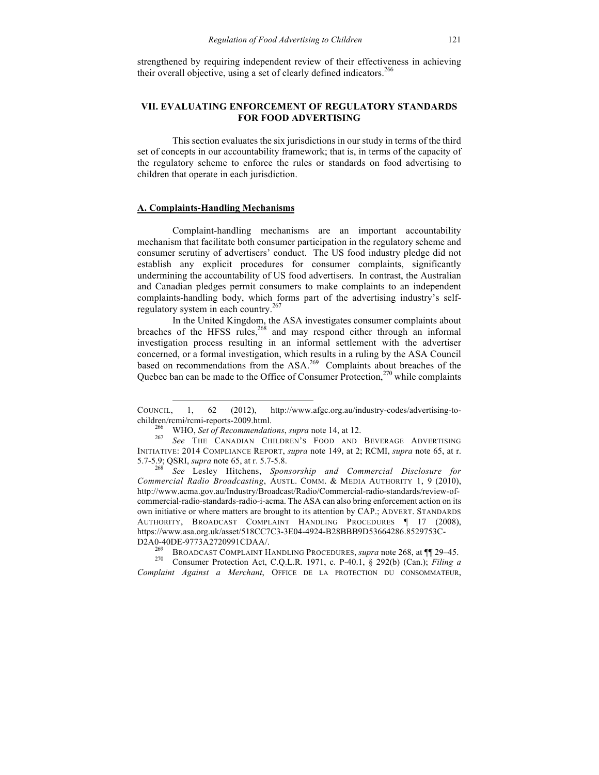strengthened by requiring independent review of their effectiveness in achieving their overall objective, using a set of clearly defined indicators.<sup>266</sup>

## **VII. EVALUATING ENFORCEMENT OF REGULATORY STANDARDS FOR FOOD ADVERTISING**

This section evaluates the six jurisdictions in our study in terms of the third set of concepts in our accountability framework; that is, in terms of the capacity of the regulatory scheme to enforce the rules or standards on food advertising to children that operate in each jurisdiction.

### **A. Complaints-Handling Mechanisms**

 $\overline{a}$ 

Complaint-handling mechanisms are an important accountability mechanism that facilitate both consumer participation in the regulatory scheme and consumer scrutiny of advertisers' conduct. The US food industry pledge did not establish any explicit procedures for consumer complaints, significantly undermining the accountability of US food advertisers. In contrast, the Australian and Canadian pledges permit consumers to make complaints to an independent complaints-handling body, which forms part of the advertising industry's selfregulatory system in each country.<sup>267</sup>

In the United Kingdom, the ASA investigates consumer complaints about breaches of the HFSS rules, $268$  and may respond either through an informal investigation process resulting in an informal settlement with the advertiser concerned, or a formal investigation, which results in a ruling by the ASA Council based on recommendations from the ASA.<sup>269</sup> Complaints about breaches of the Quebec ban can be made to the Office of Consumer Protection, $270$  while complaints

5.7-5.9; QSRI, *supra* note 65, at r. 5.7-5.8. <sup>268</sup> *See* Lesley Hitchens, *Sponsorship and Commercial Disclosure for Commercial Radio Broadcasting*, AUSTL. COMM. & MEDIA AUTHORITY 1, 9 (2010), http://www.acma.gov.au/Industry/Broadcast/Radio/Commercial-radio-standards/review-ofcommercial-radio-standards-radio-i-acma. The ASA can also bring enforcement action on its own initiative or where matters are brought to its attention by CAP.; ADVERT. STANDARDS AUTHORITY, BROADCAST COMPLAINT HANDLING PROCEDURES ¶ 17 (2008), https://www.asa.org.uk/asset/518CC7C3-3E04-4924-B28BBB9D53664286.8529753C-

COUNCIL, 1, 62 (2012), http://www.afgc.org.au/industry-codes/advertising-tochildren/rcmi/rcmi-reports-2009.html. <sup>266</sup> WHO, *Set of Recommendations*, *supra* note 14, at 12. <sup>267</sup> *See* THE CANADIAN CHILDREN'S FOOD AND BEVERAGE ADVERTISING

INITIATIVE: 2014 COMPLIANCE REPORT, *supra* note 149, at 2; RCMI, *supra* note 65, at r.

D2A0-40DE-9773A2720991CDAA/.<br><sup>269</sup> BROADCAST COMPLAINT HANDLING PROCEDURES, *supra* note 268, at ¶¶ 29–45.<br><sup>270</sup> Consumer Protection Act, C.Q.L.R. 1971, c. P-40.1, § 292(b) (Can.); *Filing a* 

*Complaint Against a Merchant*, OFFICE DE LA PROTECTION DU CONSOMMATEUR,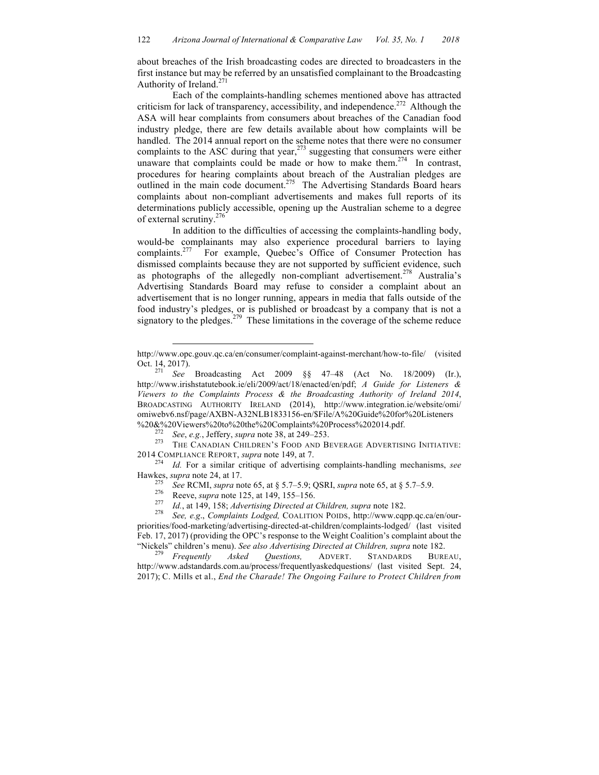about breaches of the Irish broadcasting codes are directed to broadcasters in the first instance but may be referred by an unsatisfied complainant to the Broadcasting Authority of Ireland.<sup>271</sup>

Each of the complaints-handling schemes mentioned above has attracted criticism for lack of transparency, accessibility, and independence.<sup>272</sup> Although the ASA will hear complaints from consumers about breaches of the Canadian food industry pledge, there are few details available about how complaints will be handled. The 2014 annual report on the scheme notes that there were no consumer complaints to the ASC during that year, $273$  suggesting that consumers were either unaware that complaints could be made or how to make them.<sup>274</sup> In contrast, procedures for hearing complaints about breach of the Australian pledges are outlined in the main code document.<sup>275</sup> The Advertising Standards Board hears complaints about non-compliant advertisements and makes full reports of its determinations publicly accessible, opening up the Australian scheme to a degree of external scrutiny.<sup>276</sup>

In addition to the difficulties of accessing the complaints-handling body, would-be complainants may also experience procedural barriers to laying complaints.<sup>277</sup> For example, Quebec's Office of Consumer Protection has dismissed complaints because they are not supported by sufficient evidence, such as photographs of the allegedly non-compliant advertisement.<sup>278</sup> Australia's Advertising Standards Board may refuse to consider a complaint about an advertisement that is no longer running, appears in media that falls outside of the food industry's pledges, or is published or broadcast by a company that is not a signatory to the pledges.<sup>279</sup> These limitations in the coverage of the scheme reduce

 $\overline{a}$ 

http://www.opc.gouv.qc.ca/en/consumer/complaint-against-merchant/how-to-file/ (visited Oct. 14, 2017). <sup>271</sup> *See* Broadcasting Act 2009 §§ 47–48 (Act No. 18/2009) (Ir.),

http://www.irishstatutebook.ie/eli/2009/act/18/enacted/en/pdf; *A Guide for Listeners & Viewers to the Complaints Process & the Broadcasting Authority of Ireland 2014*, BROADCASTING AUTHORITY IRELAND (2014), http://www.integration.ie/website/omi/ omiwebv6.nsf/page/AXBN-A32NLB1833156-en/\$File/A%20Guide%20for%20Listeners

<sup>%20&</sup>amp;%20Viewers%20to%20the%20Complaints%20Process%202014.pdf.<br><sup>272</sup> *See*, *e.g.*, Jeffery, *supra* note 38, at 249–253.<br><sup>273</sup> THE CANADIAN CHILDREN'S FOOD AND BEVERAGE ADVERTISING INITIATIVE:

<sup>2014</sup> COMPLIANCE REPORT, *supra* note 149, at 7. <sup>274</sup> *Id.* For a similar critique of advertising complaints-handling mechanisms, *see* Hawkes, *supra* note 24, at 17.<br>
<sup>275</sup> See RCMI, *supra* note 65, at § 5.7–5.9; QSRI, *supra* note 65, at § 5.7–5.9.<br>
Reeve, *supra* note 125, at 149, 155–156.<br>
<sup>277</sup> Id., at 149, 158; *Advertising Directed at Children, s* 

priorities/food-marketing/advertising-directed-at-children/complaints-lodged/ (last visited Feb. 17, 2017) (providing the OPC's response to the Weight Coalition's complaint about the "Nickels" children's menu). *See also Advertising Directed at Children, supra* note 182. <sup>279</sup> *Frequently Asked Questions,* ADVERT. STANDARDS BUREAU,

http://www.adstandards.com.au/process/frequentlyaskedquestions/ (last visited Sept. 24, 2017); C. Mills et al., *End the Charade! The Ongoing Failure to Protect Children from*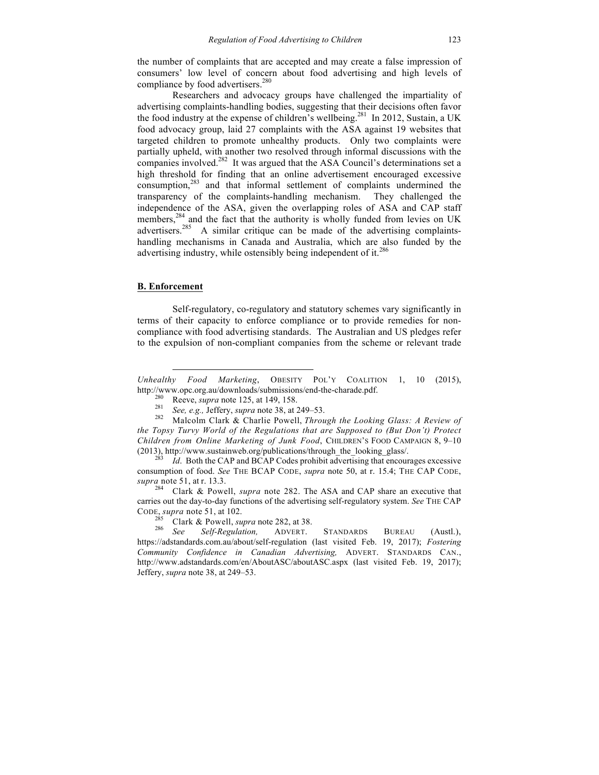the number of complaints that are accepted and may create a false impression of consumers' low level of concern about food advertising and high levels of compliance by food advertisers.<sup>280</sup>

Researchers and advocacy groups have challenged the impartiality of advertising complaints-handling bodies, suggesting that their decisions often favor the food industry at the expense of children's wellbeing.<sup>281</sup> In 2012, Sustain, a UK food advocacy group, laid 27 complaints with the ASA against 19 websites that targeted children to promote unhealthy products. Only two complaints were partially upheld, with another two resolved through informal discussions with the companies involved.<sup>282</sup> It was argued that the ASA Council's determinations set a high threshold for finding that an online advertisement encouraged excessive consumption,<sup>283</sup> and that informal settlement of complaints undermined the transparency of the complaints-handling mechanism. They challenged the independence of the ASA, given the overlapping roles of ASA and CAP staff members,<sup>284</sup> and the fact that the authority is wholly funded from levies on UK advertisers.<sup>285</sup> A similar critique can be made of the advertising complaintshandling mechanisms in Canada and Australia, which are also funded by the advertising industry, while ostensibly being independent of it.<sup>286</sup>

#### **B. Enforcement**

 $\overline{a}$ 

Self-regulatory, co-regulatory and statutory schemes vary significantly in terms of their capacity to enforce compliance or to provide remedies for noncompliance with food advertising standards. The Australian and US pledges refer to the expulsion of non-compliant companies from the scheme or relevant trade

*Unhealthy Food Marketing*, OBESITY POL'Y COALITION 1, 10 (2015), http://www.opc.org.au/downloads/submissions/end-the-charade.pdf.<br>
<sup>280</sup> Reeve, *supra* note 125, at 149, 158.<br>
<sup>281</sup> *See, e.g., Jeffery, supra* note 38, at 249–53.<br>
<sup>282</sup> Malcolm Clark & Charlie Powell, *Through the Looki* 

*the Topsy Turvy World of the Regulations that are Supposed to (But Don't) Protect Children from Online Marketing of Junk Food*, CHILDREN'S FOOD CAMPAIGN 8, 9–10 (2013), http://www.sustainweb.org/publications/through\_the\_looking\_glass/. <sup>283</sup> *Id*. Both the CAP and BCAP Codes prohibit advertising that encourages excessive

consumption of food. *See* THE BCAP CODE, *supra* note 50, at r. 15.4; THE CAP CODE, *supra* note 51, at r. 13.3. <sup>284</sup> Clark & Powell, *supra* note 282. The ASA and CAP share an executive that

carries out the day-to-day functions of the advertising self-regulatory system. *See* THE CAP CODE, *supra* note 51, at 102.<br><sup>285</sup> Clark & Powell, *supra* note 282, at 38.<br><sup>286</sup> *See Self-Regulation*, ADVERT. STANDARDS BUREAU (Austl.),

https://adstandards.com.au/about/self-regulation (last visited Feb. 19, 2017); *Fostering Community Confidence in Canadian Advertising,* ADVERT. STANDARDS CAN., http://www.adstandards.com/en/AboutASC/aboutASC.aspx (last visited Feb. 19, 2017); Jeffery, *supra* note 38, at 249–53.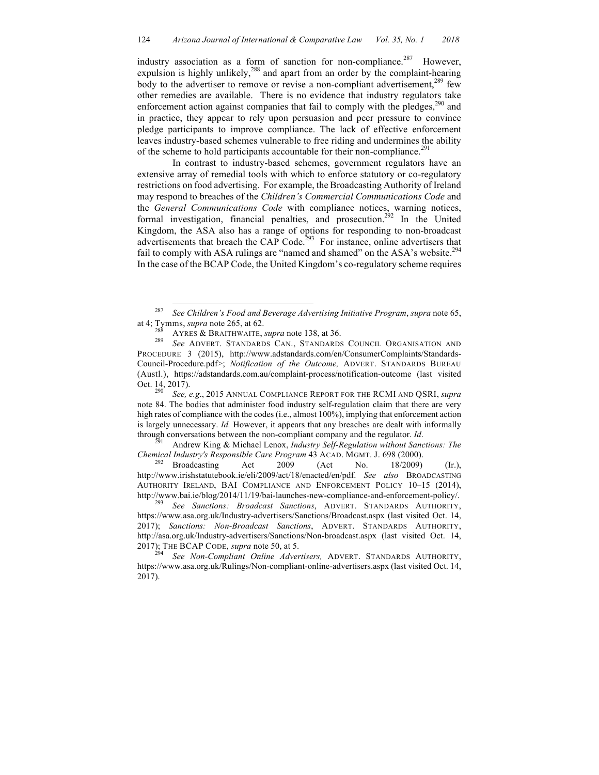industry association as a form of sanction for non-compliance.<sup>287</sup> However, expulsion is highly unlikely,<sup>288</sup> and apart from an order by the complaint-hearing body to the advertiser to remove or revise a non-compliant advertisement,<sup>289</sup> few other remedies are available. There is no evidence that industry regulators take enforcement action against companies that fail to comply with the pledges, $290$  and in practice, they appear to rely upon persuasion and peer pressure to convince pledge participants to improve compliance. The lack of effective enforcement leaves industry-based schemes vulnerable to free riding and undermines the ability of the scheme to hold participants accountable for their non-compliance.<sup>291</sup>

In contrast to industry-based schemes, government regulators have an extensive array of remedial tools with which to enforce statutory or co-regulatory restrictions on food advertising. For example, the Broadcasting Authority of Ireland may respond to breaches of the *Children's Commercial Communications Code* and the *General Communications Code* with compliance notices, warning notices, formal investigation, financial penalties, and prosecution.<sup>292</sup> In the United Kingdom, the ASA also has a range of options for responding to non-broadcast advertisements that breach the CAP Code.<sup>293</sup> For instance, online advertisers that fail to comply with ASA rulings are "named and shamed" on the ASA's website.<sup>294</sup> In the case of the BCAP Code, the United Kingdom's co-regulatory scheme requires

*Chemical Industry's Responsible Care Program* 43 ACAD. MGMT. J. 698 (2000).<br><sup>292</sup> Broadcasting Act 2009 (Act No. 18/2009) (Ir.),

http://www.irishstatutebook.ie/eli/2009/act/18/enacted/en/pdf. *See also* BROADCASTING AUTHORITY IRELAND, BAI COMPLIANCE AND ENFORCEMENT POLICY 10–15 (2014), http://www.bai.ie/blog/2014/11/19/bai-launches-new-compliance-and-enforcement-policy/. <sup>293</sup> *See Sanctions: Broadcast Sanctions*, ADVERT. STANDARDS AUTHORITY,

https://www.asa.org.uk/Industry-advertisers/Sanctions/Broadcast.aspx (last visited Oct. 14, 2017); *Sanctions: Non-Broadcast Sanctions*, ADVERT. STANDARDS AUTHORITY, http://asa.org.uk/Industry-advertisers/Sanctions/Non-broadcast.aspx (last visited Oct. 14, 2017); THE BCAP CODE, *supra* note 50, at 5. <sup>294</sup> *See Non-Compliant Online Advertisers,* ADVERT. STANDARDS AUTHORITY,

https://www.asa.org.uk/Rulings/Non-compliant-online-advertisers.aspx (last visited Oct. 14, 2017).

 <sup>287</sup> *See Children's Food and Beverage Advertising Initiative Program*, *supra* note 65,

at 4; Tymms, *supra* note 265, at 62.<br><sup>288</sup> AYRES & BRAITHWAITE, *supra* note 138, at 36.<br><sup>289</sup> *See* ADVERT. STANDARDS CAN., STANDARDS COUNCIL ORGANISATION AND PROCEDURE 3 (2015), http://www.adstandards.com/en/ConsumerComplaints/Standards-Council-Procedure.pdf>; *Notification of the Outcome,* ADVERT. STANDARDS BUREAU (Austl.), https://adstandards.com.au/complaint-process/notification-outcome (last visited Oct. 14, 2017). <sup>290</sup> *See, e.g*., 2015 ANNUAL COMPLIANCE REPORT FOR THE RCMI AND QSRI, *supra*

note 84. The bodies that administer food industry self-regulation claim that there are very high rates of compliance with the codes (i.e., almost 100%), implying that enforcement action is largely unnecessary. *Id.* However, it appears that any breaches are dealt with informally through conversations between the non-compliant company and the regulator. *Id*. <sup>291</sup> Andrew King & Michael Lenox, *Industry Self-Regulation without Sanctions: The*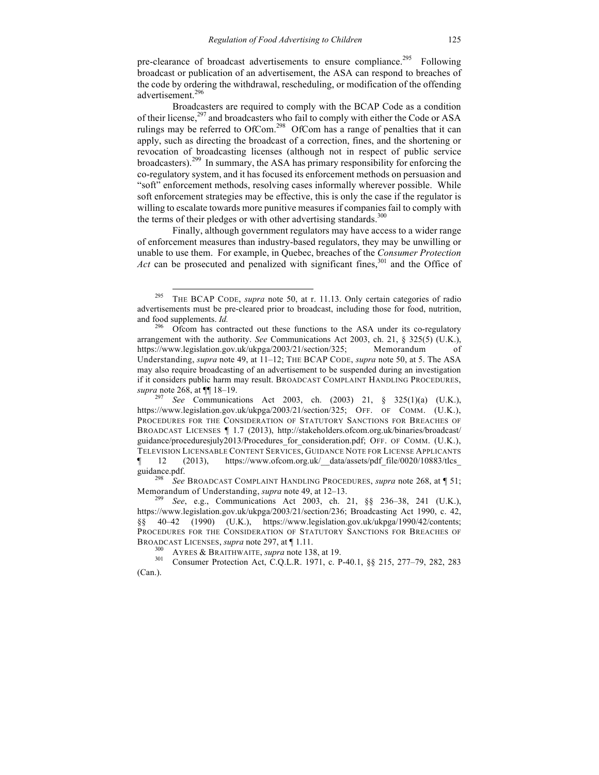pre-clearance of broadcast advertisements to ensure compliance.<sup>295</sup> Following broadcast or publication of an advertisement, the ASA can respond to breaches of the code by ordering the withdrawal, rescheduling, or modification of the offending advertisement.<sup>296</sup>

Broadcasters are required to comply with the BCAP Code as a condition of their license,<sup>297</sup> and broadcasters who fail to comply with either the Code or ASA rulings may be referred to OfCom.<sup>298</sup> OfCom has a range of penalties that it can apply, such as directing the broadcast of a correction, fines, and the shortening or revocation of broadcasting licenses (although not in respect of public service broadcasters).299 In summary, the ASA has primary responsibility for enforcing the co-regulatory system, and it has focused its enforcement methods on persuasion and "soft" enforcement methods, resolving cases informally wherever possible. While soft enforcement strategies may be effective, this is only the case if the regulator is willing to escalate towards more punitive measures if companies fail to comply with the terms of their pledges or with other advertising standards.<sup>300</sup>

Finally, although government regulators may have access to a wider range of enforcement measures than industry-based regulators, they may be unwilling or unable to use them. For example, in Quebec, breaches of the *Consumer Protection Act* can be prosecuted and penalized with significant fines,<sup>301</sup> and the Office of

 <sup>295</sup> THE BCAP CODE, *supra* note 50, at r. 11.13. Only certain categories of radio advertisements must be pre-cleared prior to broadcast, including those for food, nutrition, and food supplements. *Id.* 296 Ofcom has contracted out these functions to the ASA under its co-regulatory

arrangement with the authority. *See* Communications Act 2003, ch. 21, § 325(5) (U.K.), https://www.legislation.gov.uk/ukpga/2003/21/section/325; Memorandum of Understanding, *supra* note 49, at 11–12; THE BCAP CODE, *supra* note 50, at 5. The ASA may also require broadcasting of an advertisement to be suspended during an investigation if it considers public harm may result. BROADCAST COMPLAINT HANDLING PROCEDURES, *supra* note 268, at  $\P$  18–19.<br><sup>297</sup> *See* Communications Act 2003, ch. (2003) 21, § 325(1)(a) (U.K.),

https://www.legislation.gov.uk/ukpga/2003/21/section/325; OFF. OF COMM. (U.K.), PROCEDURES FOR THE CONSIDERATION OF STATUTORY SANCTIONS FOR BREACHES OF BROADCAST LICENSES ¶ 1.7 (2013), http://stakeholders.ofcom.org.uk/binaries/broadcast/ guidance/proceduresjuly2013/Procedures for consideration.pdf; OFF. OF COMM. (U.K.), TELEVISION LICENSABLE CONTENT SERVICES, GUIDANCE NOTE FOR LICENSE APPLICANTS ¶ 12 (2013), https://www.ofcom.org.uk/\_\_data/assets/pdf\_file/0020/10883/tlcs\_ guidance.pdf. <sup>298</sup> *See* BROADCAST COMPLAINT HANDLING PROCEDURES, *supra* note 268, at ¶ 51;

Memorandum of Understanding, *supra* note 49, at 12–13.<br><sup>299</sup> *See*, e.g., Communications Act 2003, ch. 21, §§ 236–38, 241 (U.K.), https://www.legislation.gov.uk/ukpga/2003/21/section/236; Broadcasting Act 1990, c. 42, §§ 40–42 (1990) (U.K.), https://www.legislation.gov.uk/ukpga/1990/42/contents; PROCEDURES FOR THE CONSIDERATION OF STATUTORY SANCTIONS FOR BREACHES OF BROADCAST LICENSES, *supra* note 297, at ¶ 1.11.<br><sup>300</sup> AYRES & BRAITHWAITE, *supra* note 138, at 19.<br><sup>301</sup> Consumer Protection Act, C.Q.L.R. 1971, c. P-40.1, §§ 215, 277–79, 282, 283

<sup>(</sup>Can.).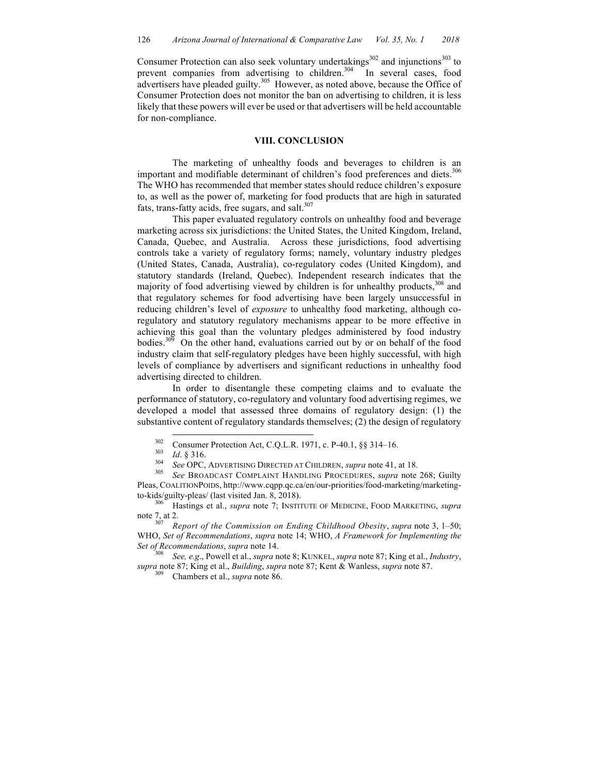Consumer Protection can also seek voluntary undertakings $302$  and injunctions $303$  to prevent companies from advertising to children.<sup>304</sup> In several cases, food advertisers have pleaded guilty.<sup>305</sup> However, as noted above, because the Office of Consumer Protection does not monitor the ban on advertising to children, it is less likely that these powers will ever be used or that advertisers will be held accountable for non-compliance.

## **VIII. CONCLUSION**

The marketing of unhealthy foods and beverages to children is an important and modifiable determinant of children's food preferences and diets.<sup>306</sup> The WHO has recommended that member states should reduce children's exposure to, as well as the power of, marketing for food products that are high in saturated fats, trans-fatty acids, free sugars, and salt. $307$ 

This paper evaluated regulatory controls on unhealthy food and beverage marketing across six jurisdictions: the United States, the United Kingdom, Ireland, Canada, Quebec, and Australia. Across these jurisdictions, food advertising controls take a variety of regulatory forms; namely, voluntary industry pledges (United States, Canada, Australia), co-regulatory codes (United Kingdom), and statutory standards (Ireland, Quebec). Independent research indicates that the majority of food advertising viewed by children is for unhealthy products,  $308$  and that regulatory schemes for food advertising have been largely unsuccessful in reducing children's level of *exposure* to unhealthy food marketing, although coregulatory and statutory regulatory mechanisms appear to be more effective in achieving this goal than the voluntary pledges administered by food industry bodies. 309 On the other hand, evaluations carried out by or on behalf of the food industry claim that self-regulatory pledges have been highly successful, with high levels of compliance by advertisers and significant reductions in unhealthy food advertising directed to children.

In order to disentangle these competing claims and to evaluate the performance of statutory, co-regulatory and voluntary food advertising regimes, we developed a model that assessed three domains of regulatory design: (1) the substantive content of regulatory standards themselves; (2) the design of regulatory

Pleas, COALITIONPOIDS, http://www.cqpp.qc.ca/en/our-priorities/food-marketing/marketingto-kids/guilty-pleas/ (last visited Jan. 8, 2018).<br><sup>306</sup> Hastings et al., *supra* note 7; INSTITUTE OF MEDICINE, FOOD MARKETING, *supra* 

note 7, at 2.<br><sup>307</sup> *Report of the Commission on Ending Childhood Obesity*, *supra* note 3, 1–50;

WHO, *Set of Recommendations*, *supra* note 14; WHO, *A Framework for Implementing the Set of Recommendations*, *supra* note 14. <sup>308</sup> *See, e.g*., Powell et al., *supra* note 8; KUNKEL, *supra* note 87; King et al., *Industry*,

*supra* note 87; King et al., *Building*, *supra* note 87; Kent & Wanless, *supra* note 87. <sup>309</sup> Chambers et al., *supra* note 86.

<sup>&</sup>lt;sup>302</sup> Consumer Protection Act, C.Q.L.R. 1971, c. P-40.1, §§ 314–16.<br>
<sup>303</sup> Id. § 316.<br> *See OPC*, ADVERTISING DIRECTED AT CHILDREN, *supra* note 41, at 18.<br> *See BROADCAST COMPLAINT HANDLING PROCEDURES, <i>supra* note 268;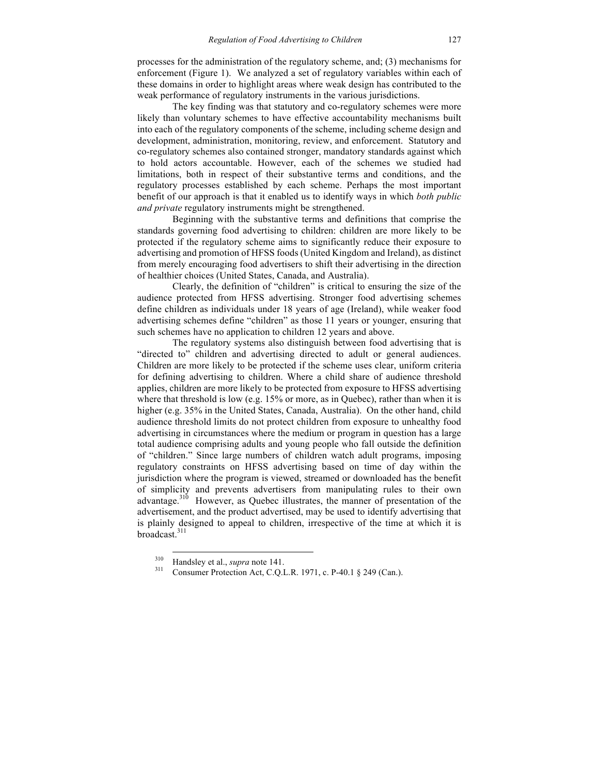processes for the administration of the regulatory scheme, and; (3) mechanisms for enforcement (Figure 1). We analyzed a set of regulatory variables within each of these domains in order to highlight areas where weak design has contributed to the weak performance of regulatory instruments in the various jurisdictions.

The key finding was that statutory and co-regulatory schemes were more likely than voluntary schemes to have effective accountability mechanisms built into each of the regulatory components of the scheme, including scheme design and development, administration, monitoring, review, and enforcement. Statutory and co-regulatory schemes also contained stronger, mandatory standards against which to hold actors accountable. However, each of the schemes we studied had limitations, both in respect of their substantive terms and conditions, and the regulatory processes established by each scheme. Perhaps the most important benefit of our approach is that it enabled us to identify ways in which *both public and private* regulatory instruments might be strengthened.

Beginning with the substantive terms and definitions that comprise the standards governing food advertising to children: children are more likely to be protected if the regulatory scheme aims to significantly reduce their exposure to advertising and promotion of HFSS foods (United Kingdom and Ireland), as distinct from merely encouraging food advertisers to shift their advertising in the direction of healthier choices (United States, Canada, and Australia).

Clearly, the definition of "children" is critical to ensuring the size of the audience protected from HFSS advertising. Stronger food advertising schemes define children as individuals under 18 years of age (Ireland), while weaker food advertising schemes define "children" as those 11 years or younger, ensuring that such schemes have no application to children 12 years and above.

The regulatory systems also distinguish between food advertising that is "directed to" children and advertising directed to adult or general audiences. Children are more likely to be protected if the scheme uses clear, uniform criteria for defining advertising to children. Where a child share of audience threshold applies, children are more likely to be protected from exposure to HFSS advertising where that threshold is low (e.g. 15% or more, as in Quebec), rather than when it is higher (e.g. 35% in the United States, Canada, Australia). On the other hand, child audience threshold limits do not protect children from exposure to unhealthy food advertising in circumstances where the medium or program in question has a large total audience comprising adults and young people who fall outside the definition of "children." Since large numbers of children watch adult programs, imposing regulatory constraints on HFSS advertising based on time of day within the jurisdiction where the program is viewed, streamed or downloaded has the benefit of simplicity and prevents advertisers from manipulating rules to their own advantage.310 However, as Quebec illustrates, the manner of presentation of the advertisement, and the product advertised, may be used to identify advertising that is plainly designed to appeal to children, irrespective of the time at which it is broadcast.<sup>311</sup>

<sup>&</sup>lt;sup>310</sup> Handsley et al., *supra* note 141.<br><sup>311</sup> Consumer Protection Act, C.Q.L.R. 1971, c. P-40.1 § 249 (Can.).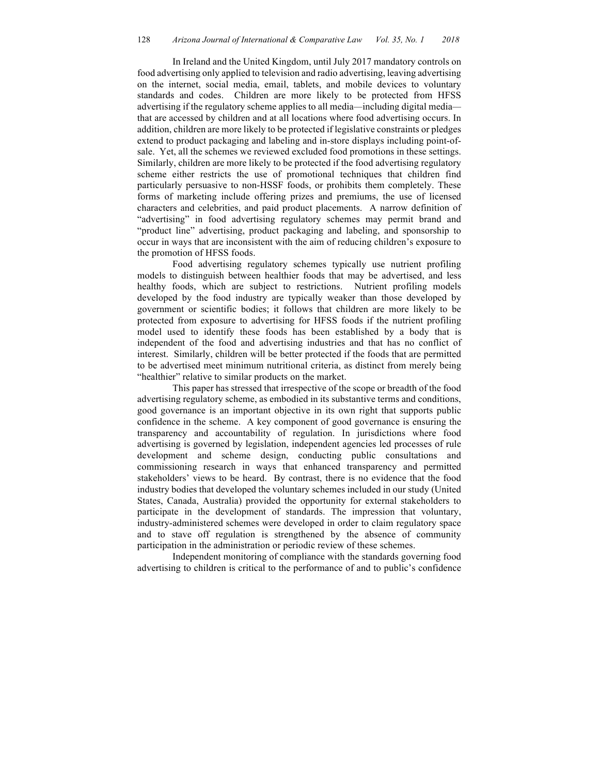In Ireland and the United Kingdom, until July 2017 mandatory controls on food advertising only applied to television and radio advertising, leaving advertising on the internet, social media, email, tablets, and mobile devices to voluntary standards and codes. Children are more likely to be protected from HFSS advertising if the regulatory scheme applies to all media*—*including digital media that are accessed by children and at all locations where food advertising occurs. In addition, children are more likely to be protected if legislative constraints or pledges extend to product packaging and labeling and in-store displays including point-ofsale. Yet, all the schemes we reviewed excluded food promotions in these settings. Similarly, children are more likely to be protected if the food advertising regulatory scheme either restricts the use of promotional techniques that children find particularly persuasive to non-HSSF foods, or prohibits them completely. These forms of marketing include offering prizes and premiums, the use of licensed characters and celebrities, and paid product placements. A narrow definition of "advertising" in food advertising regulatory schemes may permit brand and "product line" advertising, product packaging and labeling, and sponsorship to occur in ways that are inconsistent with the aim of reducing children's exposure to the promotion of HFSS foods.

Food advertising regulatory schemes typically use nutrient profiling models to distinguish between healthier foods that may be advertised, and less healthy foods, which are subject to restrictions. Nutrient profiling models developed by the food industry are typically weaker than those developed by government or scientific bodies; it follows that children are more likely to be protected from exposure to advertising for HFSS foods if the nutrient profiling model used to identify these foods has been established by a body that is independent of the food and advertising industries and that has no conflict of interest. Similarly, children will be better protected if the foods that are permitted to be advertised meet minimum nutritional criteria, as distinct from merely being "healthier" relative to similar products on the market.

This paper has stressed that irrespective of the scope or breadth of the food advertising regulatory scheme, as embodied in its substantive terms and conditions, good governance is an important objective in its own right that supports public confidence in the scheme. A key component of good governance is ensuring the transparency and accountability of regulation. In jurisdictions where food advertising is governed by legislation, independent agencies led processes of rule development and scheme design, conducting public consultations and commissioning research in ways that enhanced transparency and permitted stakeholders' views to be heard. By contrast, there is no evidence that the food industry bodies that developed the voluntary schemes included in our study (United States, Canada, Australia) provided the opportunity for external stakeholders to participate in the development of standards. The impression that voluntary, industry-administered schemes were developed in order to claim regulatory space and to stave off regulation is strengthened by the absence of community participation in the administration or periodic review of these schemes.

Independent monitoring of compliance with the standards governing food advertising to children is critical to the performance of and to public's confidence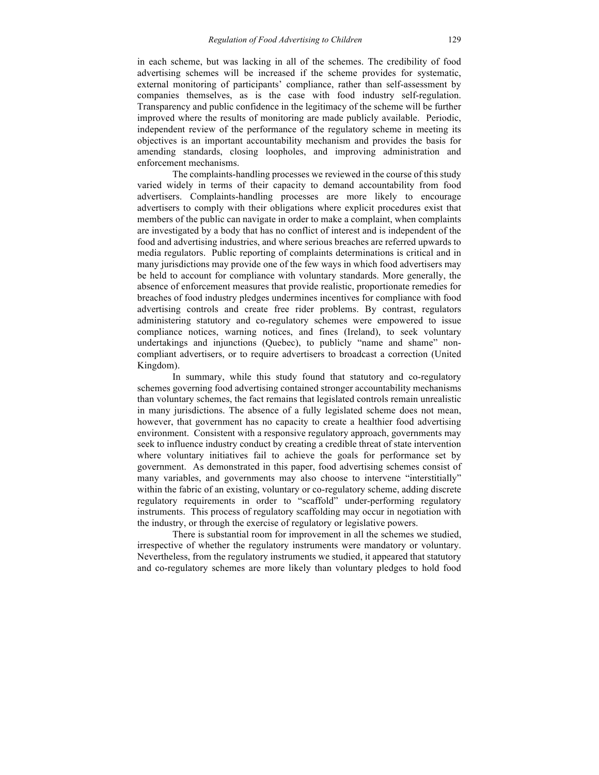in each scheme, but was lacking in all of the schemes. The credibility of food advertising schemes will be increased if the scheme provides for systematic, external monitoring of participants' compliance, rather than self-assessment by companies themselves, as is the case with food industry self-regulation. Transparency and public confidence in the legitimacy of the scheme will be further improved where the results of monitoring are made publicly available. Periodic, independent review of the performance of the regulatory scheme in meeting its objectives is an important accountability mechanism and provides the basis for amending standards, closing loopholes, and improving administration and enforcement mechanisms.

The complaints-handling processes we reviewed in the course of this study varied widely in terms of their capacity to demand accountability from food advertisers. Complaints-handling processes are more likely to encourage advertisers to comply with their obligations where explicit procedures exist that members of the public can navigate in order to make a complaint, when complaints are investigated by a body that has no conflict of interest and is independent of the food and advertising industries, and where serious breaches are referred upwards to media regulators. Public reporting of complaints determinations is critical and in many jurisdictions may provide one of the few ways in which food advertisers may be held to account for compliance with voluntary standards. More generally, the absence of enforcement measures that provide realistic, proportionate remedies for breaches of food industry pledges undermines incentives for compliance with food advertising controls and create free rider problems. By contrast, regulators administering statutory and co-regulatory schemes were empowered to issue compliance notices, warning notices, and fines (Ireland), to seek voluntary undertakings and injunctions (Quebec), to publicly "name and shame" noncompliant advertisers, or to require advertisers to broadcast a correction (United Kingdom).

In summary, while this study found that statutory and co-regulatory schemes governing food advertising contained stronger accountability mechanisms than voluntary schemes, the fact remains that legislated controls remain unrealistic in many jurisdictions. The absence of a fully legislated scheme does not mean, however, that government has no capacity to create a healthier food advertising environment. Consistent with a responsive regulatory approach, governments may seek to influence industry conduct by creating a credible threat of state intervention where voluntary initiatives fail to achieve the goals for performance set by government. As demonstrated in this paper, food advertising schemes consist of many variables, and governments may also choose to intervene "interstitially" within the fabric of an existing, voluntary or co-regulatory scheme, adding discrete regulatory requirements in order to "scaffold" under-performing regulatory instruments. This process of regulatory scaffolding may occur in negotiation with the industry, or through the exercise of regulatory or legislative powers.

There is substantial room for improvement in all the schemes we studied, irrespective of whether the regulatory instruments were mandatory or voluntary. Nevertheless, from the regulatory instruments we studied, it appeared that statutory and co-regulatory schemes are more likely than voluntary pledges to hold food